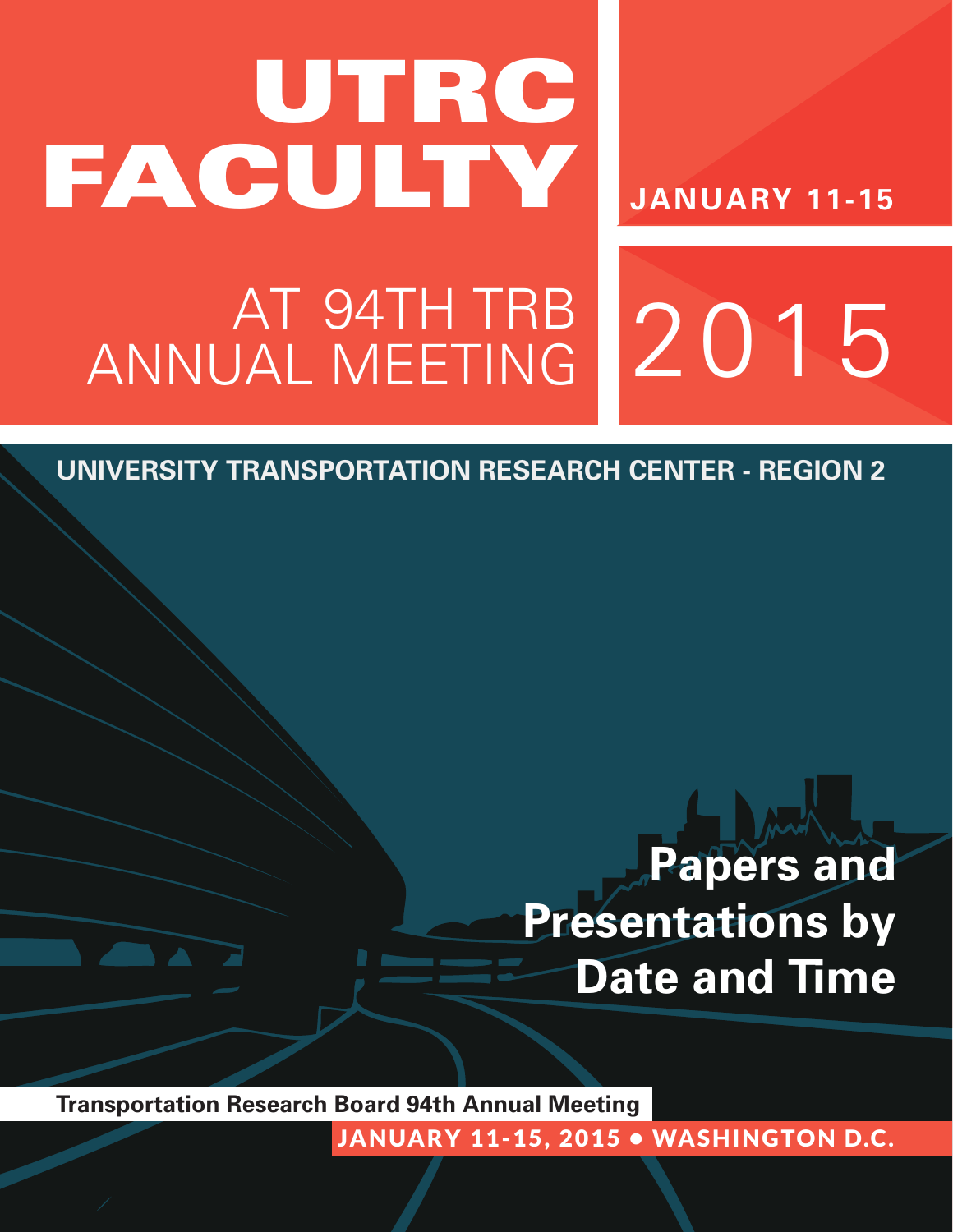# UTRC **FACULTY**

**JANUARY 11-15**

2015

# AT 94TH TRB ANNUAL MEETING

**UNIVERSITY TRANSPORTATION RESEARCH CENTER - REGION 2**

# **Papers and Presentations by Date and Time**

**Transportation Research Board 94th Annual Meeting**

JANUARY 11-15, 2015 . WASHINGTON D.C.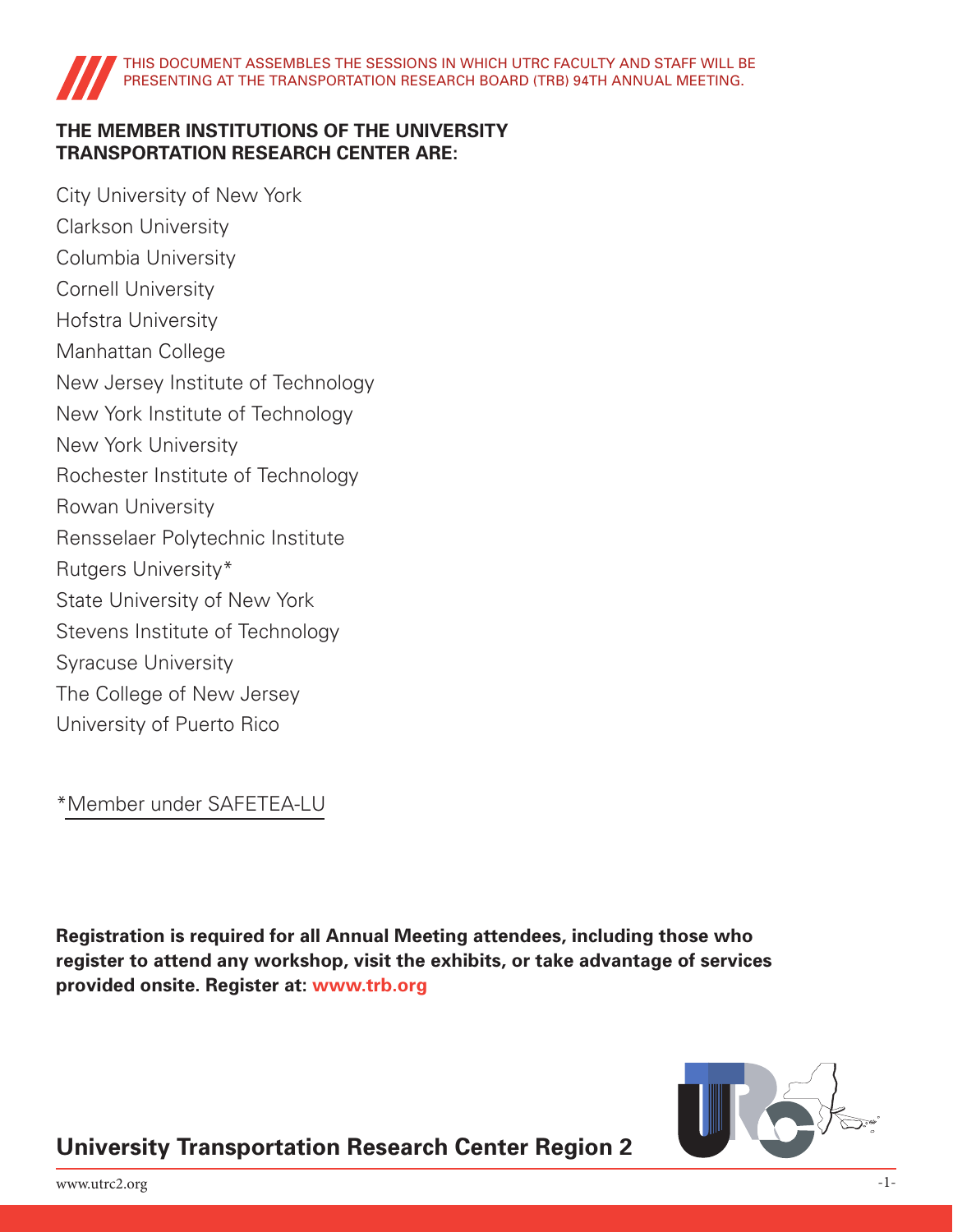### **THE MEMBER INSTITUTIONS OF THE UNIVERSITY TRANSPORTATION RESEARCH CENTER ARE:**

City University of New York Clarkson University Columbia University Cornell University Hofstra University Manhattan College New Jersey Institute of Technology New York Institute of Technology New York University Rochester Institute of Technology Rowan University Rensselaer Polytechnic Institute Rutgers University\* State University of New York Stevens Institute of Technology Syracuse University The College of New Jersey University of Puerto Rico

\*Member under SAFETEA-LU

**Registration is required for all Annual Meeting attendees, including those who register to attend any workshop, visit the exhibits, or take advantage of services provided onsite. Register at: www.trb.org**



### **University Transportation Research Center Region 2**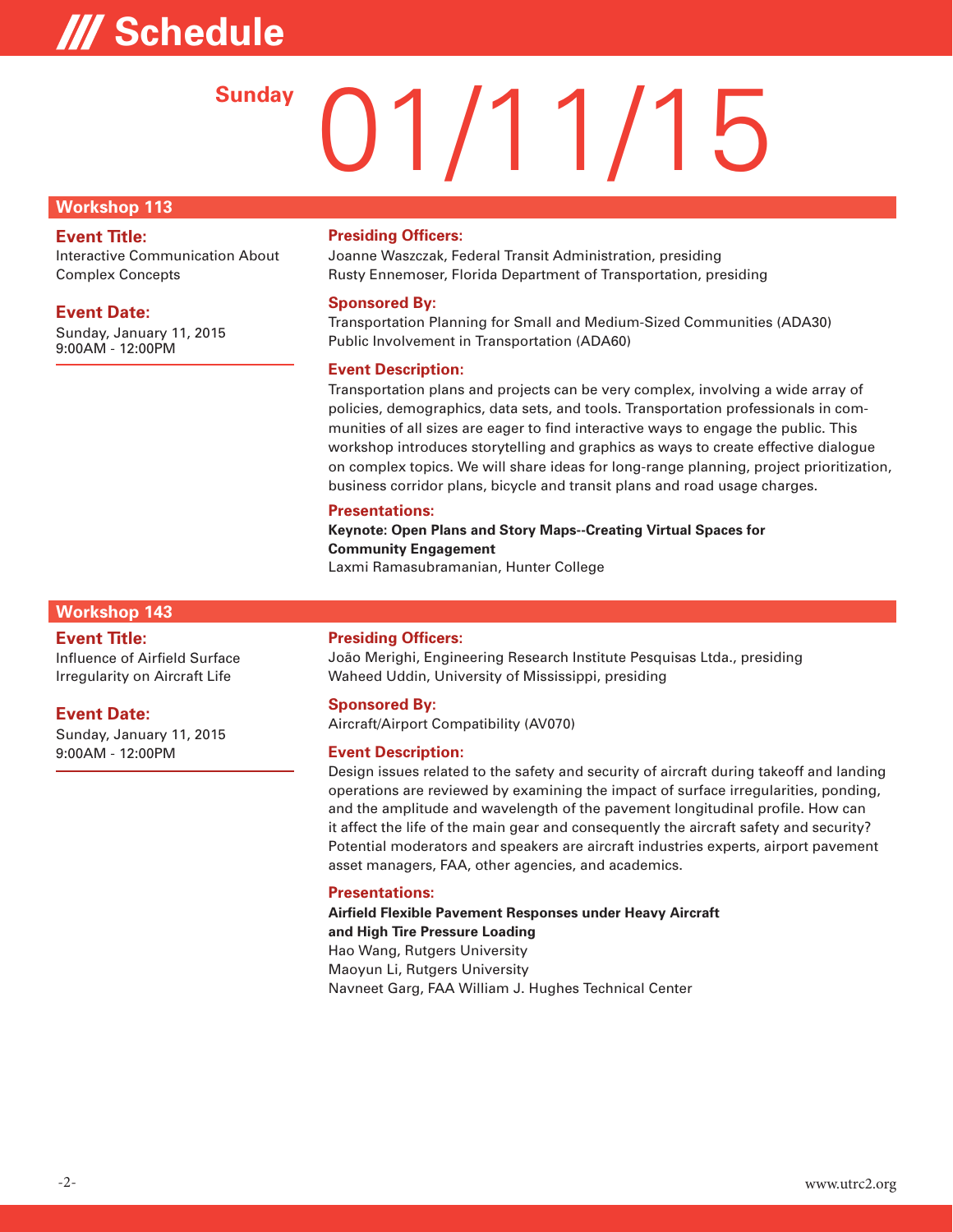# **/// Schedule**

# 01/11/15 **Sunday**

#### **Workshop 113**

#### **Event Title:**

Interactive Communication About Complex Concepts

#### **Event Date:**

Sunday, January 11, 2015 9:00AM - 12:00PM

#### **Presiding Officers:**

Joanne Waszczak, Federal Transit Administration, presiding Rusty Ennemoser, Florida Department of Transportation, presiding

#### **Sponsored By:**

Transportation Planning for Small and Medium-Sized Communities (ADA30) Public Involvement in Transportation (ADA60)

#### **Event Description:**

Transportation plans and projects can be very complex, involving a wide array of policies, demographics, data sets, and tools. Transportation professionals in communities of all sizes are eager to find interactive ways to engage the public. This workshop introduces storytelling and graphics as ways to create effective dialogue on complex topics. We will share ideas for long-range planning, project prioritization, business corridor plans, bicycle and transit plans and road usage charges.

#### **Presentations:**

**Keynote: Open Plans and Story Maps--Creating Virtual Spaces for Community Engagement**  Laxmi Ramasubramanian, Hunter College

#### **Workshop 143**

#### **Event Title:**

Influence of Airfield Surface Irregularity on Aircraft Life

#### **Event Date:**

Sunday, January 11, 2015 9:00AM - 12:00PM

#### **Presiding Officers:**

João Merighi, Engineering Research Institute Pesquisas Ltda., presiding Waheed Uddin, University of Mississippi, presiding

#### **Sponsored By:**

Aircraft/Airport Compatibility (AV070)

#### **Event Description:**

Design issues related to the safety and security of aircraft during takeoff and landing operations are reviewed by examining the impact of surface irregularities, ponding, and the amplitude and wavelength of the pavement longitudinal profile. How can it affect the life of the main gear and consequently the aircraft safety and security? Potential moderators and speakers are aircraft industries experts, airport pavement asset managers, FAA, other agencies, and academics.

#### **Presentations:**

**Airfield Flexible Pavement Responses under Heavy Aircraft and High Tire Pressure Loading**  Hao Wang, Rutgers University Maoyun Li, Rutgers University Navneet Garg, FAA William J. Hughes Technical Center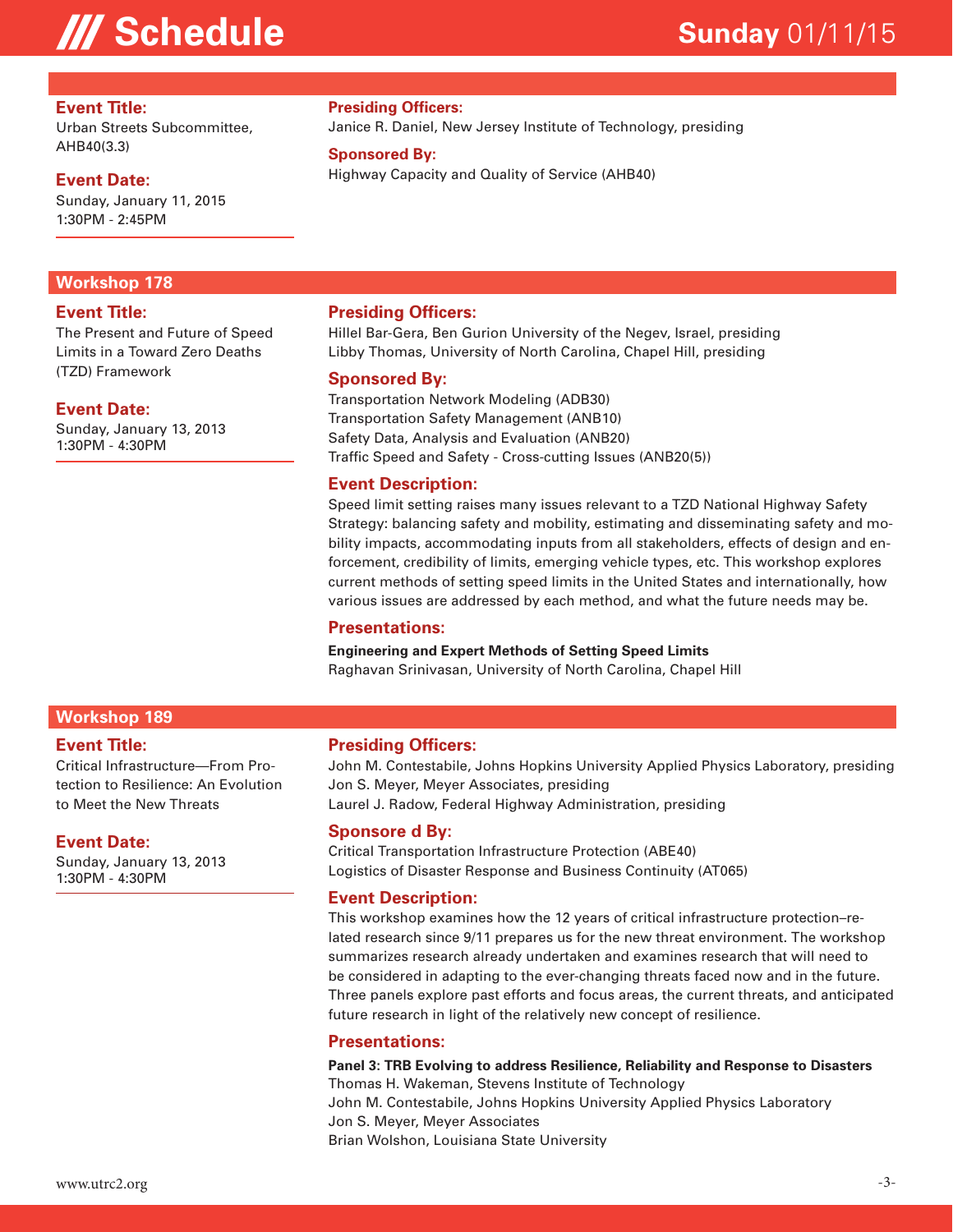### **/// Schedule**

### **Sunday** 01/11/15

#### **Event Title:**

Urban Streets Subcommittee, AHB40(3.3)

#### **Event Date:**

Sunday, January 11, 2015 1:30PM - 2:45PM

### **Workshop 178**

#### **Event Title:**

The Present and Future of Speed Limits in a Toward Zero Deaths (TZD) Framework

#### **Event Date:**

Sunday, January 13, 2013 1:30PM - 4:30PM

#### **Presiding Officers:**

Janice R. Daniel, New Jersey Institute of Technology, presiding

#### **Sponsored By:**

Highway Capacity and Quality of Service (AHB40)

#### **Presiding Officers:**

Hillel Bar-Gera, Ben Gurion University of the Negev, Israel, presiding Libby Thomas, University of North Carolina, Chapel Hill, presiding

#### **Sponsored By:**

Transportation Network Modeling (ADB30) Transportation Safety Management (ANB10) Safety Data, Analysis and Evaluation (ANB20) Traffic Speed and Safety - Cross-cutting Issues (ANB20(5))

#### **Event Description:**

Speed limit setting raises many issues relevant to a TZD National Highway Safety Strategy: balancing safety and mobility, estimating and disseminating safety and mobility impacts, accommodating inputs from all stakeholders, effects of design and enforcement, credibility of limits, emerging vehicle types, etc. This workshop explores current methods of setting speed limits in the United States and internationally, how various issues are addressed by each method, and what the future needs may be.

#### **Presentations:**

**Engineering and Expert Methods of Setting Speed Limits**  Raghavan Srinivasan, University of North Carolina, Chapel Hill

#### **Workshop 189**

#### **Event Title:**

Critical Infrastructure—From Protection to Resilience: An Evolution to Meet the New Threats

#### **Event Date:**

Sunday, January 13, 2013 1:30PM - 4:30PM

#### **Presiding Officers:**

John M. Contestabile, Johns Hopkins University Applied Physics Laboratory, presiding Jon S. Meyer, Meyer Associates, presiding Laurel J. Radow, Federal Highway Administration, presiding

#### **Sponsore d By:**

Critical Transportation Infrastructure Protection (ABE40) Logistics of Disaster Response and Business Continuity (AT065)

#### **Event Description:**

This workshop examines how the 12 years of critical infrastructure protection–related research since 9/11 prepares us for the new threat environment. The workshop summarizes research already undertaken and examines research that will need to be considered in adapting to the ever-changing threats faced now and in the future. Three panels explore past efforts and focus areas, the current threats, and anticipated future research in light of the relatively new concept of resilience.

#### **Presentations:**

**Panel 3: TRB Evolving to address Resilience, Reliability and Response to Disasters**  Thomas H. Wakeman, Stevens Institute of Technology John M. Contestabile, Johns Hopkins University Applied Physics Laboratory Jon S. Meyer, Meyer Associates Brian Wolshon, Louisiana State University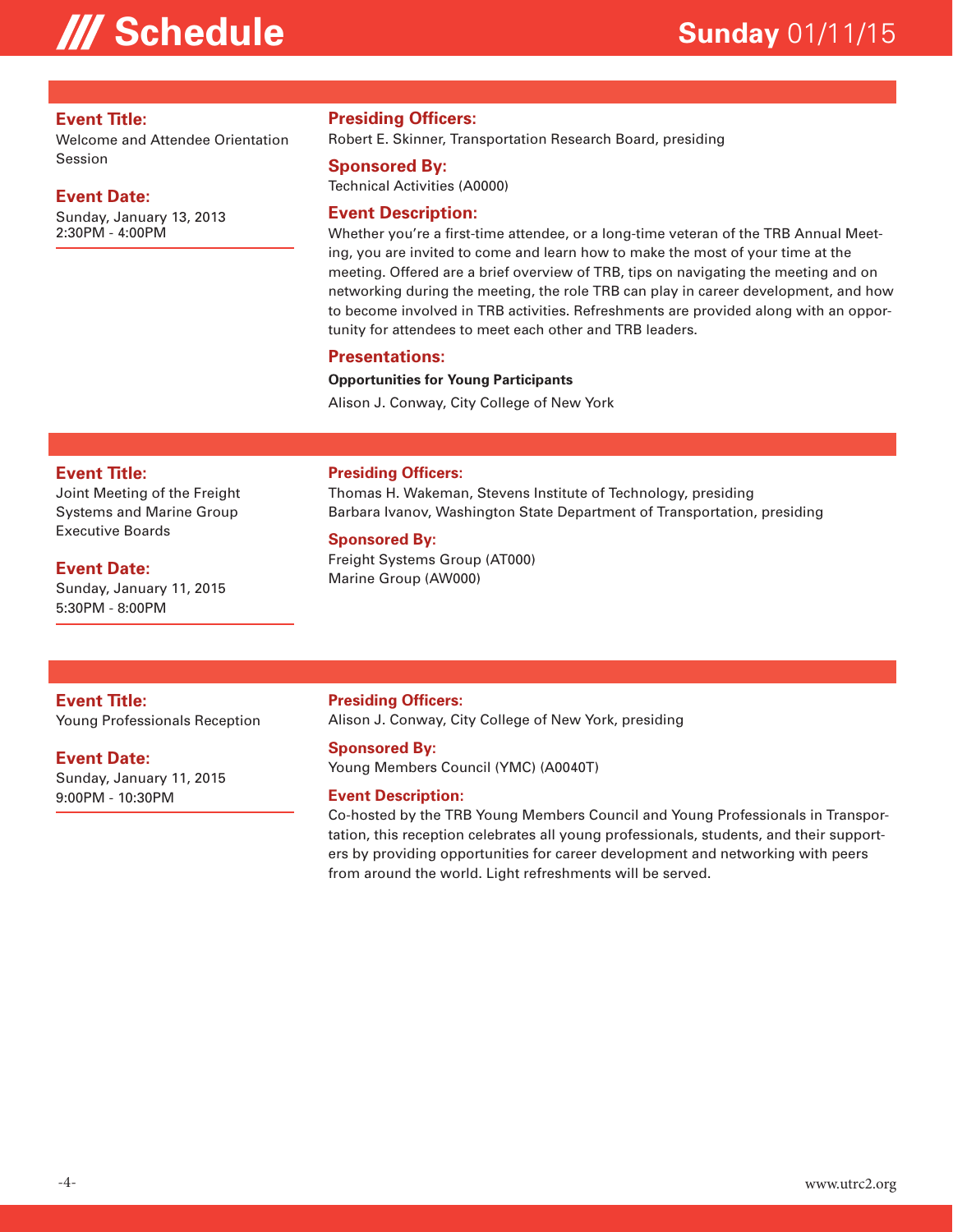## **III Schedule Sunday** 01/11/15

#### **Event Title:**

Welcome and Attendee Orientation Session

#### **Event Date:**

Sunday, January 13, 2013 2:30PM - 4:00PM

#### **Presiding Officers:**

Robert E. Skinner, Transportation Research Board, presiding

#### **Sponsored By:**

Technical Activities (A0000)

#### **Event Description:**

Whether you're a first-time attendee, or a long-time veteran of the TRB Annual Meeting, you are invited to come and learn how to make the most of your time at the meeting. Offered are a brief overview of TRB, tips on navigating the meeting and on networking during the meeting, the role TRB can play in career development, and how to become involved in TRB activities. Refreshments are provided along with an opportunity for attendees to meet each other and TRB leaders.

#### **Presentations:**

#### **Opportunities for Young Participants**

Alison J. Conway, City College of New York

#### **Event Title:**

Joint Meeting of the Freight Systems and Marine Group Executive Boards

#### **Event Date:**

Sunday, January 11, 2015 5:30PM - 8:00PM

#### **Presiding Officers:**

Thomas H. Wakeman, Stevens Institute of Technology, presiding Barbara Ivanov, Washington State Department of Transportation, presiding

#### **Sponsored By:**

Freight Systems Group (AT000) Marine Group (AW000)

#### **Event Title:**

Young Professionals Reception

#### **Event Date:**

Sunday, January 11, 2015 9:00PM - 10:30PM

#### **Presiding Officers:**

Alison J. Conway, City College of New York, presiding

#### **Sponsored By:**

Young Members Council (YMC) (A0040T)

#### **Event Description:**

Co-hosted by the TRB Young Members Council and Young Professionals in Transportation, this reception celebrates all young professionals, students, and their supporters by providing opportunities for career development and networking with peers from around the world. Light refreshments will be served.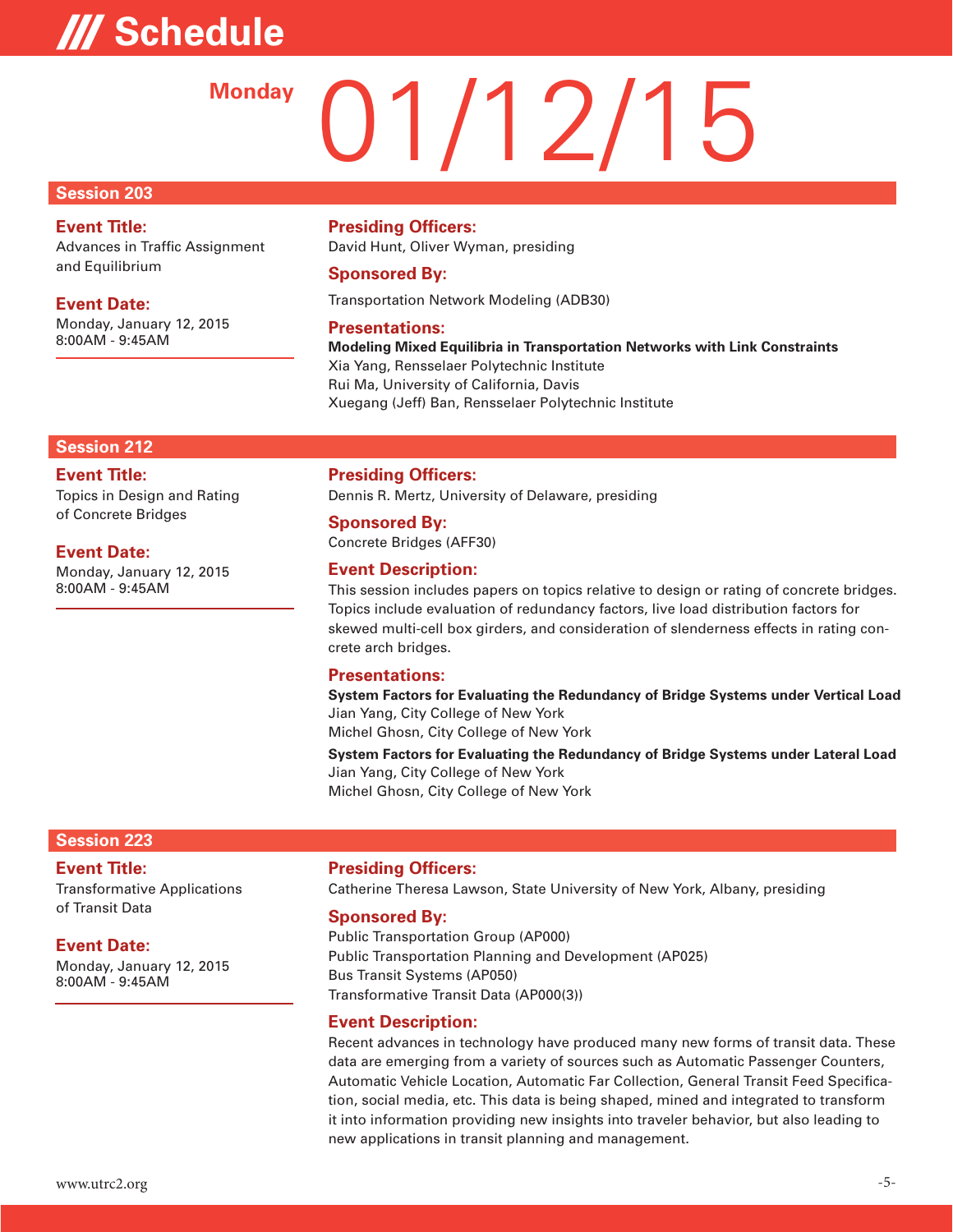# **/// Schedule**

# 01/12/15 **Monday**

#### **Session 203**

### **Event Title:**

Advances in Traffic Assignment and Equilibrium

#### **Event Date:**

Monday, January 12, 2015 8:00AM - 9:45AM

#### **Presiding Officers:**

David Hunt, Oliver Wyman, presiding

#### **Sponsored By:**

Transportation Network Modeling (ADB30)

#### **Presentations:**

**Modeling Mixed Equilibria in Transportation Networks with Link Constraints**  Xia Yang, Rensselaer Polytechnic Institute Rui Ma, University of California, Davis Xuegang (Jeff) Ban, Rensselaer Polytechnic Institute

#### **Session 212**

#### **Event Title:**

Topics in Design and Rating of Concrete Bridges

**Event Date:**

Monday, January 12, 2015 8:00AM - 9:45AM

#### **Presiding Officers:**

Dennis R. Mertz, University of Delaware, presiding

### **Sponsored By:**

Concrete Bridges (AFF30)

#### **Event Description:**

This session includes papers on topics relative to design or rating of concrete bridges. Topics include evaluation of redundancy factors, live load distribution factors for skewed multi-cell box girders, and consideration of slenderness effects in rating concrete arch bridges.

#### **Presentations:**

**System Factors for Evaluating the Redundancy of Bridge Systems under Vertical Load**  Jian Yang, City College of New York

Michel Ghosn, City College of New York

**System Factors for Evaluating the Redundancy of Bridge Systems under Lateral Load**  Jian Yang, City College of New York Michel Ghosn, City College of New York

#### **Session 223**

#### **Event Title:**

Transformative Applications of Transit Data

#### **Event Date:**

Monday, January 12, 2015 8:00AM - 9:45AM

#### **Presiding Officers:**

Catherine Theresa Lawson, State University of New York, Albany, presiding

#### **Sponsored By:**

Public Transportation Group (AP000) Public Transportation Planning and Development (AP025) Bus Transit Systems (AP050) Transformative Transit Data (AP000(3))

#### **Event Description:**

Recent advances in technology have produced many new forms of transit data. These data are emerging from a variety of sources such as Automatic Passenger Counters, Automatic Vehicle Location, Automatic Far Collection, General Transit Feed Specification, social media, etc. This data is being shaped, mined and integrated to transform it into information providing new insights into traveler behavior, but also leading to new applications in transit planning and management.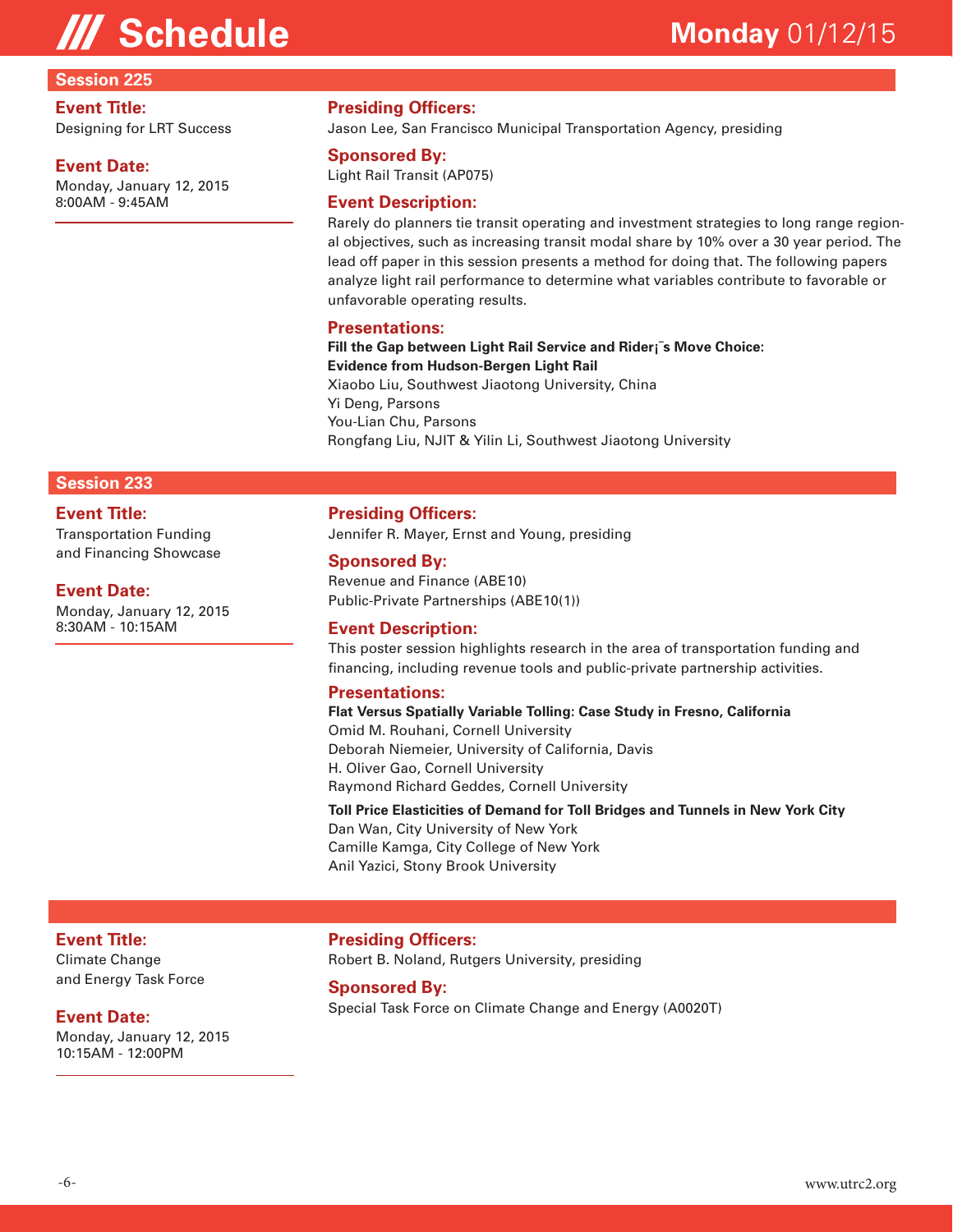#### **Session 225**

#### **Event Title:**

Designing for LRT Success

#### **Event Date:**

Monday, January 12, 2015 8:00AM - 9:45AM

#### **Presiding Officers:**

Jason Lee, San Francisco Municipal Transportation Agency, presiding

#### **Sponsored By:**

Light Rail Transit (AP075)

#### **Event Description:**

Rarely do planners tie transit operating and investment strategies to long range regional objectives, such as increasing transit modal share by 10% over a 30 year period. The lead off paper in this session presents a method for doing that. The following papers analyze light rail performance to determine what variables contribute to favorable or unfavorable operating results.

#### **Presentations:**

**Fill the Gap between Light Rail Service and Rider¡¯s Move Choice: Evidence from Hudson-Bergen Light Rail** Xiaobo Liu, Southwest Jiaotong University, China Yi Deng, Parsons You-Lian Chu, Parsons Rongfang Liu, NJIT & Yilin Li, Southwest Jiaotong University

#### **Session 233**

#### **Event Title:**

Transportation Funding and Financing Showcase

#### **Event Date:**

Monday, January 12, 2015 8:30AM - 10:15AM

#### **Presiding Officers:**

Jennifer R. Mayer, Ernst and Young, presiding

#### **Sponsored By:**

Revenue and Finance (ABE10) Public-Private Partnerships (ABE10(1))

#### **Event Description:**

This poster session highlights research in the area of transportation funding and financing, including revenue tools and public-private partnership activities.

#### **Presentations:**

**Flat Versus Spatially Variable Tolling: Case Study in Fresno, California**  Omid M. Rouhani, Cornell University Deborah Niemeier, University of California, Davis H. Oliver Gao, Cornell University Raymond Richard Geddes, Cornell University

**Toll Price Elasticities of Demand for Toll Bridges and Tunnels in New York City**  Dan Wan, City University of New York Camille Kamga, City College of New York Anil Yazici, Stony Brook University

#### **Event Title:**

Climate Change and Energy Task Force

#### **Event Date:**

Monday, January 12, 2015 10:15AM - 12:00PM

**Presiding Officers:** Robert B. Noland, Rutgers University, presiding

#### **Sponsored By:**

Special Task Force on Climate Change and Energy (A0020T)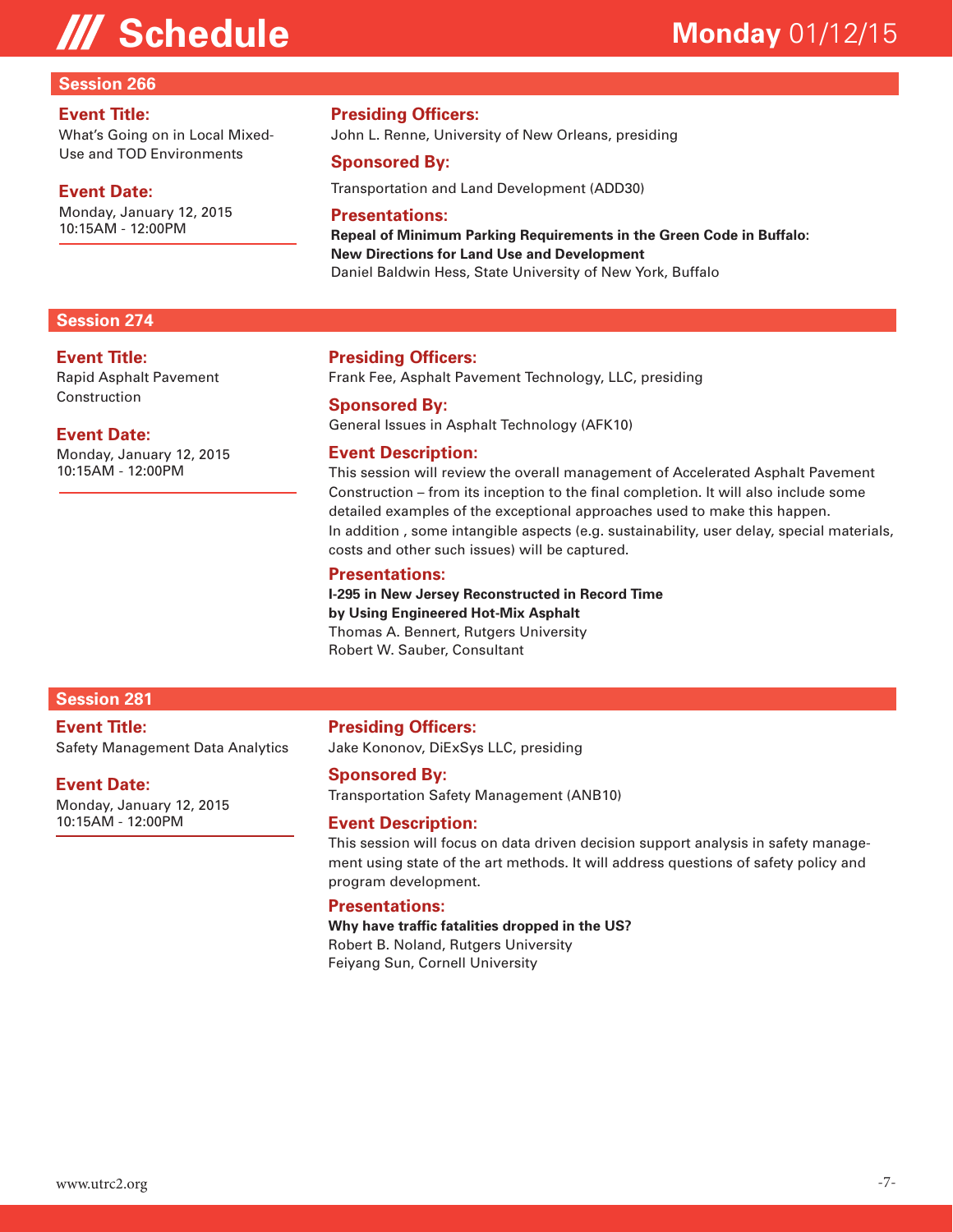# **/// Schedule**

### **Monday** 01/12/15

#### **Session 266**

#### **Event Title:**

What's Going on in Local Mixed-Use and TOD Environments

#### **Event Date:**

Monday, January 12, 2015 10:15AM - 12:00PM

#### **Session 274**

#### **Event Title:**

Rapid Asphalt Pavement Construction

#### **Event Date:**

Monday, January 12, 2015 10:15AM - 12:00PM

#### **Presiding Officers:**

John L. Renne, University of New Orleans, presiding

#### **Sponsored By:**

Transportation and Land Development (ADD30)

#### **Presentations:**

**Repeal of Minimum Parking Requirements in the Green Code in Buffalo: New Directions for Land Use and Development**  Daniel Baldwin Hess, State University of New York, Buffalo

#### **Presiding Officers:**

Frank Fee, Asphalt Pavement Technology, LLC, presiding

#### **Sponsored By:**

General Issues in Asphalt Technology (AFK10)

#### **Event Description:**

This session will review the overall management of Accelerated Asphalt Pavement Construction – from its inception to the final completion. It will also include some detailed examples of the exceptional approaches used to make this happen. In addition , some intangible aspects (e.g. sustainability, user delay, special materials, costs and other such issues) will be captured.

#### **Presentations:**

**I-295 in New Jersey Reconstructed in Record Time by Using Engineered Hot-Mix Asphalt** Thomas A. Bennert, Rutgers University Robert W. Sauber, Consultant

#### **Session 281**

**Event Title:** Safety Management Data Analytics

#### **Event Date:**

Monday, January 12, 2015 10:15AM - 12:00PM

#### **Presiding Officers:**

Jake Kononov, DiExSys LLC, presiding

#### **Sponsored By:**

Transportation Safety Management (ANB10)

#### **Event Description:**

This session will focus on data driven decision support analysis in safety management using state of the art methods. It will address questions of safety policy and program development.

#### **Presentations:**

#### **Why have traffic fatalities dropped in the US?**

Robert B. Noland, Rutgers University Feiyang Sun, Cornell University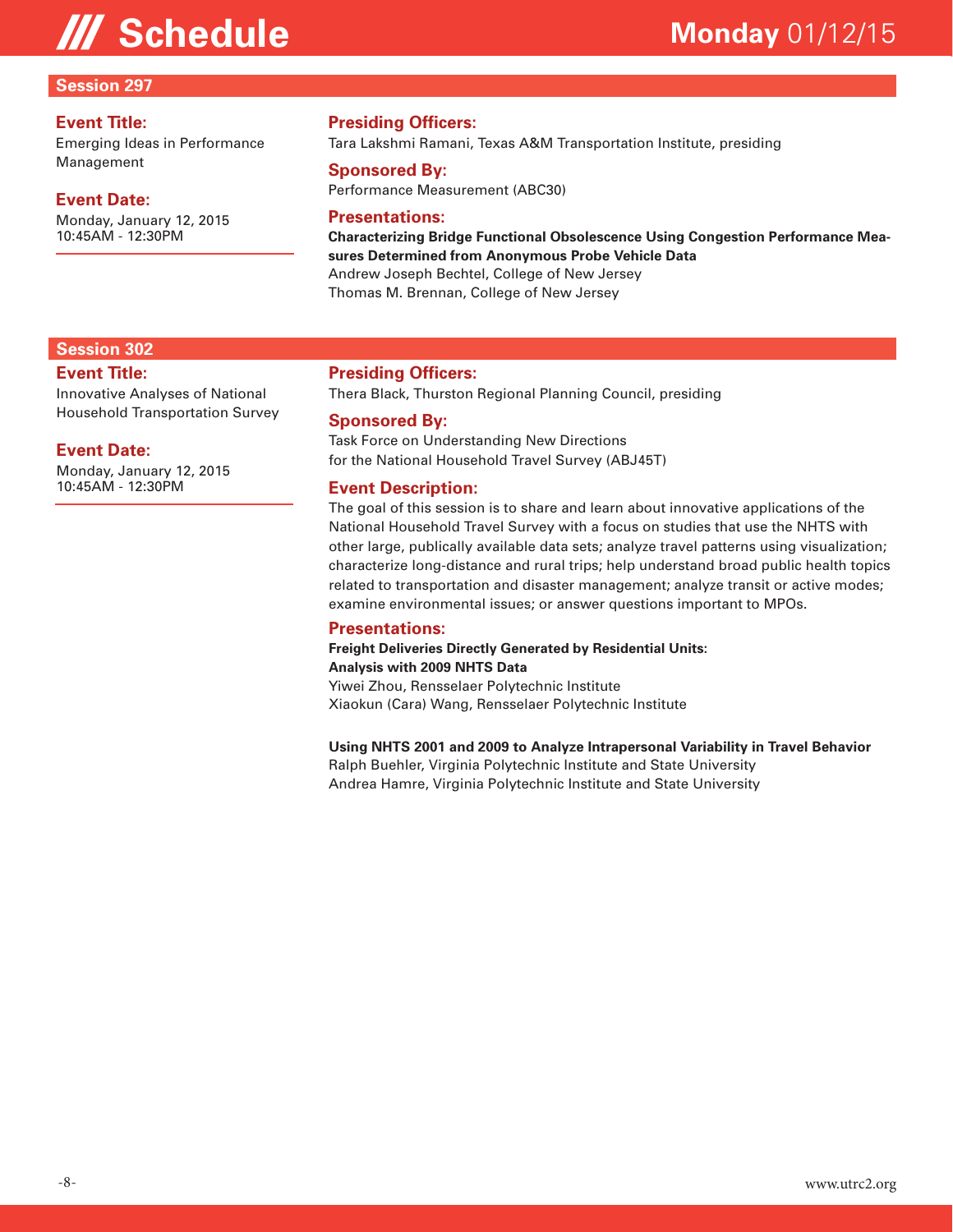# **III Schedule Monday** 01/12/15

### **Session 297**

#### **Event Title:**

Emerging Ideas in Performance Management

### **Event Date:**

Monday, January 12, 2015 10:45AM - 12:30PM

### **Presiding Officers:**

Tara Lakshmi Ramani, Texas A&M Transportation Institute, presiding

#### **Sponsored By:**

Performance Measurement (ABC30)

#### **Presentations:**

**Characterizing Bridge Functional Obsolescence Using Congestion Performance Measures Determined from Anonymous Probe Vehicle Data**  Andrew Joseph Bechtel, College of New Jersey Thomas M. Brennan, College of New Jersey

#### **Session 302**

#### **Event Title:**

Innovative Analyses of National Household Transportation Survey

#### **Event Date:**

Monday, January 12, 2015 10:45AM - 12:30PM

#### **Presiding Officers:**

Thera Black, Thurston Regional Planning Council, presiding

#### **Sponsored By:**

Task Force on Understanding New Directions for the National Household Travel Survey (ABJ45T)

#### **Event Description:**

The goal of this session is to share and learn about innovative applications of the National Household Travel Survey with a focus on studies that use the NHTS with other large, publically available data sets; analyze travel patterns using visualization; characterize long-distance and rural trips; help understand broad public health topics related to transportation and disaster management; analyze transit or active modes; examine environmental issues; or answer questions important to MPOs.

#### **Presentations:**

**Freight Deliveries Directly Generated by Residential Units: Analysis with 2009 NHTS Data** 

Yiwei Zhou, Rensselaer Polytechnic Institute Xiaokun (Cara) Wang, Rensselaer Polytechnic Institute

#### **Using NHTS 2001 and 2009 to Analyze Intrapersonal Variability in Travel Behavior**

Ralph Buehler, Virginia Polytechnic Institute and State University Andrea Hamre, Virginia Polytechnic Institute and State University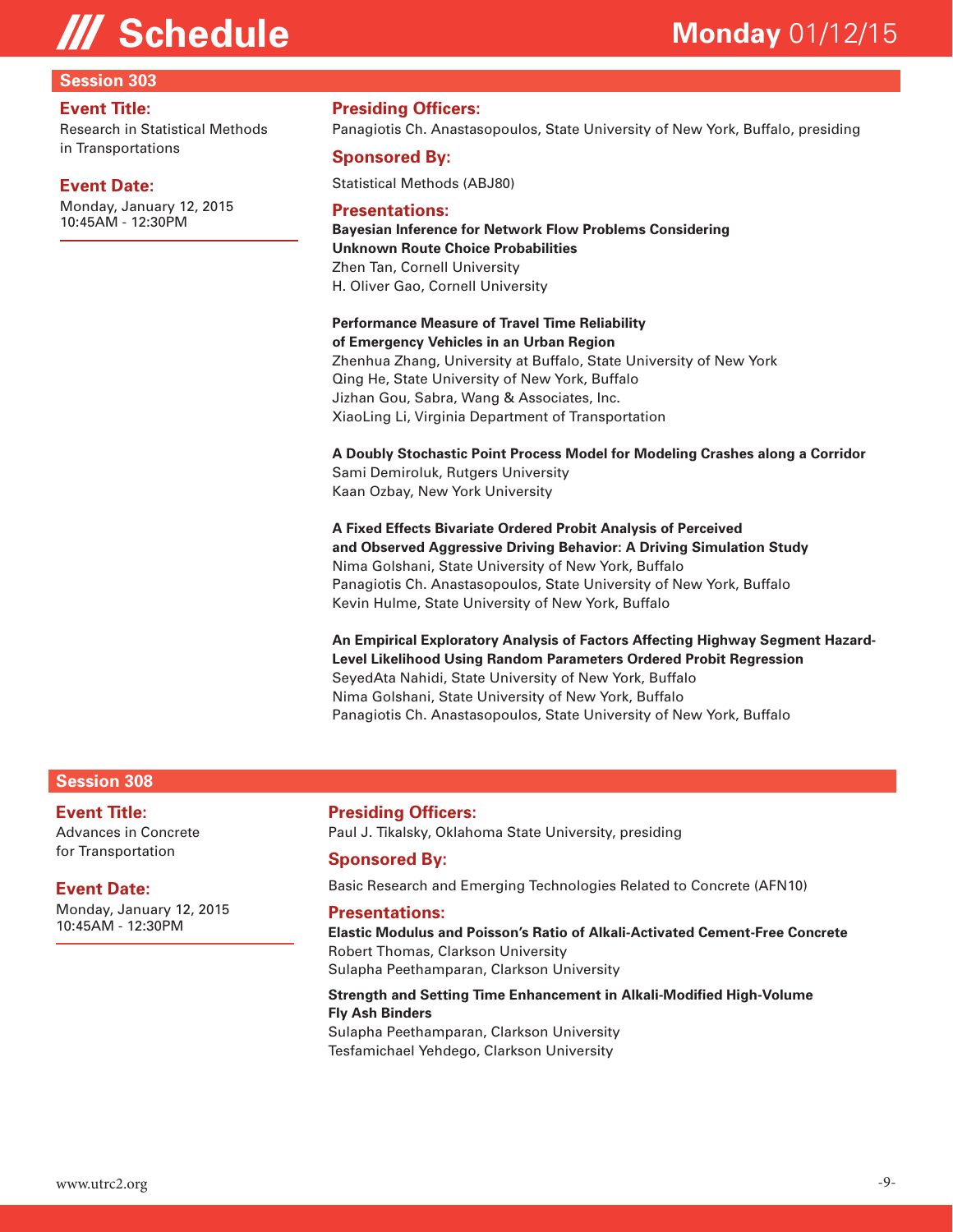#### **Session 303**

#### **Event Title:**

Research in Statistical Methods in Transportations

#### **Event Date:**

Monday, January 12, 2015 10:45AM - 12:30PM

#### **Presiding Officers:**

Panagiotis Ch. Anastasopoulos, State University of New York, Buffalo, presiding

#### **Sponsored By:**

Statistical Methods (ABJ80)

#### **Presentations:**

**Bayesian Inference for Network Flow Problems Considering Unknown Route Choice Probabilities**  Zhen Tan, Cornell University H. Oliver Gao, Cornell University

#### **Performance Measure of Travel Time Reliability**

**of Emergency Vehicles in an Urban Region**  Zhenhua Zhang, University at Buffalo, State University of New York Qing He, State University of New York, Buffalo Jizhan Gou, Sabra, Wang & Associates, Inc. XiaoLing Li, Virginia Department of Transportation

**A Doubly Stochastic Point Process Model for Modeling Crashes along a Corridor**  Sami Demiroluk, Rutgers University Kaan Ozbay, New York University

**A Fixed Effects Bivariate Ordered Probit Analysis of Perceived and Observed Aggressive Driving Behavior: A Driving Simulation Study**  Nima Golshani, State University of New York, Buffalo Panagiotis Ch. Anastasopoulos, State University of New York, Buffalo Kevin Hulme, State University of New York, Buffalo

**An Empirical Exploratory Analysis of Factors Affecting Highway Segment Hazard-Level Likelihood Using Random Parameters Ordered Probit Regression**  SeyedAta Nahidi, State University of New York, Buffalo Nima Golshani, State University of New York, Buffalo Panagiotis Ch. Anastasopoulos, State University of New York, Buffalo

#### **Session 308**

### **Event Title:**

Advances in Concrete for Transportation

#### **Event Date:**

Monday, January 12, 2015 10:45AM - 12:30PM

#### **Presiding Officers:**

Paul J. Tikalsky, Oklahoma State University, presiding

#### **Sponsored By:**

Basic Research and Emerging Technologies Related to Concrete (AFN10)

#### **Presentations:**

**Elastic Modulus and Poisson's Ratio of Alkali-Activated Cement-Free Concrete**  Robert Thomas, Clarkson University Sulapha Peethamparan, Clarkson University

**Strength and Setting Time Enhancement in Alkali-Modified High-Volume Fly Ash Binders** 

Sulapha Peethamparan, Clarkson University Tesfamichael Yehdego, Clarkson University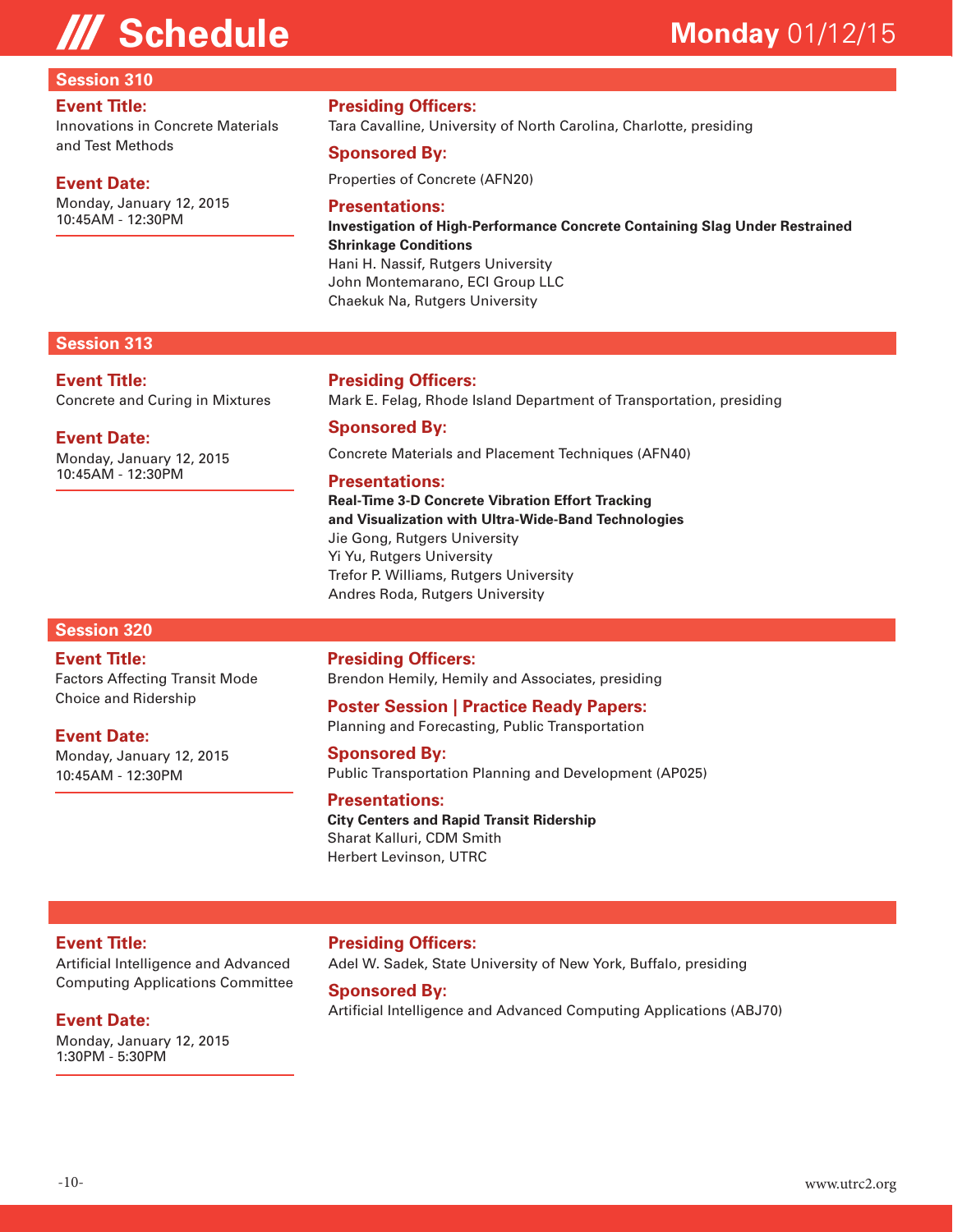### **Session 310**

#### **Event Title:**

Innovations in Concrete Materials and Test Methods

#### **Event Date:**

Monday, January 12, 2015 10:45AM - 12:30PM

#### **Presiding Officers:**

Tara Cavalline, University of North Carolina, Charlotte, presiding

#### **Sponsored By:**

Properties of Concrete (AFN20)

#### **Presentations:**

**Investigation of High-Performance Concrete Containing Slag Under Restrained Shrinkage Conditions**  Hani H. Nassif, Rutgers University John Montemarano, ECI Group LLC Chaekuk Na, Rutgers University

#### **Session 313**

#### **Event Title:**

Concrete and Curing in Mixtures

#### **Event Date:**

Monday, January 12, 2015 10:45AM - 12:30PM

#### **Presiding Officers:**

Mark E. Felag, Rhode Island Department of Transportation, presiding

#### **Sponsored By:**

Concrete Materials and Placement Techniques (AFN40)

#### **Presentations:**

**Real-Time 3-D Concrete Vibration Effort Tracking and Visualization with Ultra-Wide-Band Technologies**  Jie Gong, Rutgers University Yi Yu, Rutgers University Trefor P. Williams, Rutgers University Andres Roda, Rutgers University

#### **Session 320**

#### **Event Title:**

Factors Affecting Transit Mode Choice and Ridership

#### **Event Date:**

Monday, January 12, 2015 10:45AM - 12:30PM

**Presiding Officers:** Brendon Hemily, Hemily and Associates, presiding

**Poster Session | Practice Ready Papers:** Planning and Forecasting, Public Transportation

**Sponsored By:** Public Transportation Planning and Development (AP025)

### **Presentations:**

**City Centers and Rapid Transit Ridership** Sharat Kalluri, CDM Smith Herbert Levinson, UTRC

#### **Event Title:**

Artificial Intelligence and Advanced Computing Applications Committee

### **Event Date:**

Monday, January 12, 2015 1:30PM - 5:30PM

**Presiding Officers:** Adel W. Sadek, State University of New York, Buffalo, presiding

#### **Sponsored By:**

Artificial Intelligence and Advanced Computing Applications (ABJ70)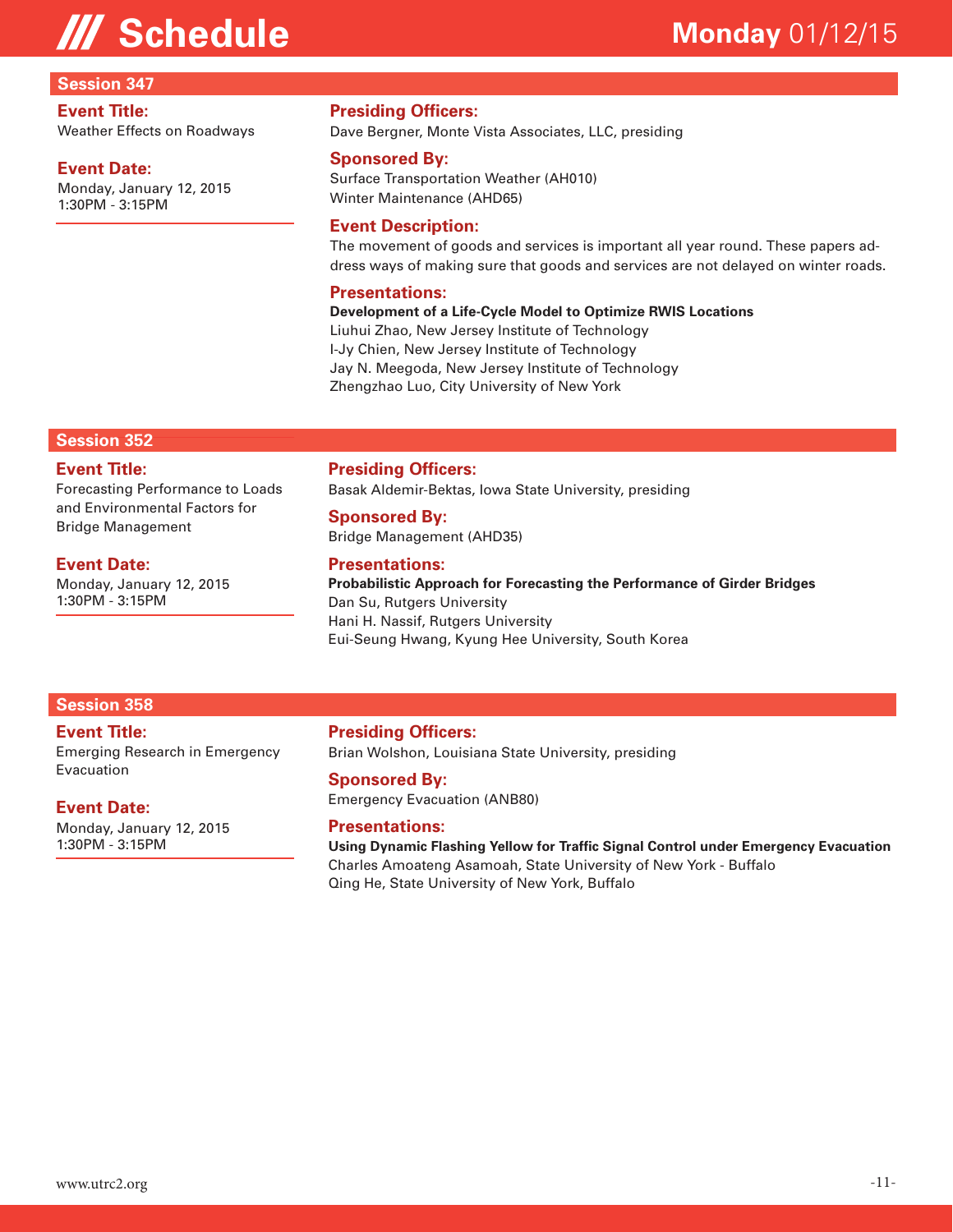# **All Schedule Monday** 01/12/15

#### **Session 347**

#### **Event Title:**

Weather Effects on Roadways

#### **Event Date:**

Monday, January 12, 2015 1:30PM - 3:15PM

#### **Presiding Officers:**

Dave Bergner, Monte Vista Associates, LLC, presiding

#### **Sponsored By:**

Surface Transportation Weather (AH010) Winter Maintenance (AHD65)

#### **Event Description:**

The movement of goods and services is important all year round. These papers address ways of making sure that goods and services are not delayed on winter roads.

#### **Presentations:**

#### **Development of a Life-Cycle Model to Optimize RWIS Locations**

Liuhui Zhao, New Jersey Institute of Technology I-Jy Chien, New Jersey Institute of Technology Jay N. Meegoda, New Jersey Institute of Technology Zhengzhao Luo, City University of New York

#### **Session 352**

#### **Event Title:**

Forecasting Performance to Loads and Environmental Factors for Bridge Management

#### **Event Date:**

Monday, January 12, 2015 1:30PM - 3:15PM

#### **Presiding Officers:**

Basak Aldemir-Bektas, Iowa State University, presiding

#### **Sponsored By:**

Bridge Management (AHD35)

#### **Presentations:**

**Probabilistic Approach for Forecasting the Performance of Girder Bridges**  Dan Su, Rutgers University Hani H. Nassif, Rutgers University Eui-Seung Hwang, Kyung Hee University, South Korea

#### **Session 358**

#### **Event Title:**

Emerging Research in Emergency Evacuation

#### **Event Date:**

Monday, January 12, 2015 1:30PM - 3:15PM

### **Presiding Officers:**

Brian Wolshon, Louisiana State University, presiding

#### **Sponsored By:**

Emergency Evacuation (ANB80)

#### **Presentations:**

**Using Dynamic Flashing Yellow for Traffic Signal Control under Emergency Evacuation**  Charles Amoateng Asamoah, State University of New York - Buffalo Qing He, State University of New York, Buffalo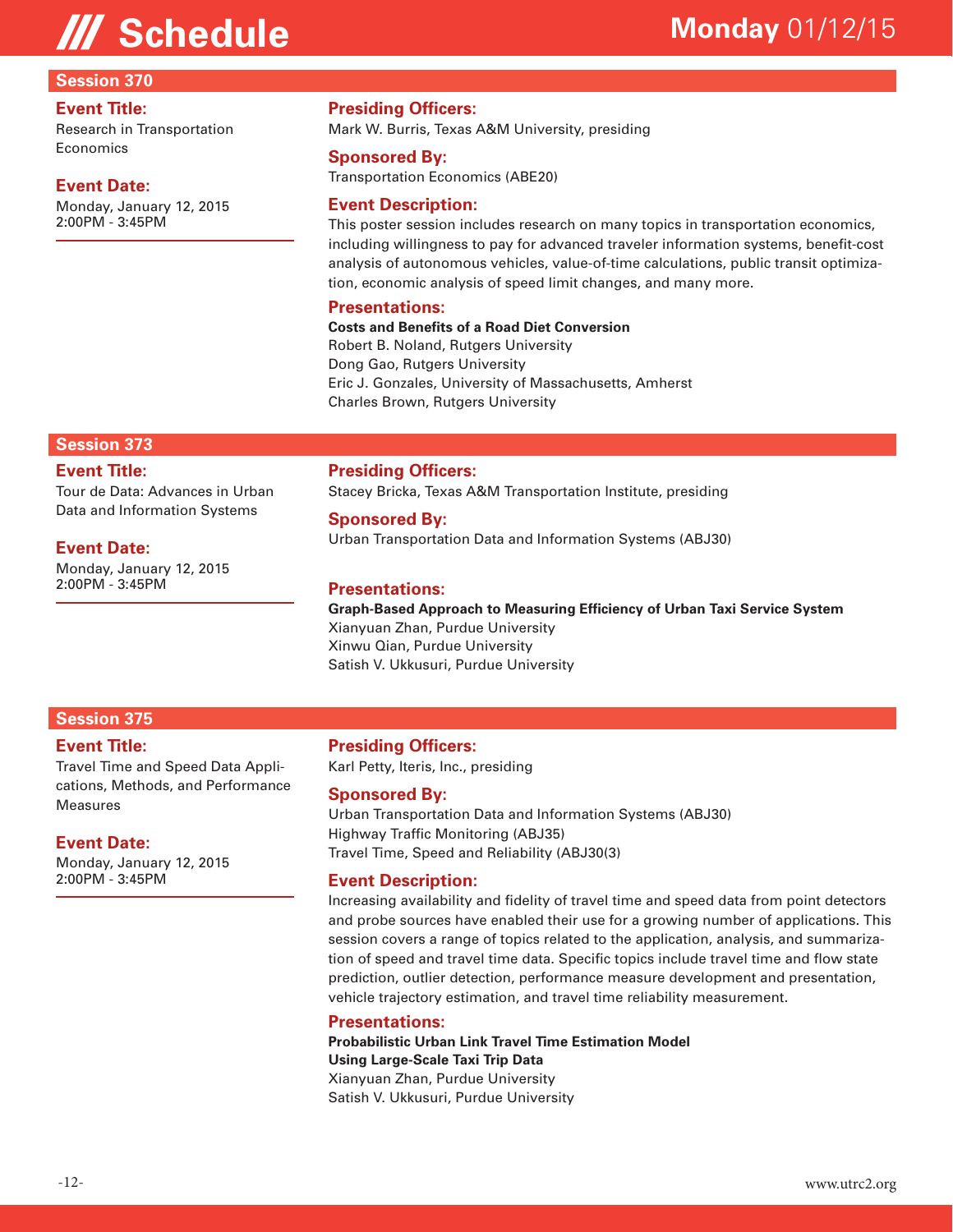# **III Schedule Monday** 01/12/15

#### **Session 370**

#### **Event Title:**

Research in Transportation Economics

#### **Event Date:**

Monday, January 12, 2015 2:00PM - 3:45PM

#### **Presiding Officers:**

Mark W. Burris, Texas A&M University, presiding

#### **Sponsored By:**

Transportation Economics (ABE20)

#### **Event Description:**

This poster session includes research on many topics in transportation economics, including willingness to pay for advanced traveler information systems, benefit-cost analysis of autonomous vehicles, value-of-time calculations, public transit optimization, economic analysis of speed limit changes, and many more.

#### **Presentations:**

#### **Costs and Benefits of a Road Diet Conversion**

Robert B. Noland, Rutgers University Dong Gao, Rutgers University Eric J. Gonzales, University of Massachusetts, Amherst Charles Brown, Rutgers University

#### **Session 373**

#### **Event Title:**

Tour de Data: Advances in Urban Data and Information Systems

#### **Event Date:**

Monday, January 12, 2015 2:00PM - 3:45PM

#### **Presiding Officers:**

Stacey Bricka, Texas A&M Transportation Institute, presiding

#### **Sponsored By:**

Urban Transportation Data and Information Systems (ABJ30)

#### **Presentations:**

**Graph-Based Approach to Measuring Efficiency of Urban Taxi Service System**  Xianyuan Zhan, Purdue University Xinwu Qian, Purdue University Satish V. Ukkusuri, Purdue University

#### **Session 375**

#### **Event Title:**

Travel Time and Speed Data Applications, Methods, and Performance Measures

#### **Event Date:**

Monday, January 12, 2015 2:00PM - 3:45PM

#### **Presiding Officers:**

Karl Petty, Iteris, Inc., presiding

#### **Sponsored By:**

Urban Transportation Data and Information Systems (ABJ30) Highway Traffic Monitoring (ABJ35) Travel Time, Speed and Reliability (ABJ30(3)

#### **Event Description:**

Increasing availability and fidelity of travel time and speed data from point detectors and probe sources have enabled their use for a growing number of applications. This session covers a range of topics related to the application, analysis, and summarization of speed and travel time data. Specific topics include travel time and flow state prediction, outlier detection, performance measure development and presentation, vehicle trajectory estimation, and travel time reliability measurement.

#### **Presentations:**

**Probabilistic Urban Link Travel Time Estimation Model Using Large-Scale Taxi Trip Data**  Xianyuan Zhan, Purdue University Satish V. Ukkusuri, Purdue University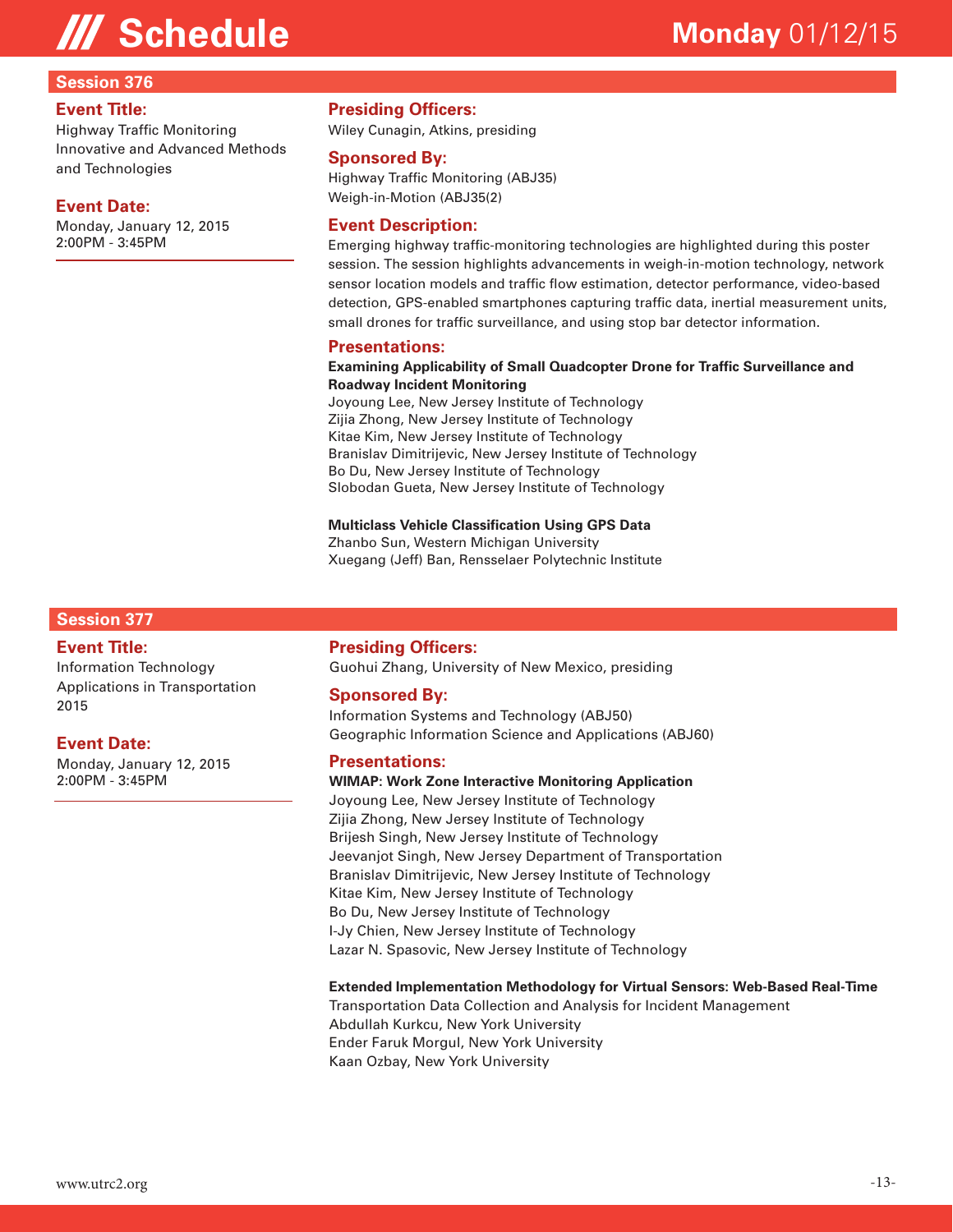#### **Session 376**

#### **Event Title:**

Highway Traffic Monitoring Innovative and Advanced Methods and Technologies

#### **Event Date:**

Monday, January 12, 2015 2:00PM - 3:45PM

**Presiding Officers:**

Wiley Cunagin, Atkins, presiding

#### **Sponsored By:**

Highway Traffic Monitoring (ABJ35) Weigh-in-Motion (ABJ35(2)

#### **Event Description:**

Emerging highway traffic-monitoring technologies are highlighted during this poster session. The session highlights advancements in weigh-in-motion technology, network sensor location models and traffic flow estimation, detector performance, video-based detection, GPS-enabled smartphones capturing traffic data, inertial measurement units, small drones for traffic surveillance, and using stop bar detector information.

#### **Presentations:**

#### **Examining Applicability of Small Quadcopter Drone for Traffic Surveillance and Roadway Incident Monitoring**

Joyoung Lee, New Jersey Institute of Technology Zijia Zhong, New Jersey Institute of Technology Kitae Kim, New Jersey Institute of Technology Branislav Dimitrijevic, New Jersey Institute of Technology Bo Du, New Jersey Institute of Technology Slobodan Gueta, New Jersey Institute of Technology

#### **Multiclass Vehicle Classification Using GPS Data**

Zhanbo Sun, Western Michigan University Xuegang (Jeff) Ban, Rensselaer Polytechnic Institute

#### **Session 377**

#### **Event Title:**

Information Technology Applications in Transportation 2015

#### **Event Date:**

Monday, January 12, 2015 2:00PM - 3:45PM

#### **Presiding Officers:**

Guohui Zhang, University of New Mexico, presiding

#### **Sponsored By:**

Information Systems and Technology (ABJ50) Geographic Information Science and Applications (ABJ60)

#### **Presentations:**

**WIMAP: Work Zone Interactive Monitoring Application**  Joyoung Lee, New Jersey Institute of Technology Zijia Zhong, New Jersey Institute of Technology Brijesh Singh, New Jersey Institute of Technology Jeevanjot Singh, New Jersey Department of Transportation Branislav Dimitrijevic, New Jersey Institute of Technology Kitae Kim, New Jersey Institute of Technology Bo Du, New Jersey Institute of Technology I-Jy Chien, New Jersey Institute of Technology Lazar N. Spasovic, New Jersey Institute of Technology

#### **Extended Implementation Methodology for Virtual Sensors: Web-Based Real-Time**

Transportation Data Collection and Analysis for Incident Management Abdullah Kurkcu, New York University Ender Faruk Morgul, New York University Kaan Ozbay, New York University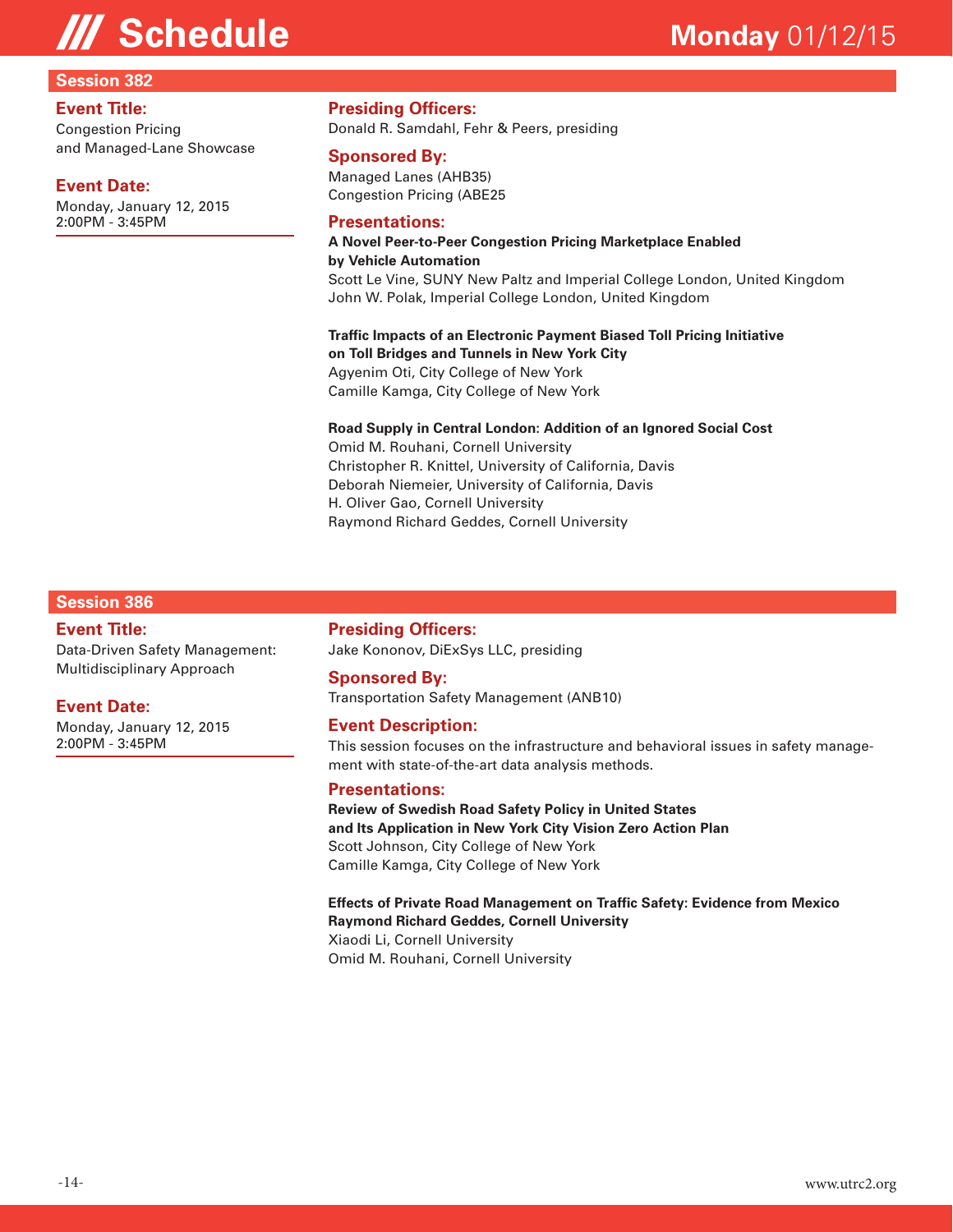#### **Session 382**

#### **Event Title:**

Congestion Pricing and Managed-Lane Showcase

#### **Event Date:**

Monday, January 12, 2015 2:00PM - 3:45PM

### **Presiding Officers:**

Donald R. Samdahl, Fehr & Peers, presiding

#### **Sponsored By:**

Managed Lanes (AHB35) Congestion Pricing (ABE25

#### **Presentations:**

**A Novel Peer-to-Peer Congestion Pricing Marketplace Enabled by Vehicle Automation**  Scott Le Vine, SUNY New Paltz and Imperial College London, United Kingdom John W. Polak, Imperial College London, United Kingdom

**Traffic Impacts of an Electronic Payment Biased Toll Pricing Initiative on Toll Bridges and Tunnels in New York City**  Agyenim Oti, City College of New York Camille Kamga, City College of New York

#### **Road Supply in Central London: Addition of an Ignored Social Cost**

Omid M. Rouhani, Cornell University Christopher R. Knittel, University of California, Davis Deborah Niemeier, University of California, Davis H. Oliver Gao, Cornell University Raymond Richard Geddes, Cornell University

#### **Session 386**

#### **Event Title:**

Data-Driven Safety Management: Multidisciplinary Approach

#### **Event Date:**

Monday, January 12, 2015 2:00PM - 3:45PM

**Presiding Officers:** Jake Kononov, DiExSys LLC, presiding

#### **Sponsored By:**

Transportation Safety Management (ANB10)

#### **Event Description:**

This session focuses on the infrastructure and behavioral issues in safety management with state-of-the-art data analysis methods.

#### **Presentations:**

**Review of Swedish Road Safety Policy in United States and Its Application in New York City Vision Zero Action Plan**  Scott Johnson, City College of New York Camille Kamga, City College of New York

#### **Effects of Private Road Management on Traffic Safety: Evidence from Mexico Raymond Richard Geddes, Cornell University** Xiaodi Li, Cornell University

Omid M. Rouhani, Cornell University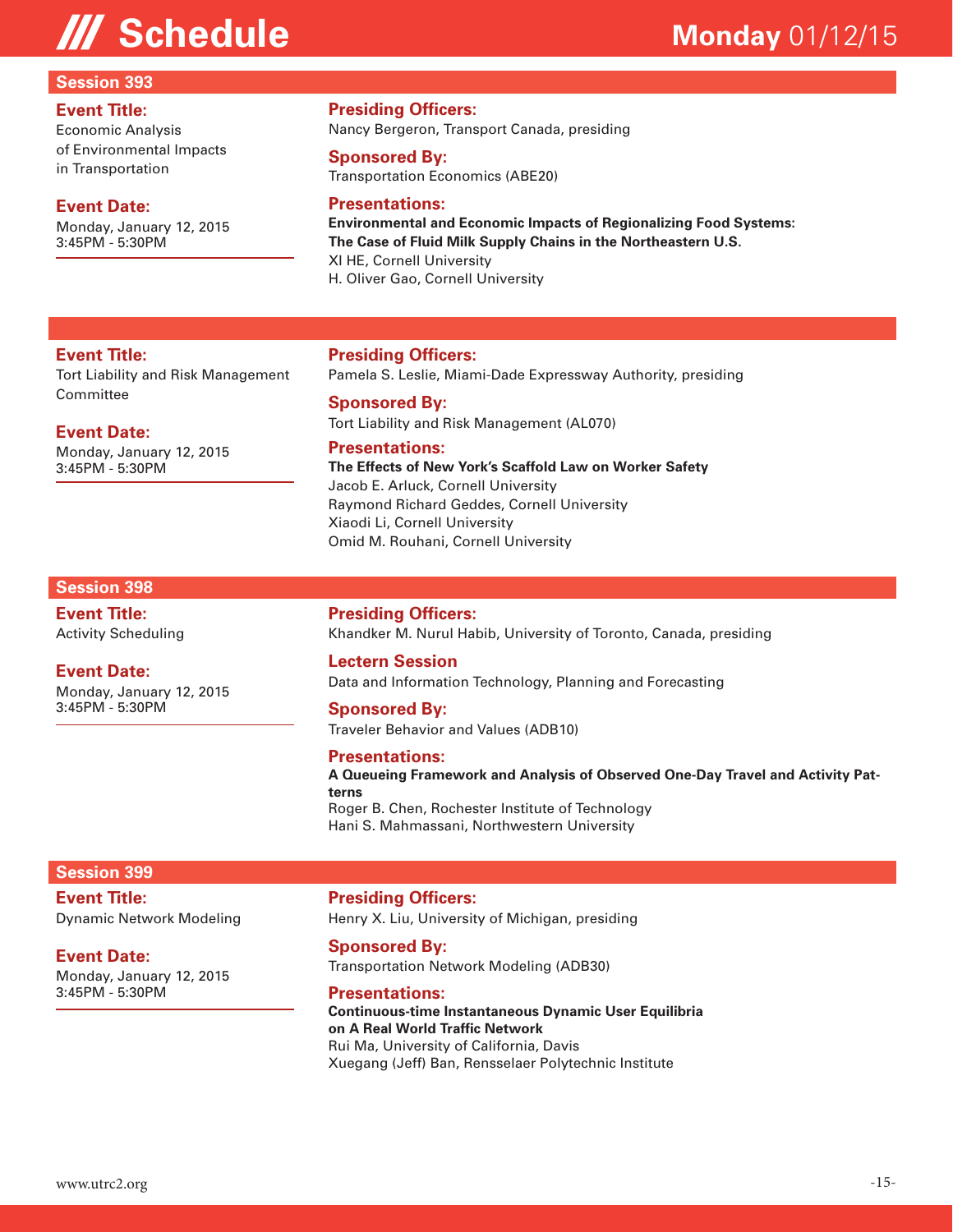#### **Session 393**

#### **Event Title:**

Economic Analysis of Environmental Impacts in Transportation

#### **Event Date:**

**Event Title:**

**Event Date:**

3:45PM - 5:30PM

Monday, January 12, 2015

Committee

Monday, January 12, 2015 3:45PM - 5:30PM

Tort Liability and Risk Management

#### **Presiding Officers:**

Nancy Bergeron, Transport Canada, presiding

#### **Sponsored By:**

Transportation Economics (ABE20)

#### **Presentations:**

**Environmental and Economic Impacts of Regionalizing Food Systems: The Case of Fluid Milk Supply Chains in the Northeastern U.S.**  XI HE, Cornell University H. Oliver Gao, Cornell University

#### **Presiding Officers:**

Pamela S. Leslie, Miami-Dade Expressway Authority, presiding

#### **Sponsored By:** Tort Liability and Risk Management (AL070)

#### **Presentations:**

**The Effects of New York's Scaffold Law on Worker Safety**  Jacob E. Arluck, Cornell University Raymond Richard Geddes, Cornell University Xiaodi Li, Cornell University Omid M. Rouhani, Cornell University

#### **Session 398**

**Event Title:** Activity Scheduling

#### **Event Date:**

Monday, January 12, 2015 3:45PM - 5:30PM

### **Presiding Officers:**

Khandker M. Nurul Habib, University of Toronto, Canada, presiding

#### **Lectern Session**

Data and Information Technology, Planning and Forecasting

#### **Sponsored By:**

Traveler Behavior and Values (ADB10)

#### **Presentations:**

**A Queueing Framework and Analysis of Observed One-Day Travel and Activity Patterns**  Roger B. Chen, Rochester Institute of Technology

Hani S. Mahmassani, Northwestern University

#### **Session 399**

**Event Title:**

Dynamic Network Modeling

#### **Event Date:**

Monday, January 12, 2015 3:45PM - 5:30PM

**Presiding Officers:**

Henry X. Liu, University of Michigan, presiding

#### **Sponsored By:**

Transportation Network Modeling (ADB30)

#### **Presentations:**

**Continuous-time Instantaneous Dynamic User Equilibria on A Real World Traffic Network**  Rui Ma, University of California, Davis Xuegang (Jeff) Ban, Rensselaer Polytechnic Institute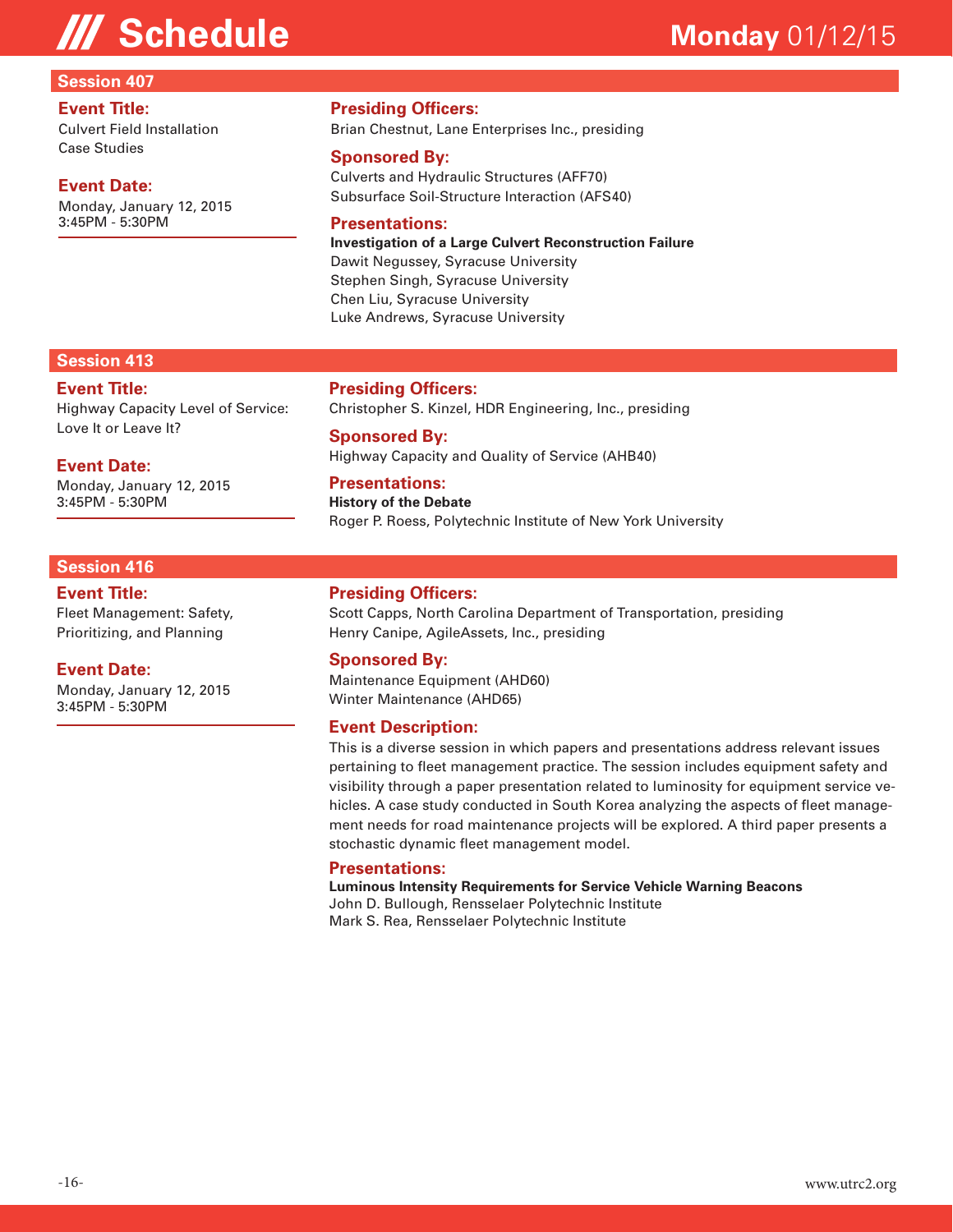#### **Session 407**

#### **Event Title:**

Culvert Field Installation Case Studies

#### **Event Date:**

Monday, January 12, 2015 3:45PM - 5:30PM

### **Presiding Officers:**

Brian Chestnut, Lane Enterprises Inc., presiding

#### **Sponsored By:**

Culverts and Hydraulic Structures (AFF70) Subsurface Soil-Structure Interaction (AFS40)

#### **Presentations:**

**Investigation of a Large Culvert Reconstruction Failure**  Dawit Negussey, Syracuse University Stephen Singh, Syracuse University Chen Liu, Syracuse University Luke Andrews, Syracuse University

#### **Session 413**

#### **Event Title:** Highway Capacity Level of Service: Love It or Leave It?

**Event Date:**

Monday, January 12, 2015 3:45PM - 5:30PM

#### **Session 416**

**Event Title:**

Fleet Management: Safety, Prioritizing, and Planning

#### **Event Date:**

Monday, January 12, 2015 3:45PM - 5:30PM

#### **Presiding Officers:**

Christopher S. Kinzel, HDR Engineering, Inc., presiding

#### **Sponsored By:** Highway Capacity and Quality of Service (AHB40)

**Presentations:**

**History of the Debate**  Roger P. Roess, Polytechnic Institute of New York University

#### **Presiding Officers:**

Scott Capps, North Carolina Department of Transportation, presiding Henry Canipe, AgileAssets, Inc., presiding

#### **Sponsored By:**

Maintenance Equipment (AHD60) Winter Maintenance (AHD65)

#### **Event Description:**

This is a diverse session in which papers and presentations address relevant issues pertaining to fleet management practice. The session includes equipment safety and visibility through a paper presentation related to luminosity for equipment service vehicles. A case study conducted in South Korea analyzing the aspects of fleet management needs for road maintenance projects will be explored. A third paper presents a stochastic dynamic fleet management model.

#### **Presentations:**

**Luminous Intensity Requirements for Service Vehicle Warning Beacons**  John D. Bullough, Rensselaer Polytechnic Institute Mark S. Rea, Rensselaer Polytechnic Institute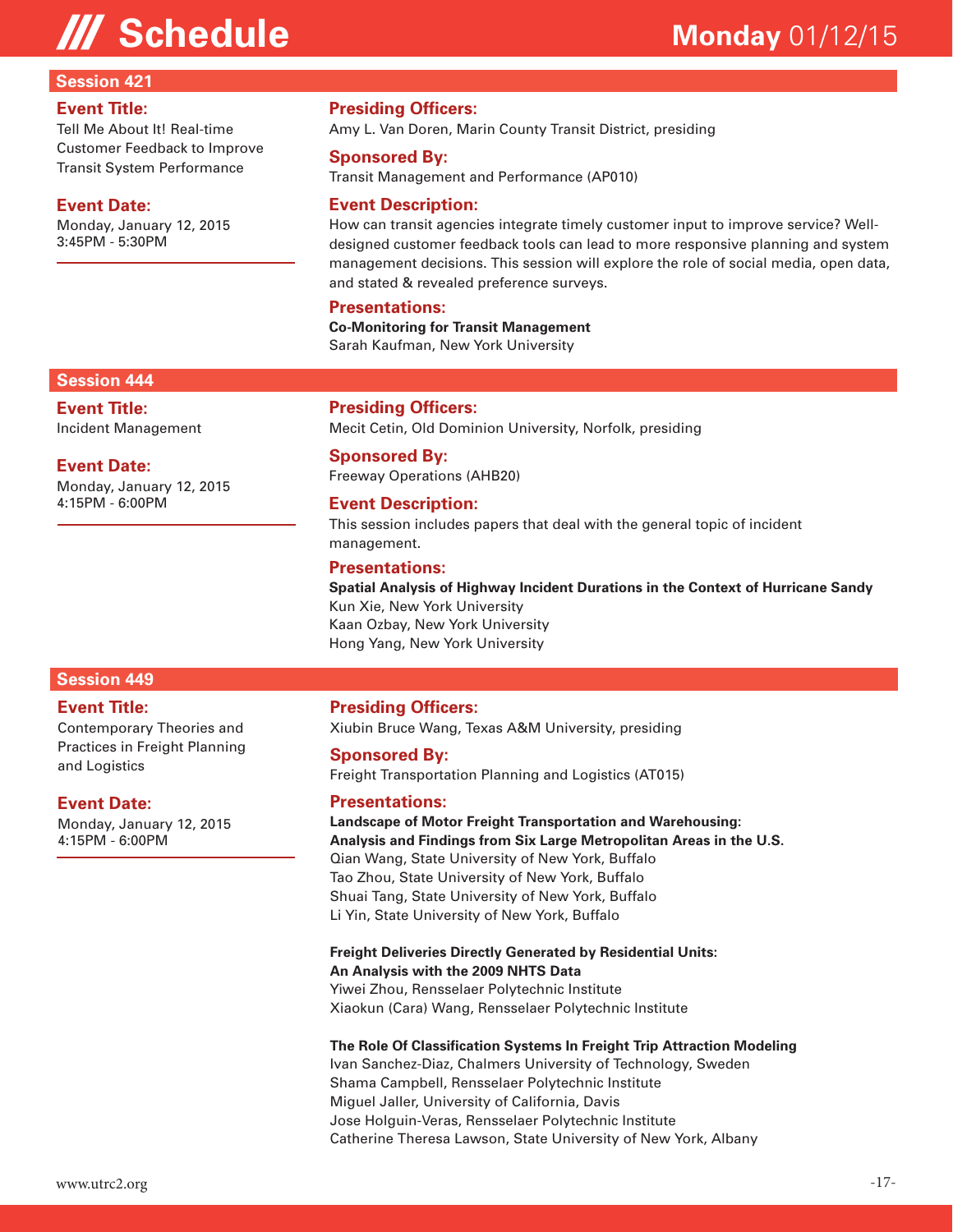#### **Session 421**

#### **Event Title:**

Tell Me About It! Real-time Customer Feedback to Improve Transit System Performance

#### **Event Date:**

Monday, January 12, 2015 3:45PM - 5:30PM

#### **Presiding Officers:**

Amy L. Van Doren, Marin County Transit District, presiding

#### **Sponsored By:**

Transit Management and Performance (AP010)

#### **Event Description:**

How can transit agencies integrate timely customer input to improve service? Welldesigned customer feedback tools can lead to more responsive planning and system management decisions. This session will explore the role of social media, open data, and stated & revealed preference surveys.

#### **Presentations:**

**Co-Monitoring for Transit Management**  Sarah Kaufman, New York University

#### **Session 444**

**Event Title:** Incident Management

#### **Event Date:**

Monday, January 12, 2015 4:15PM - 6:00PM

### **Presiding Officers:**

Mecit Cetin, Old Dominion University, Norfolk, presiding

#### **Sponsored By:**

Freeway Operations (AHB20)

#### **Event Description:**

This session includes papers that deal with the general topic of incident management.

#### **Presentations:**

**Spatial Analysis of Highway Incident Durations in the Context of Hurricane Sandy**  Kun Xie, New York University Kaan Ozbay, New York University Hong Yang, New York University

### **Session 449**

#### **Event Title:**

Contemporary Theories and Practices in Freight Planning and Logistics

#### **Event Date:**

Monday, January 12, 2015 4:15PM - 6:00PM

#### **Presiding Officers:**

Xiubin Bruce Wang, Texas A&M University, presiding

#### **Sponsored By:**

Freight Transportation Planning and Logistics (AT015)

#### **Presentations:**

**Landscape of Motor Freight Transportation and Warehousing: Analysis and Findings from Six Large Metropolitan Areas in the U.S.**  Qian Wang, State University of New York, Buffalo Tao Zhou, State University of New York, Buffalo Shuai Tang, State University of New York, Buffalo Li Yin, State University of New York, Buffalo

### **Freight Deliveries Directly Generated by Residential Units:**

**An Analysis with the 2009 NHTS Data** 

Yiwei Zhou, Rensselaer Polytechnic Institute Xiaokun (Cara) Wang, Rensselaer Polytechnic Institute

#### **The Role Of Classification Systems In Freight Trip Attraction Modeling**

Ivan Sanchez-Diaz, Chalmers University of Technology, Sweden Shama Campbell, Rensselaer Polytechnic Institute Miguel Jaller, University of California, Davis Jose Holguin-Veras, Rensselaer Polytechnic Institute Catherine Theresa Lawson, State University of New York, Albany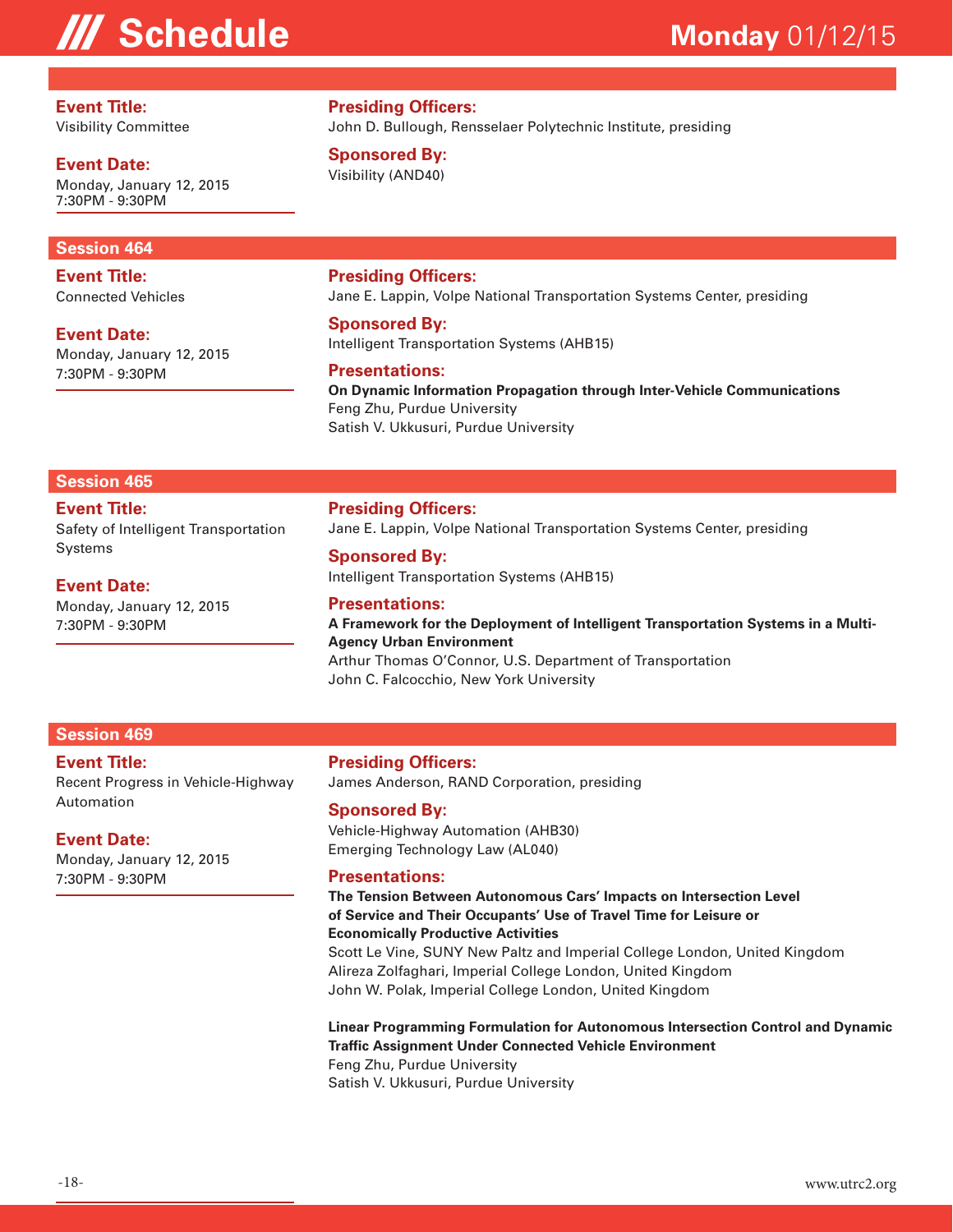**Event Title:** Visibility Committee

**Event Date:**

Monday, January 12, 2015 7:30PM - 9:30PM

#### **Session 464**

**Event Title:** Connected Vehicles

**Event Date:**

Monday, January 12, 2015 7:30PM - 9:30PM

**Presiding Officers:** John D. Bullough, Rensselaer Polytechnic Institute, presiding

**Sponsored By:** Visibility (AND40)

#### **Presiding Officers:**

Jane E. Lappin, Volpe National Transportation Systems Center, presiding

#### **Sponsored By:**

Intelligent Transportation Systems (AHB15)

#### **Presentations:**

**On Dynamic Information Propagation through Inter-Vehicle Communications**  Feng Zhu, Purdue University Satish V. Ukkusuri, Purdue University

#### **Session 465**

**Event Title:**

Safety of Intelligent Transportation Systems

**Event Date:**

Monday, January 12, 2015 7:30PM - 9:30PM

**Presiding Officers:** Jane E. Lappin, Volpe National Transportation Systems Center, presiding

#### **Sponsored By:**

Intelligent Transportation Systems (AHB15)

#### **Presentations:**

**A Framework for the Deployment of Intelligent Transportation Systems in a Multi-Agency Urban Environment** 

Arthur Thomas O'Connor, U.S. Department of Transportation John C. Falcocchio, New York University

#### **Session 469**

**Event Title:** Recent Progress in Vehicle-Highway Automation

#### **Event Date:**

Monday, January 12, 2015 7:30PM - 9:30PM

#### **Presiding Officers:** James Anderson, RAND Corporation, presiding

#### **Sponsored By:**

Vehicle-Highway Automation (AHB30) Emerging Technology Law (AL040)

#### **Presentations:**

**The Tension Between Autonomous Cars' Impacts on Intersection Level of Service and Their Occupants' Use of Travel Time for Leisure or Economically Productive Activities** 

Scott Le Vine, SUNY New Paltz and Imperial College London, United Kingdom Alireza Zolfaghari, Imperial College London, United Kingdom John W. Polak, Imperial College London, United Kingdom

#### **Linear Programming Formulation for Autonomous Intersection Control and Dynamic Traffic Assignment Under Connected Vehicle Environment**

Feng Zhu, Purdue University Satish V. Ukkusuri, Purdue University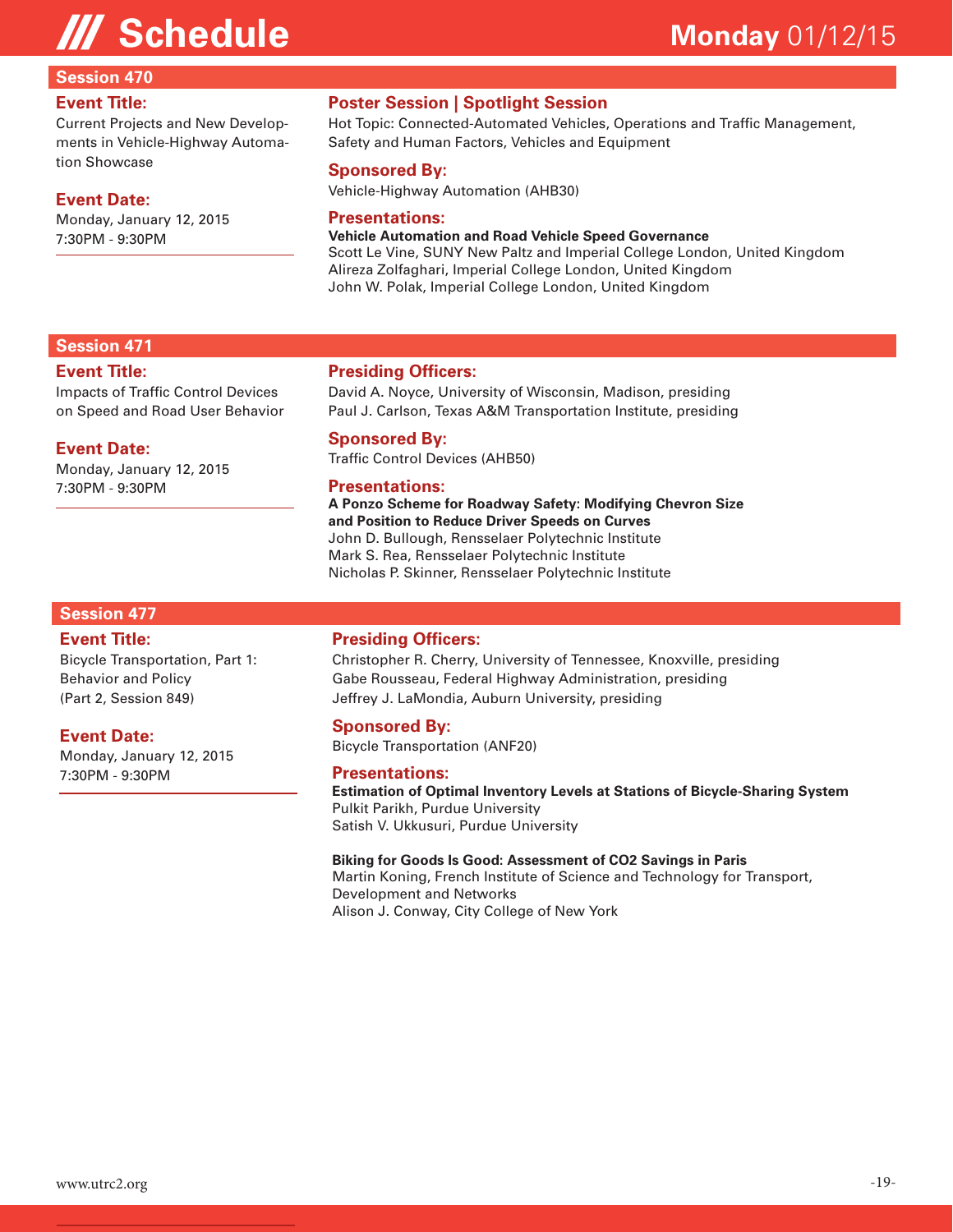### **Session 470**

#### **Event Title:**

Current Projects and New Developments in Vehicle-Highway Automation Showcase

#### **Event Date:**

Monday, January 12, 2015 7:30PM - 9:30PM

### **Poster Session | Spotlight Session**

Hot Topic: Connected-Automated Vehicles, Operations and Traffic Management, Safety and Human Factors, Vehicles and Equipment

#### **Sponsored By:**

Vehicle-Highway Automation (AHB30)

#### **Presentations:**

**Vehicle Automation and Road Vehicle Speed Governance**  Scott Le Vine, SUNY New Paltz and Imperial College London, United Kingdom Alireza Zolfaghari, Imperial College London, United Kingdom John W. Polak, Imperial College London, United Kingdom

#### **Session 471**

#### **Event Title:**

Impacts of Traffic Control Devices on Speed and Road User Behavior

#### **Event Date:**

Monday, January 12, 2015 7:30PM - 9:30PM

#### **Presiding Officers:**

David A. Noyce, University of Wisconsin, Madison, presiding Paul J. Carlson, Texas A&M Transportation Institute, presiding

#### **Sponsored By:**

Traffic Control Devices (AHB50)

#### **Presentations:**

**A Ponzo Scheme for Roadway Safety: Modifying Chevron Size and Position to Reduce Driver Speeds on Curves**  John D. Bullough, Rensselaer Polytechnic Institute Mark S. Rea, Rensselaer Polytechnic Institute Nicholas P. Skinner, Rensselaer Polytechnic Institute

#### **Session 477**

#### **Event Title:**

Bicycle Transportation, Part 1: Behavior and Policy (Part 2, Session 849)

#### **Event Date:**

Monday, January 12, 2015 7:30PM - 9:30PM

#### **Presiding Officers:**

Christopher R. Cherry, University of Tennessee, Knoxville, presiding Gabe Rousseau, Federal Highway Administration, presiding Jeffrey J. LaMondia, Auburn University, presiding

#### **Sponsored By:**

Bicycle Transportation (ANF20)

#### **Presentations:**

**Estimation of Optimal Inventory Levels at Stations of Bicycle-Sharing System**  Pulkit Parikh, Purdue University Satish V. Ukkusuri, Purdue University

#### **Biking for Goods Is Good: Assessment of CO2 Savings in Paris**

Martin Koning, French Institute of Science and Technology for Transport, Development and Networks Alison J. Conway, City College of New York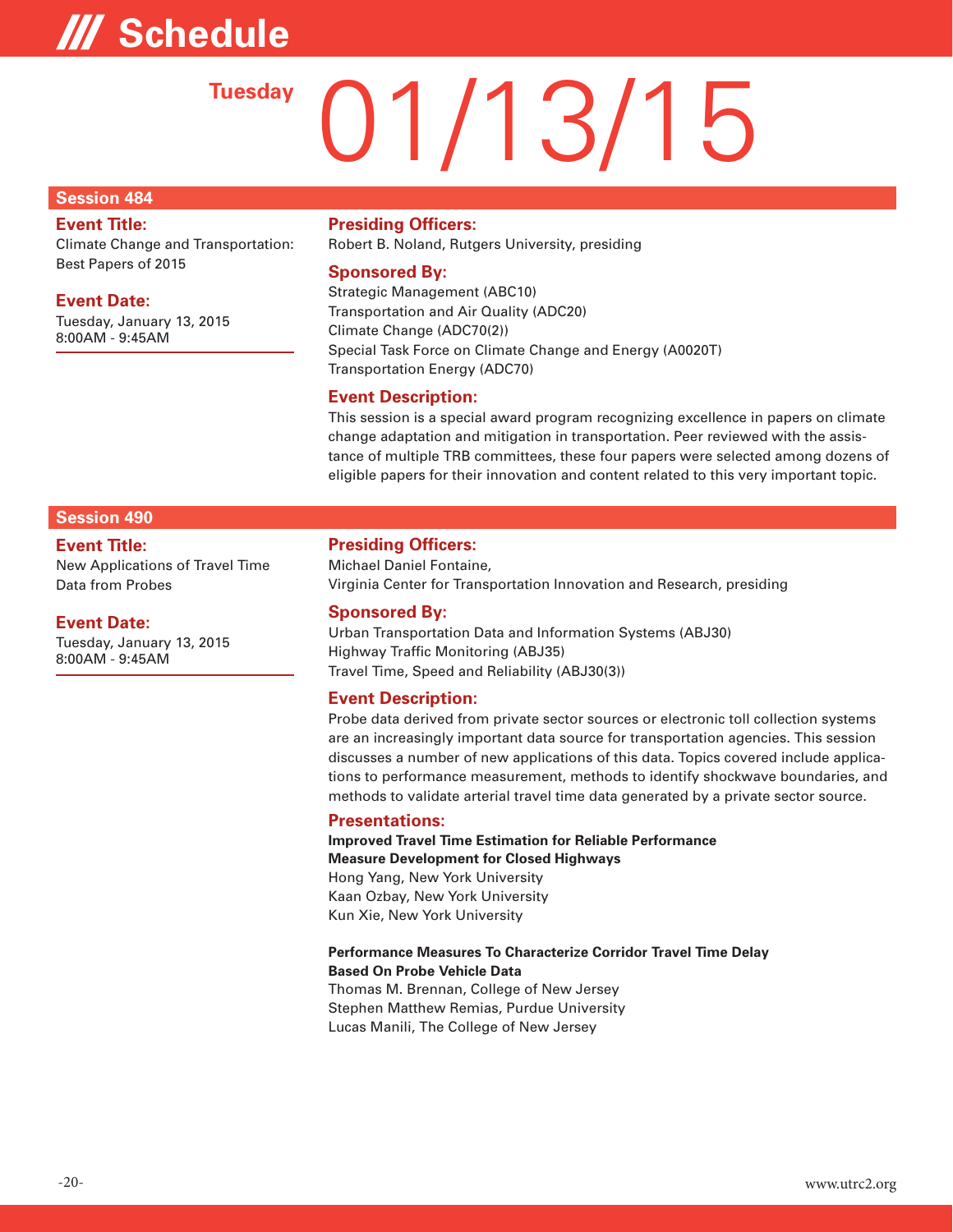# **/// Schedule**

# 01/13/15 **Tuesday**

#### **Session 484**

#### **Event Title:**

Climate Change and Transportation: Best Papers of 2015

#### **Event Date:**

Tuesday, January 13, 2015 8:00AM - 9:45AM

#### **Presiding Officers:**

Robert B. Noland, Rutgers University, presiding

#### **Sponsored By:**

Strategic Management (ABC10) Transportation and Air Quality (ADC20) Climate Change (ADC70(2)) Special Task Force on Climate Change and Energy (A0020T) Transportation Energy (ADC70)

#### **Event Description:**

This session is a special award program recognizing excellence in papers on climate change adaptation and mitigation in transportation. Peer reviewed with the assistance of multiple TRB committees, these four papers were selected among dozens of eligible papers for their innovation and content related to this very important topic.

### **Session 490**

**Event Title:** New Applications of Travel Time Data from Probes

#### **Event Date:**

Tuesday, January 13, 2015 8:00AM - 9:45AM

#### **Presiding Officers:**

Michael Daniel Fontaine, Virginia Center for Transportation Innovation and Research, presiding

#### **Sponsored By:**

Urban Transportation Data and Information Systems (ABJ30) Highway Traffic Monitoring (ABJ35) Travel Time, Speed and Reliability (ABJ30(3))

#### **Event Description:**

Probe data derived from private sector sources or electronic toll collection systems are an increasingly important data source for transportation agencies. This session discusses a number of new applications of this data. Topics covered include applications to performance measurement, methods to identify shockwave boundaries, and methods to validate arterial travel time data generated by a private sector source.

#### **Presentations:**

**Improved Travel Time Estimation for Reliable Performance Measure Development for Closed Highways**  Hong Yang, New York University Kaan Ozbay, New York University Kun Xie, New York University

#### **Performance Measures To Characterize Corridor Travel Time Delay Based On Probe Vehicle Data**

Thomas M. Brennan, College of New Jersey Stephen Matthew Remias, Purdue University Lucas Manili, The College of New Jersey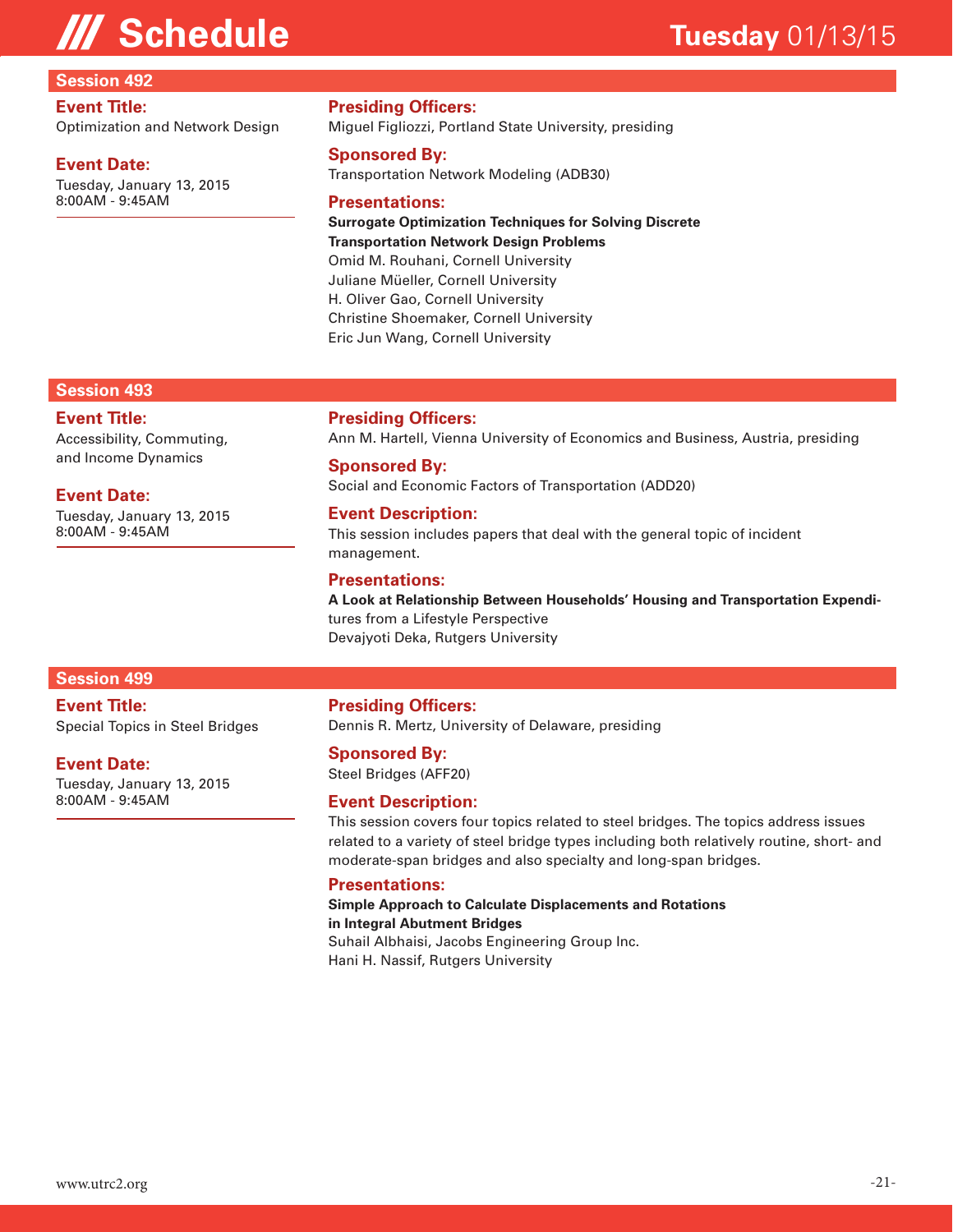#### **Session 492**

#### **Event Title:**

Optimization and Network Design

#### **Event Date:**

Tuesday, January 13, 2015 8:00AM - 9:45AM

**Presiding Officers:**

Miguel Figliozzi, Portland State University, presiding

#### **Sponsored By:**

Transportation Network Modeling (ADB30)

#### **Presentations:**

**Surrogate Optimization Techniques for Solving Discrete Transportation Network Design Problems**  Omid M. Rouhani, Cornell University Juliane Müeller, Cornell University H. Oliver Gao, Cornell University Christine Shoemaker, Cornell University Eric Jun Wang, Cornell University

#### **Session 493**

#### **Event Title:**

Accessibility, Commuting, and Income Dynamics

#### **Event Date:**

Tuesday, January 13, 2015 8:00AM - 9:45AM

#### **Presiding Officers:**

Ann M. Hartell, Vienna University of Economics and Business, Austria, presiding

#### **Sponsored By:**

Social and Economic Factors of Transportation (ADD20)

#### **Event Description:**

This session includes papers that deal with the general topic of incident management.

#### **Presentations:**

**A Look at Relationship Between Households' Housing and Transportation Expendi**tures from a Lifestyle Perspective Devajyoti Deka, Rutgers University

#### **Session 499**

#### **Event Title:**

Special Topics in Steel Bridges

#### **Event Date:**

Tuesday, January 13, 2015 8:00AM - 9:45AM

#### **Presiding Officers:**

Dennis R. Mertz, University of Delaware, presiding

#### **Sponsored By:**

Steel Bridges (AFF20)

#### **Event Description:**

This session covers four topics related to steel bridges. The topics address issues related to a variety of steel bridge types including both relatively routine, short- and moderate-span bridges and also specialty and long-span bridges.

#### **Presentations:**

**Simple Approach to Calculate Displacements and Rotations in Integral Abutment Bridges**  Suhail Albhaisi, Jacobs Engineering Group Inc. Hani H. Nassif, Rutgers University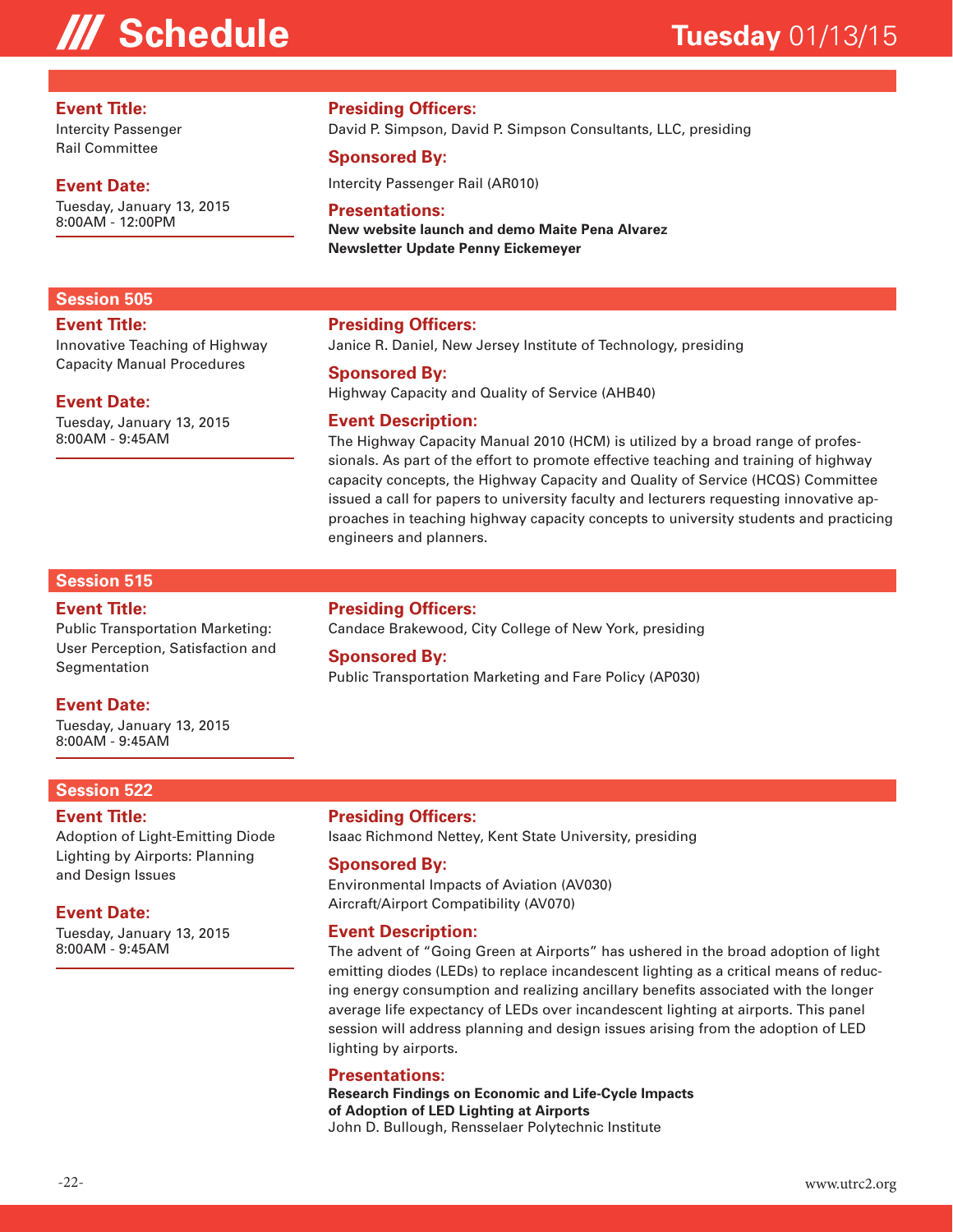#### **Event Title:**

Intercity Passenger Rail Committee

#### **Event Date:**

**Event Title:**

**Session 505**

**Event Date:**

8:00AM - 9:45AM

Tuesday, January 13, 2015 8:00AM - 12:00PM

Innovative Teaching of Highway Capacity Manual Procedures

Tuesday, January 13, 2015

#### **Presiding Officers:**

David P. Simpson, David P. Simpson Consultants, LLC, presiding

#### **Sponsored By:**

Intercity Passenger Rail (AR010)

#### **Presentations:**

**New website launch and demo Maite Pena Alvarez Newsletter Update Penny Eickemeyer**

#### **Presiding Officers:**

Janice R. Daniel, New Jersey Institute of Technology, presiding

#### **Sponsored By:**

Highway Capacity and Quality of Service (AHB40)

#### **Event Description:**

The Highway Capacity Manual 2010 (HCM) is utilized by a broad range of professionals. As part of the effort to promote effective teaching and training of highway capacity concepts, the Highway Capacity and Quality of Service (HCQS) Committee issued a call for papers to university faculty and lecturers requesting innovative approaches in teaching highway capacity concepts to university students and practicing engineers and planners.

#### **Session 515**

#### **Event Title:**

Public Transportation Marketing: User Perception, Satisfaction and Segmentation

#### **Event Date:**

Tuesday, January 13, 2015 8:00AM - 9:45AM

#### **Session 522**

#### **Event Title:**

Adoption of Light-Emitting Diode Lighting by Airports: Planning and Design Issues

#### **Event Date:**

Tuesday, January 13, 2015 8:00AM - 9:45AM

**Presiding Officers:**

Candace Brakewood, City College of New York, presiding

#### **Sponsored By:**

Public Transportation Marketing and Fare Policy (AP030)

#### **Presiding Officers:**

Isaac Richmond Nettey, Kent State University, presiding

#### **Sponsored By:**

Environmental Impacts of Aviation (AV030) Aircraft/Airport Compatibility (AV070)

#### **Event Description:**

The advent of "Going Green at Airports" has ushered in the broad adoption of light emitting diodes (LEDs) to replace incandescent lighting as a critical means of reducing energy consumption and realizing ancillary benefits associated with the longer average life expectancy of LEDs over incandescent lighting at airports. This panel session will address planning and design issues arising from the adoption of LED lighting by airports.

#### **Presentations:**

**Research Findings on Economic and Life-Cycle Impacts of Adoption of LED Lighting at Airports**  John D. Bullough, Rensselaer Polytechnic Institute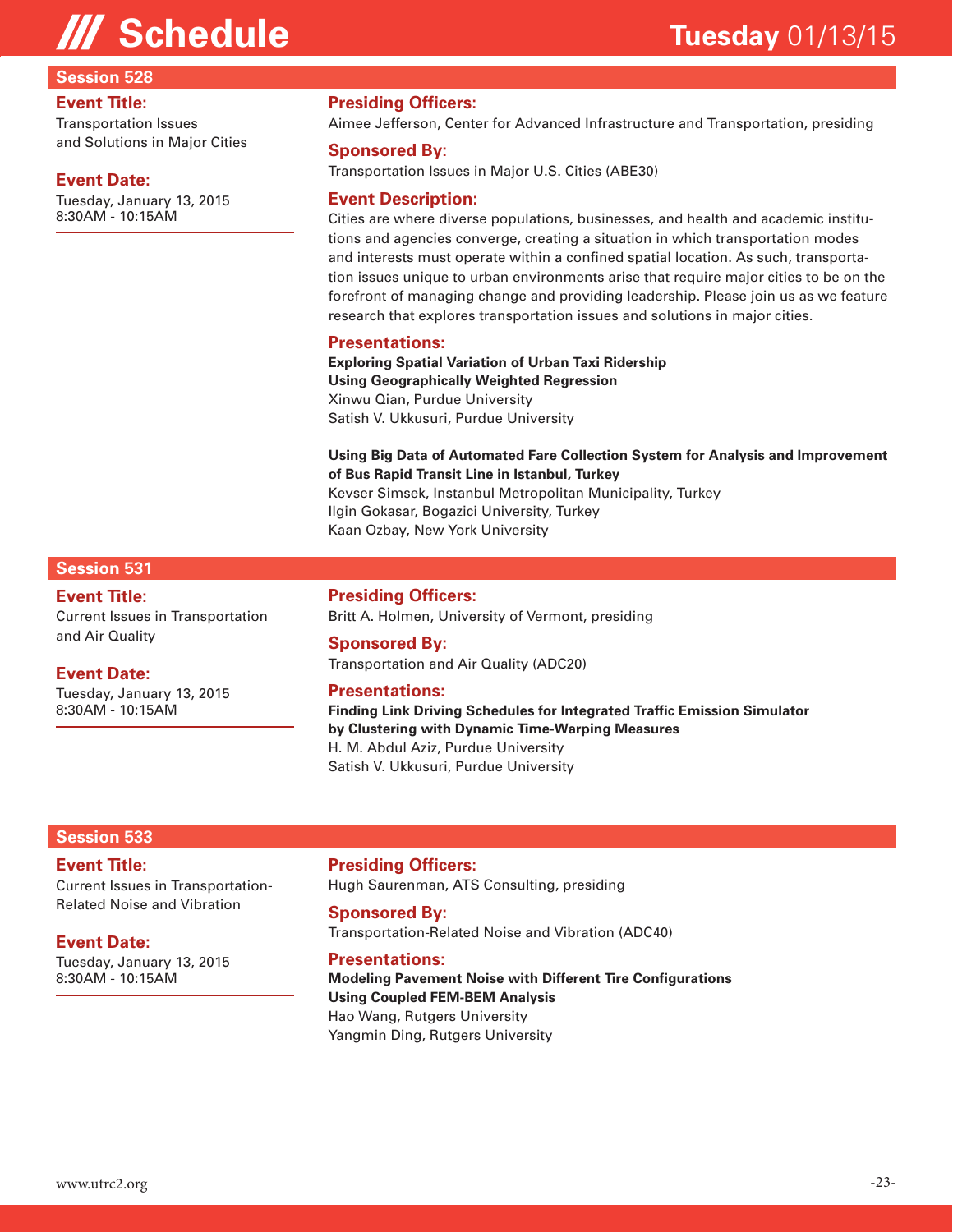#### **Session 528**

#### **Event Title:**

Transportation Issues and Solutions in Major Cities

#### **Event Date:**

Tuesday, January 13, 2015 8:30AM - 10:15AM

#### **Presiding Officers:**

Aimee Jefferson, Center for Advanced Infrastructure and Transportation, presiding

#### **Sponsored By:**

Transportation Issues in Major U.S. Cities (ABE30)

#### **Event Description:**

Cities are where diverse populations, businesses, and health and academic institutions and agencies converge, creating a situation in which transportation modes and interests must operate within a confined spatial location. As such, transportation issues unique to urban environments arise that require major cities to be on the forefront of managing change and providing leadership. Please join us as we feature research that explores transportation issues and solutions in major cities.

#### **Presentations:**

**Exploring Spatial Variation of Urban Taxi Ridership Using Geographically Weighted Regression**  Xinwu Qian, Purdue University Satish V. Ukkusuri, Purdue University

#### **Using Big Data of Automated Fare Collection System for Analysis and Improvement of Bus Rapid Transit Line in Istanbul, Turkey**

Kevser Simsek, Instanbul Metropolitan Municipality, Turkey Ilgin Gokasar, Bogazici University, Turkey Kaan Ozbay, New York University

### **Session 531**

**Event Title:** Current Issues in Transportation and Air Quality

#### **Event Date:**

Tuesday, January 13, 2015 8:30AM - 10:15AM

#### **Presiding Officers:**

Britt A. Holmen, University of Vermont, presiding

#### **Sponsored By:**

Transportation and Air Quality (ADC20)

#### **Presentations:**

**Finding Link Driving Schedules for Integrated Traffic Emission Simulator by Clustering with Dynamic Time-Warping Measures**  H. M. Abdul Aziz, Purdue University Satish V. Ukkusuri, Purdue University

#### **Session 533**

### **Event Title:**

Current Issues in Transportation-Related Noise and Vibration

#### **Event Date:**

Tuesday, January 13, 2015 8:30AM - 10:15AM

**Presiding Officers:** Hugh Saurenman, ATS Consulting, presiding

#### **Sponsored By:**

Transportation-Related Noise and Vibration (ADC40)

#### **Presentations:**

**Modeling Pavement Noise with Different Tire Configurations Using Coupled FEM-BEM Analysis**  Hao Wang, Rutgers University Yangmin Ding, Rutgers University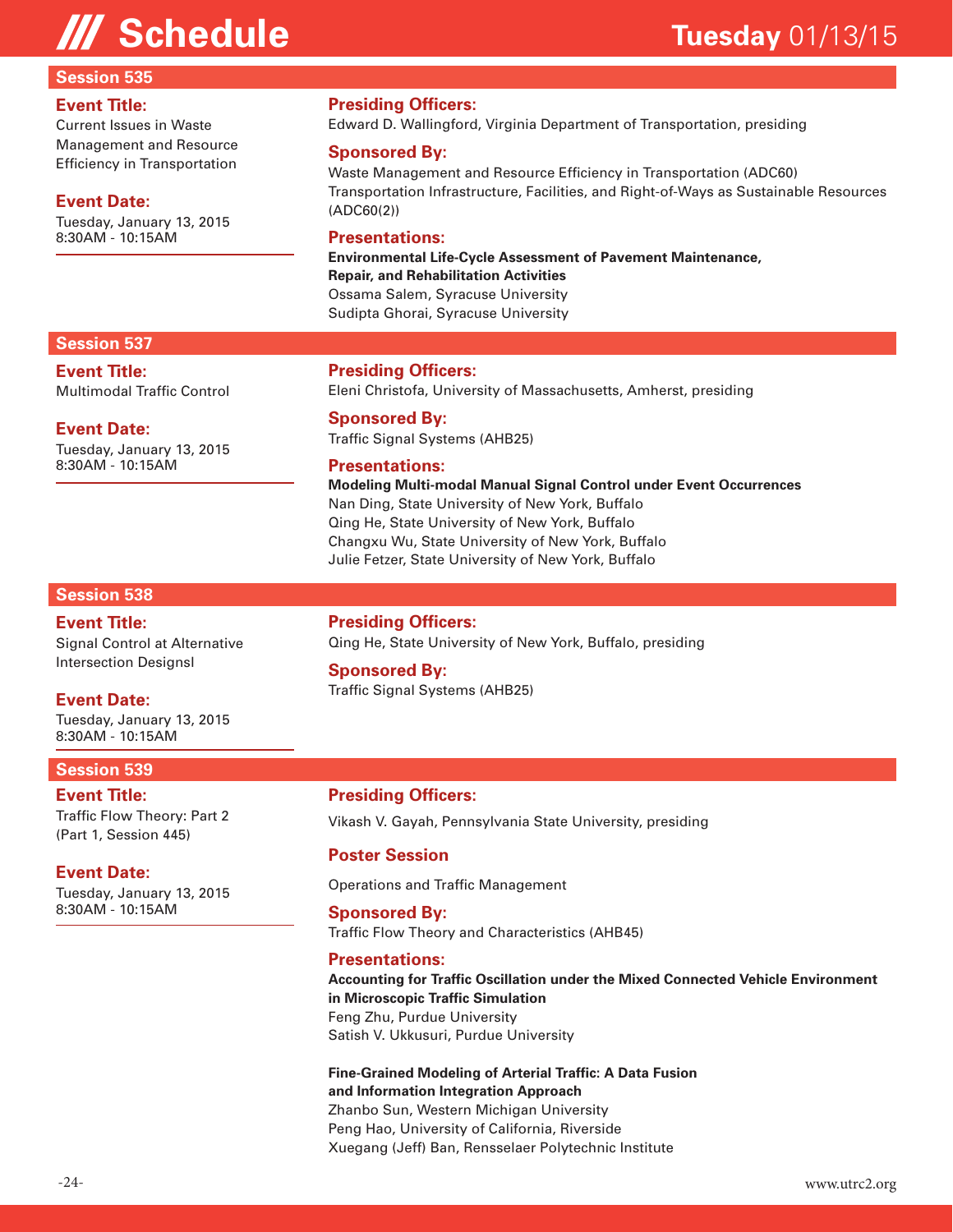#### **Session 535**

#### **Event Title:**

Current Issues in Waste Management and Resource Efficiency in Transportation

#### **Event Date:**

Tuesday, January 13, 2015 8:30AM - 10:15AM

#### **Presiding Officers:**

Edward D. Wallingford, Virginia Department of Transportation, presiding

#### **Sponsored By:**

Waste Management and Resource Efficiency in Transportation (ADC60) Transportation Infrastructure, Facilities, and Right-of-Ways as Sustainable Resources (ADC60(2))

#### **Presentations:**

**Environmental Life-Cycle Assessment of Pavement Maintenance, Repair, and Rehabilitation Activities**  Ossama Salem, Syracuse University Sudipta Ghorai, Syracuse University

#### **Session 537**

**Event Title:** Multimodal Traffic Control

#### **Event Date:**

Tuesday, January 13, 2015 8:30AM - 10:15AM

#### **Presiding Officers:**

Eleni Christofa, University of Massachusetts, Amherst, presiding

**Sponsored By:** Traffic Signal Systems (AHB25)

#### **Presentations:**

**Modeling Multi-modal Manual Signal Control under Event Occurrences**  Nan Ding, State University of New York, Buffalo Qing He, State University of New York, Buffalo Changxu Wu, State University of New York, Buffalo Julie Fetzer, State University of New York, Buffalo

#### **Session 538**

#### **Event Title:** Signal Control at Alternative Intersection Designsl

#### **Event Date:**

Tuesday, January 13, 2015 8:30AM - 10:15AM

### **Session 539**

**Event Title:** Traffic Flow Theory: Part 2 (Part 1, Session 445)

#### **Event Date:**

Tuesday, January 13, 2015 8:30AM - 10:15AM

**Presiding Officers:** Qing He, State University of New York, Buffalo, presiding

### **Sponsored By:**

Traffic Signal Systems (AHB25)

#### **Presiding Officers:**

Vikash V. Gayah, Pennsylvania State University, presiding

#### **Poster Session**

Operations and Traffic Management

#### **Sponsored By:**

Traffic Flow Theory and Characteristics (AHB45)

#### **Presentations:**

**Accounting for Traffic Oscillation under the Mixed Connected Vehicle Environment in Microscopic Traffic Simulation**  Feng Zhu, Purdue University Satish V. Ukkusuri, Purdue University

#### **Fine-Grained Modeling of Arterial Traffic: A Data Fusion and Information Integration Approach**  Zhanbo Sun, Western Michigan University

Peng Hao, University of California, Riverside Xuegang (Jeff) Ban, Rensselaer Polytechnic Institute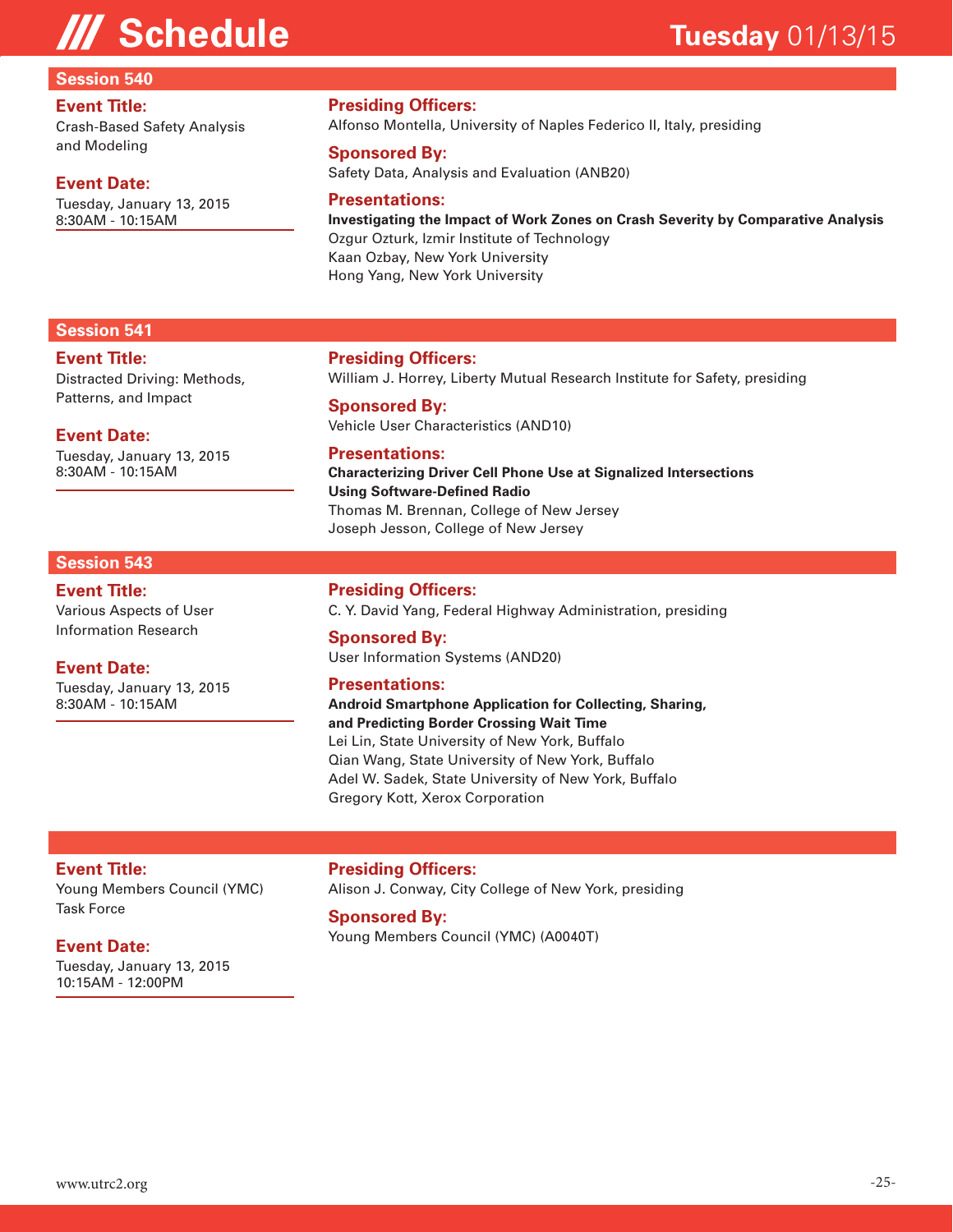#### **Session 540**

#### **Event Title:**

Crash-Based Safety Analysis and Modeling

#### **Event Date:**

Tuesday, January 13, 2015 8:30AM - 10:15AM

### **Presiding Officers:**

Alfonso Montella, University of Naples Federico II, Italy, presiding

### **Sponsored By:**

Safety Data, Analysis and Evaluation (ANB20)

#### **Presentations:**

**Investigating the Impact of Work Zones on Crash Severity by Comparative Analysis**  Ozgur Ozturk, Izmir Institute of Technology Kaan Ozbay, New York University Hong Yang, New York University

#### **Session 541**

#### **Event Title:**

Distracted Driving: Methods, Patterns, and Impact

#### **Event Date:**

Tuesday, January 13, 2015 8:30AM - 10:15AM

#### **Session 543**

**Event Title:** Various Aspects of User Information Research

### **Event Date:**

Tuesday, January 13, 2015 8:30AM - 10:15AM

#### **Presiding Officers:**

William J. Horrey, Liberty Mutual Research Institute for Safety, presiding

#### **Sponsored By:** Vehicle User Characteristics (AND10)

**Presentations: Characterizing Driver Cell Phone Use at Signalized Intersections Using Software-Defined Radio**  Thomas M. Brennan, College of New Jersey

Joseph Jesson, College of New Jersey

#### **Presiding Officers:**

C. Y. David Yang, Federal Highway Administration, presiding

#### **Sponsored By:** User Information Systems (AND20)

#### **Presentations:**

**Android Smartphone Application for Collecting, Sharing, and Predicting Border Crossing Wait Time**  Lei Lin, State University of New York, Buffalo Qian Wang, State University of New York, Buffalo Adel W. Sadek, State University of New York, Buffalo Gregory Kott, Xerox Corporation

#### **Event Title:**

Young Members Council (YMC) Task Force

#### **Event Date:**

Tuesday, January 13, 2015 10:15AM - 12:00PM

**Presiding Officers:** Alison J. Conway, City College of New York, presiding

#### **Sponsored By:**

Young Members Council (YMC) (A0040T)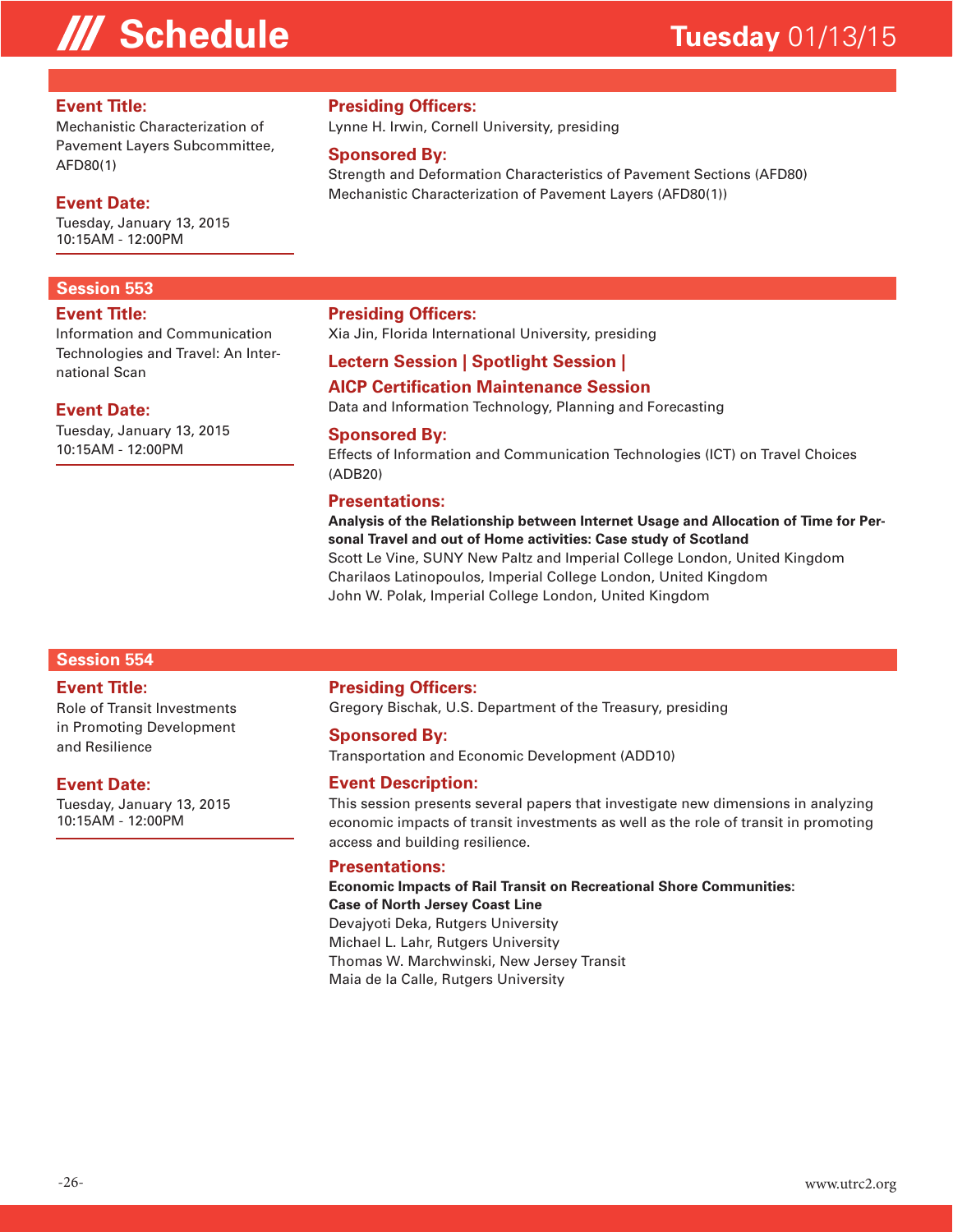#### **Event Title:**

Mechanistic Characterization of Pavement Layers Subcommittee, AFD80(1)

#### **Event Date:**

Tuesday, January 13, 2015 10:15AM - 12:00PM

#### **Session 553**

#### **Event Title:**

Information and Communication Technologies and Travel: An International Scan

#### **Event Date:**

Tuesday, January 13, 2015 10:15AM - 12:00PM

#### **Presiding Officers:**

Lynne H. Irwin, Cornell University, presiding

#### **Sponsored By:**

Strength and Deformation Characteristics of Pavement Sections (AFD80) Mechanistic Characterization of Pavement Layers (AFD80(1))

#### **Presiding Officers:**

Xia Jin, Florida International University, presiding

#### **Lectern Session | Spotlight Session |**

### **AICP Certification Maintenance Session**

Data and Information Technology, Planning and Forecasting

#### **Sponsored By:**

Effects of Information and Communication Technologies (ICT) on Travel Choices (ADB20)

#### **Presentations:**

**Analysis of the Relationship between Internet Usage and Allocation of Time for Personal Travel and out of Home activities: Case study of Scotland**  Scott Le Vine, SUNY New Paltz and Imperial College London, United Kingdom Charilaos Latinopoulos, Imperial College London, United Kingdom John W. Polak, Imperial College London, United Kingdom

#### **Session 554**

#### **Event Title:**

Role of Transit Investments in Promoting Development and Resilience

#### **Event Date:**

Tuesday, January 13, 2015 10:15AM - 12:00PM

#### **Presiding Officers:**

Gregory Bischak, U.S. Department of the Treasury, presiding

#### **Sponsored By:**

Transportation and Economic Development (ADD10)

#### **Event Description:**

This session presents several papers that investigate new dimensions in analyzing economic impacts of transit investments as well as the role of transit in promoting access and building resilience.

#### **Presentations:**

#### **Economic Impacts of Rail Transit on Recreational Shore Communities: Case of North Jersey Coast Line**

Devajyoti Deka, Rutgers University Michael L. Lahr, Rutgers University Thomas W. Marchwinski, New Jersey Transit Maia de la Calle, Rutgers University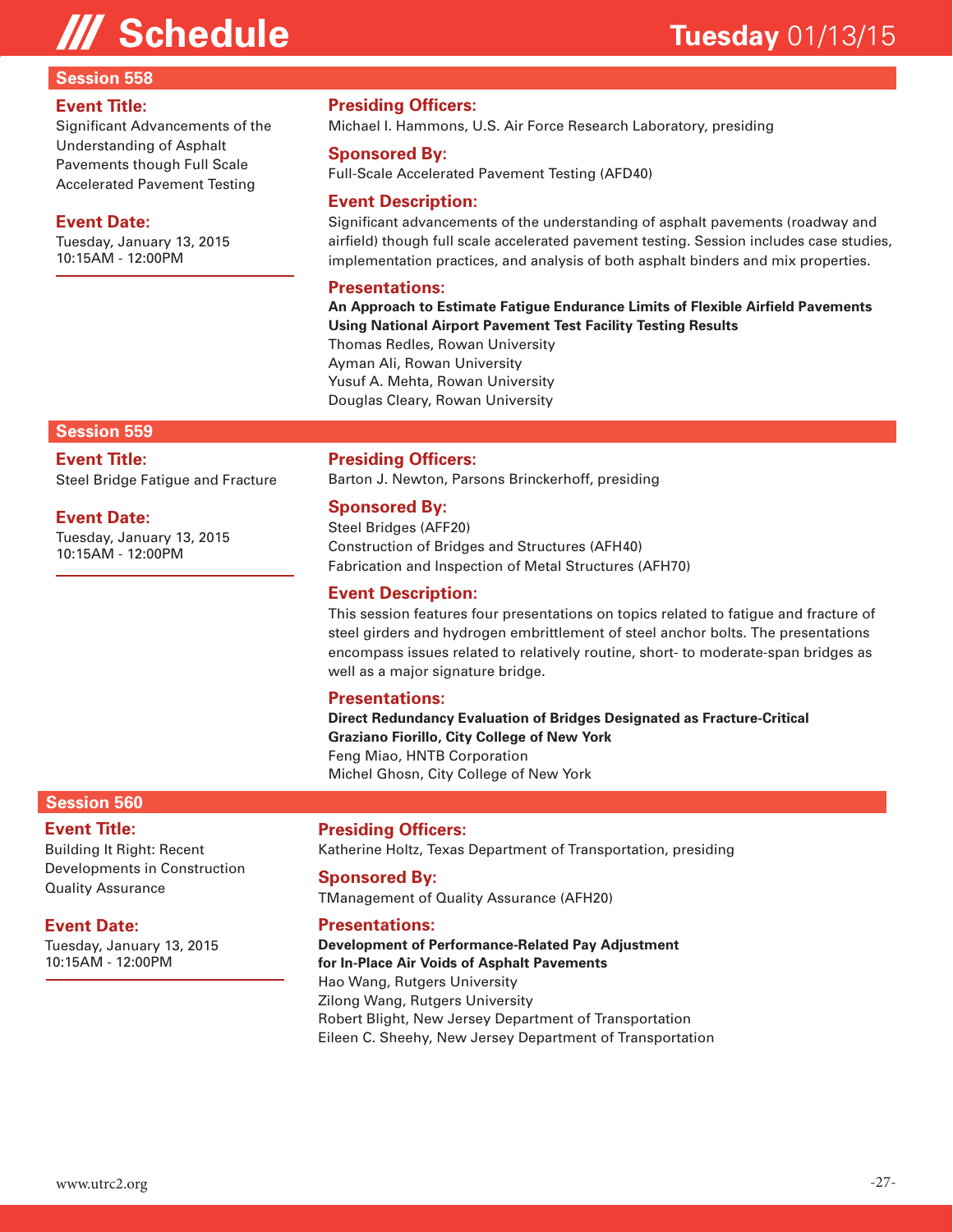#### **Session 558**

#### **Event Title:**

Significant Advancements of the Understanding of Asphalt Pavements though Full Scale Accelerated Pavement Testing

#### **Event Date:**

Tuesday, January 13, 2015 10:15AM - 12:00PM

### **Presiding Officers:**

Michael I. Hammons, U.S. Air Force Research Laboratory, presiding

#### **Sponsored By:**

Full-Scale Accelerated Pavement Testing (AFD40)

#### **Event Description:**

Significant advancements of the understanding of asphalt pavements (roadway and airfield) though full scale accelerated pavement testing. Session includes case studies, implementation practices, and analysis of both asphalt binders and mix properties.

#### **Presentations:**

**An Approach to Estimate Fatigue Endurance Limits of Flexible Airfield Pavements Using National Airport Pavement Test Facility Testing Results** 

Thomas Redles, Rowan University Ayman Ali, Rowan University Yusuf A. Mehta, Rowan University Douglas Cleary, Rowan University

#### **Session 559**

**Event Title:**

Steel Bridge Fatigue and Fracture

#### **Event Date:**

Tuesday, January 13, 2015 10:15AM - 12:00PM

#### **Presiding Officers:**

Barton J. Newton, Parsons Brinckerhoff, presiding

#### **Sponsored By:**

Steel Bridges (AFF20) Construction of Bridges and Structures (AFH40) Fabrication and Inspection of Metal Structures (AFH70)

#### **Event Description:**

This session features four presentations on topics related to fatigue and fracture of steel girders and hydrogen embrittlement of steel anchor bolts. The presentations encompass issues related to relatively routine, short- to moderate-span bridges as well as a major signature bridge.

#### **Presentations:**

**Direct Redundancy Evaluation of Bridges Designated as Fracture-Critical Graziano Fiorillo, City College of New York** Feng Miao, HNTB Corporation Michel Ghosn, City College of New York

#### **Session 560**

#### **Event Title:**

Building It Right: Recent Developments in Construction Quality Assurance

#### **Event Date:**

Tuesday, January 13, 2015 10:15AM - 12:00PM

#### **Presiding Officers:**

Katherine Holtz, Texas Department of Transportation, presiding

#### **Sponsored By:**

TManagement of Quality Assurance (AFH20)

#### **Presentations:**

**Development of Performance-Related Pay Adjustment for In-Place Air Voids of Asphalt Pavements**  Hao Wang, Rutgers University Zilong Wang, Rutgers University Robert Blight, New Jersey Department of Transportation Eileen C. Sheehy, New Jersey Department of Transportation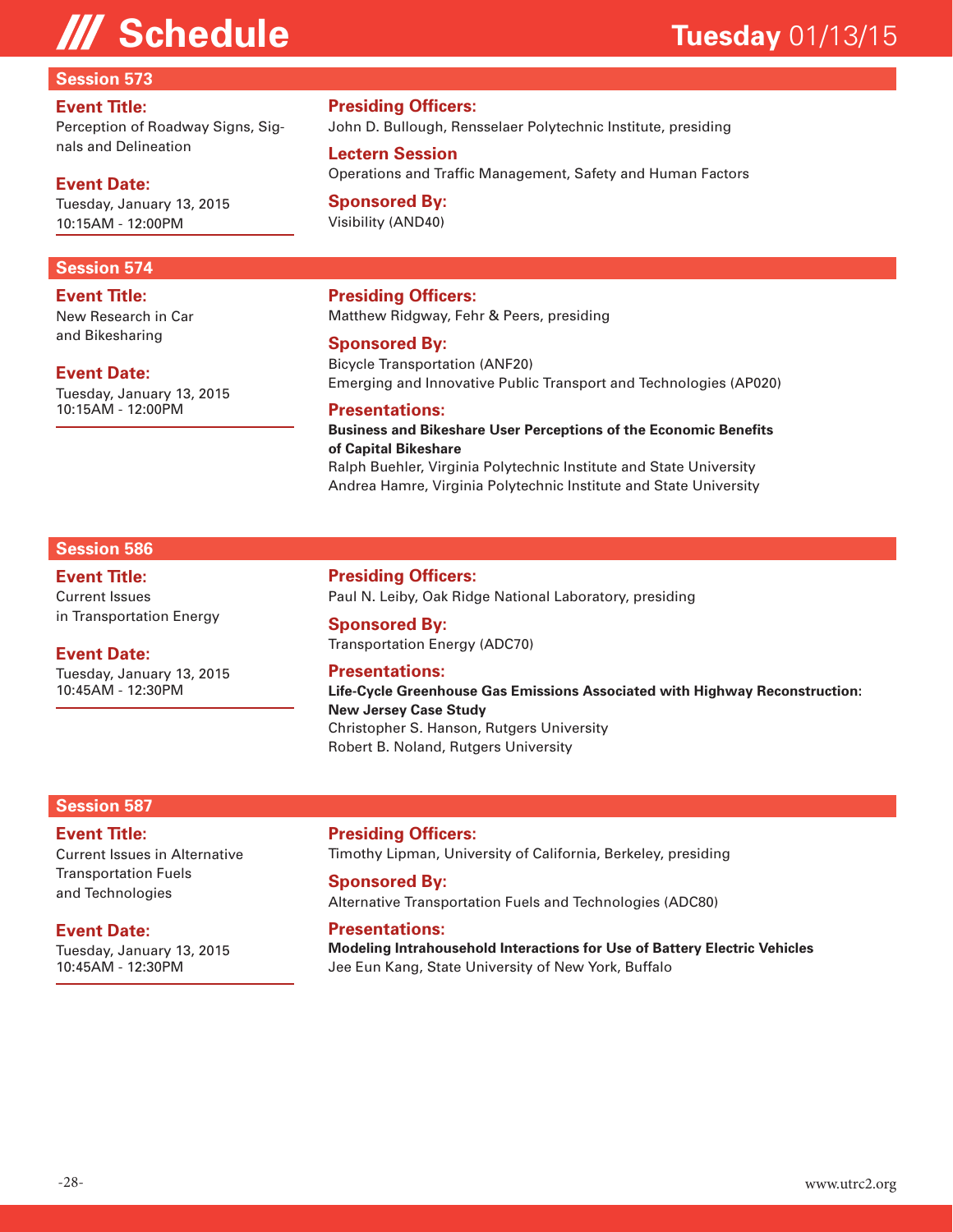#### **Session 573**

#### **Event Title:**

Perception of Roadway Signs, Signals and Delineation

#### **Event Date:**

Tuesday, January 13, 2015 10:15AM - 12:00PM

#### **Session 574**

**Event Title:** New Research in Car and Bikesharing

#### **Event Date:**

Tuesday, January 13, 2015 10:15AM - 12:00PM

#### **Presiding Officers:**

John D. Bullough, Rensselaer Polytechnic Institute, presiding

#### **Lectern Session**

Operations and Traffic Management, Safety and Human Factors

#### **Sponsored By:** Visibility (AND40)

### **Presiding Officers:**

Matthew Ridgway, Fehr & Peers, presiding

#### **Sponsored By:**

Bicycle Transportation (ANF20) Emerging and Innovative Public Transport and Technologies (AP020)

#### **Presentations:**

#### **Business and Bikeshare User Perceptions of the Economic Benefits of Capital Bikeshare**  Ralph Buehler, Virginia Polytechnic Institute and State University Andrea Hamre, Virginia Polytechnic Institute and State University

#### **Session 586**

#### **Event Title:**

Current Issues in Transportation Energy

### **Event Date:**

Tuesday, January 13, 2015 10:45AM - 12:30PM

**Presiding Officers:**

Paul N. Leiby, Oak Ridge National Laboratory, presiding

**Sponsored By:** Transportation Energy (ADC70)

#### **Presentations:**

**Life-Cycle Greenhouse Gas Emissions Associated with Highway Reconstruction: New Jersey Case Study**  Christopher S. Hanson, Rutgers University Robert B. Noland, Rutgers University

#### **Session 587**

#### **Event Title:**

Current Issues in Alternative Transportation Fuels and Technologies

#### **Event Date:**

Tuesday, January 13, 2015 10:45AM - 12:30PM

**Presiding Officers:**

Timothy Lipman, University of California, Berkeley, presiding

#### **Sponsored By:** Alternative Transportation Fuels and Technologies (ADC80)

#### **Presentations:**

**Modeling Intrahousehold Interactions for Use of Battery Electric Vehicles**  Jee Eun Kang, State University of New York, Buffalo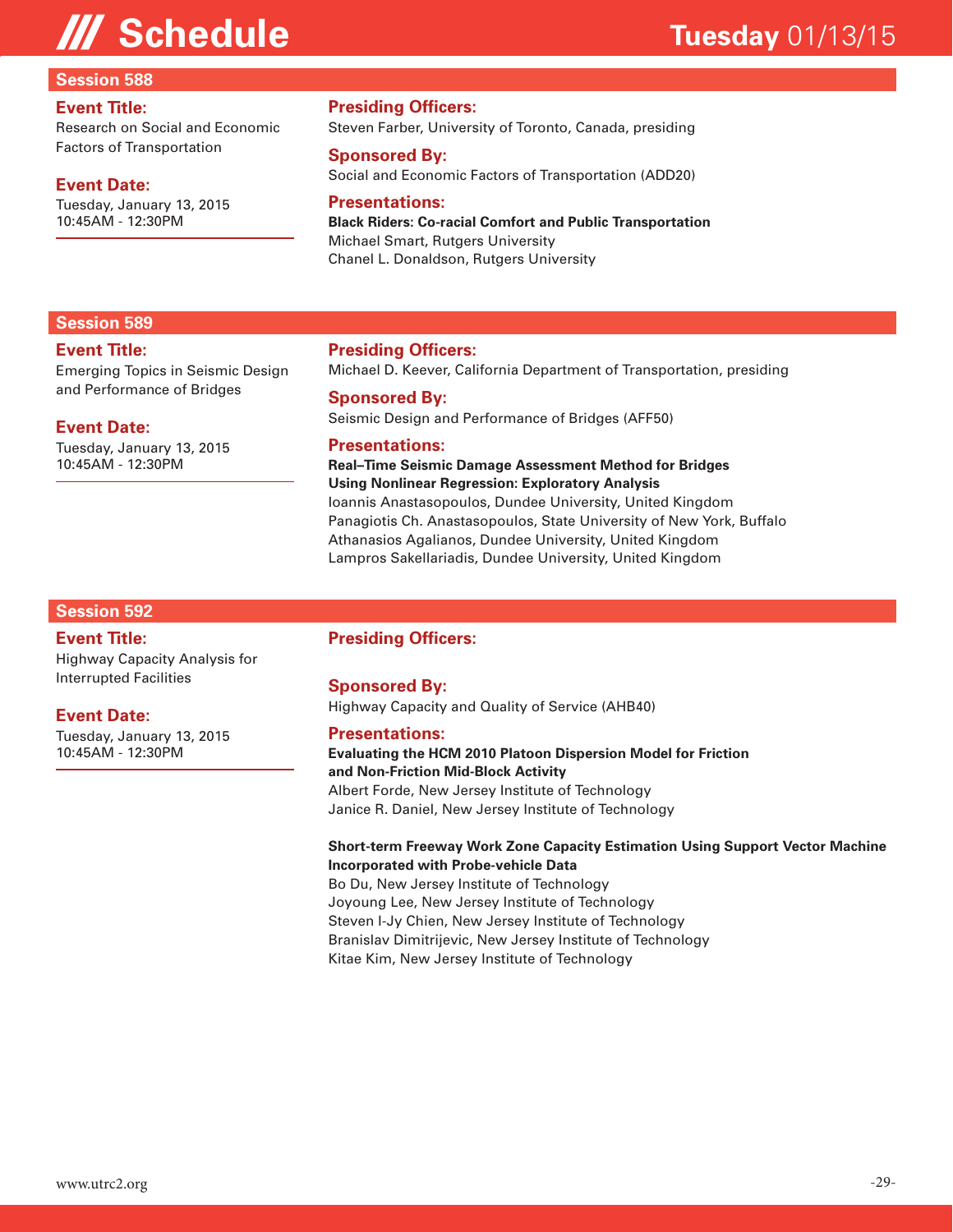#### **Session 588**

#### **Event Title:**

Research on Social and Economic Factors of Transportation

#### **Event Date:**

Tuesday, January 13, 2015 10:45AM - 12:30PM

#### **Presiding Officers:**

Steven Farber, University of Toronto, Canada, presiding

#### **Sponsored By:**

Social and Economic Factors of Transportation (ADD20)

#### **Presentations:**

**Black Riders: Co-racial Comfort and Public Transportation**  Michael Smart, Rutgers University Chanel L. Donaldson, Rutgers University

#### **Session 589**

#### **Event Title:**

Emerging Topics in Seismic Design and Performance of Bridges

#### **Event Date:**

Tuesday, January 13, 2015 10:45AM - 12:30PM

#### **Presiding Officers:**

Michael D. Keever, California Department of Transportation, presiding

#### **Sponsored By:**

Seismic Design and Performance of Bridges (AFF50)

#### **Presentations:**

#### **Real–Time Seismic Damage Assessment Method for Bridges Using Nonlinear Regression: Exploratory Analysis**  Ioannis Anastasopoulos, Dundee University, United Kingdom

Panagiotis Ch. Anastasopoulos, State University of New York, Buffalo Athanasios Agalianos, Dundee University, United Kingdom Lampros Sakellariadis, Dundee University, United Kingdom

#### **Session 592**

#### **Event Title:**

Highway Capacity Analysis for Interrupted Facilities

#### **Event Date:**

Tuesday, January 13, 2015 10:45AM - 12:30PM

#### **Presiding Officers:**

#### **Sponsored By:**

Highway Capacity and Quality of Service (AHB40)

#### **Presentations:**

**Evaluating the HCM 2010 Platoon Dispersion Model for Friction and Non-Friction Mid-Block Activity**  Albert Forde, New Jersey Institute of Technology

Janice R. Daniel, New Jersey Institute of Technology

#### **Short-term Freeway Work Zone Capacity Estimation Using Support Vector Machine Incorporated with Probe-vehicle Data**

Bo Du, New Jersey Institute of Technology Joyoung Lee, New Jersey Institute of Technology Steven I-Jy Chien, New Jersey Institute of Technology Branislav Dimitrijevic, New Jersey Institute of Technology Kitae Kim, New Jersey Institute of Technology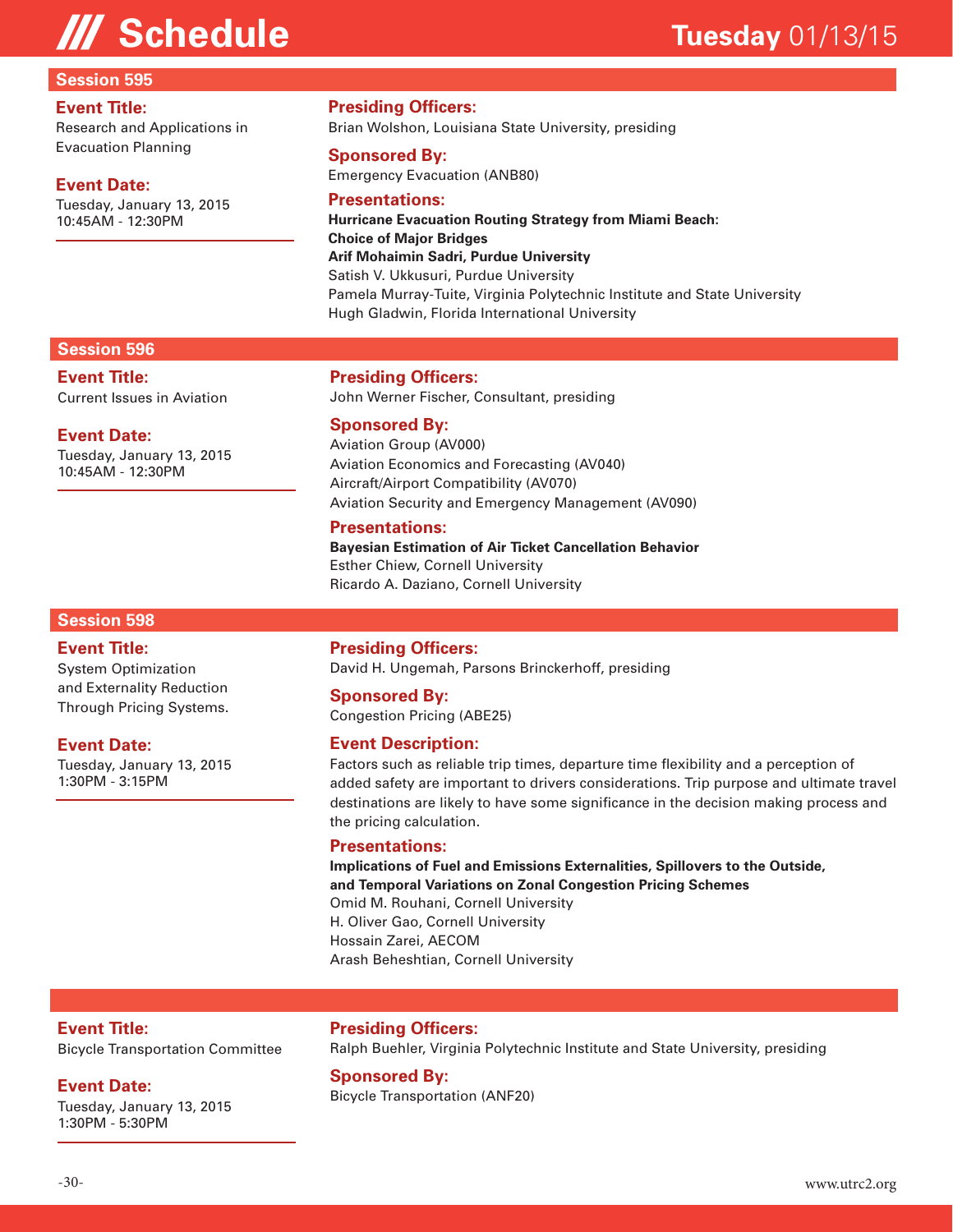#### **Session 595**

#### **Event Title:**

Research and Applications in Evacuation Planning

#### **Event Date:**

Tuesday, January 13, 2015 10:45AM - 12:30PM

#### **Presiding Officers:**

Brian Wolshon, Louisiana State University, presiding

#### **Sponsored By:**

Emergency Evacuation (ANB80)

#### **Presentations:**

**Hurricane Evacuation Routing Strategy from Miami Beach: Choice of Major Bridges Arif Mohaimin Sadri, Purdue University** Satish V. Ukkusuri, Purdue University Pamela Murray-Tuite, Virginia Polytechnic Institute and State University Hugh Gladwin, Florida International University

### **Session 596**

**Event Title:** Current Issues in Aviation

#### **Event Date:**

Tuesday, January 13, 2015 10:45AM - 12:30PM

#### **Presiding Officers:**

John Werner Fischer, Consultant, presiding

#### **Sponsored By:**

Aviation Group (AV000) Aviation Economics and Forecasting (AV040) Aircraft/Airport Compatibility (AV070) Aviation Security and Emergency Management (AV090)

#### **Presentations:**

**Bayesian Estimation of Air Ticket Cancellation Behavior**  Esther Chiew, Cornell University Ricardo A. Daziano, Cornell University

#### **Session 598**

#### **Event Title:** System Optimization and Externality Reduction Through Pricing Systems.

#### **Event Date:**

Tuesday, January 13, 2015 1:30PM - 3:15PM

#### **Presiding Officers:**

David H. Ungemah, Parsons Brinckerhoff, presiding

#### **Sponsored By:**

Congestion Pricing (ABE25)

#### **Event Description:**

Factors such as reliable trip times, departure time flexibility and a perception of added safety are important to drivers considerations. Trip purpose and ultimate travel destinations are likely to have some significance in the decision making process and the pricing calculation.

#### **Presentations:**

**Implications of Fuel and Emissions Externalities, Spillovers to the Outside, and Temporal Variations on Zonal Congestion Pricing Schemes**  Omid M. Rouhani, Cornell University H. Oliver Gao, Cornell University Hossain Zarei, AECOM Arash Beheshtian, Cornell University

#### **Event Title:**

Bicycle Transportation Committee

#### **Event Date:**

Tuesday, January 13, 2015 1:30PM - 5:30PM

#### **Presiding Officers:**

Ralph Buehler, Virginia Polytechnic Institute and State University, presiding

**Sponsored By:**

Bicycle Transportation (ANF20)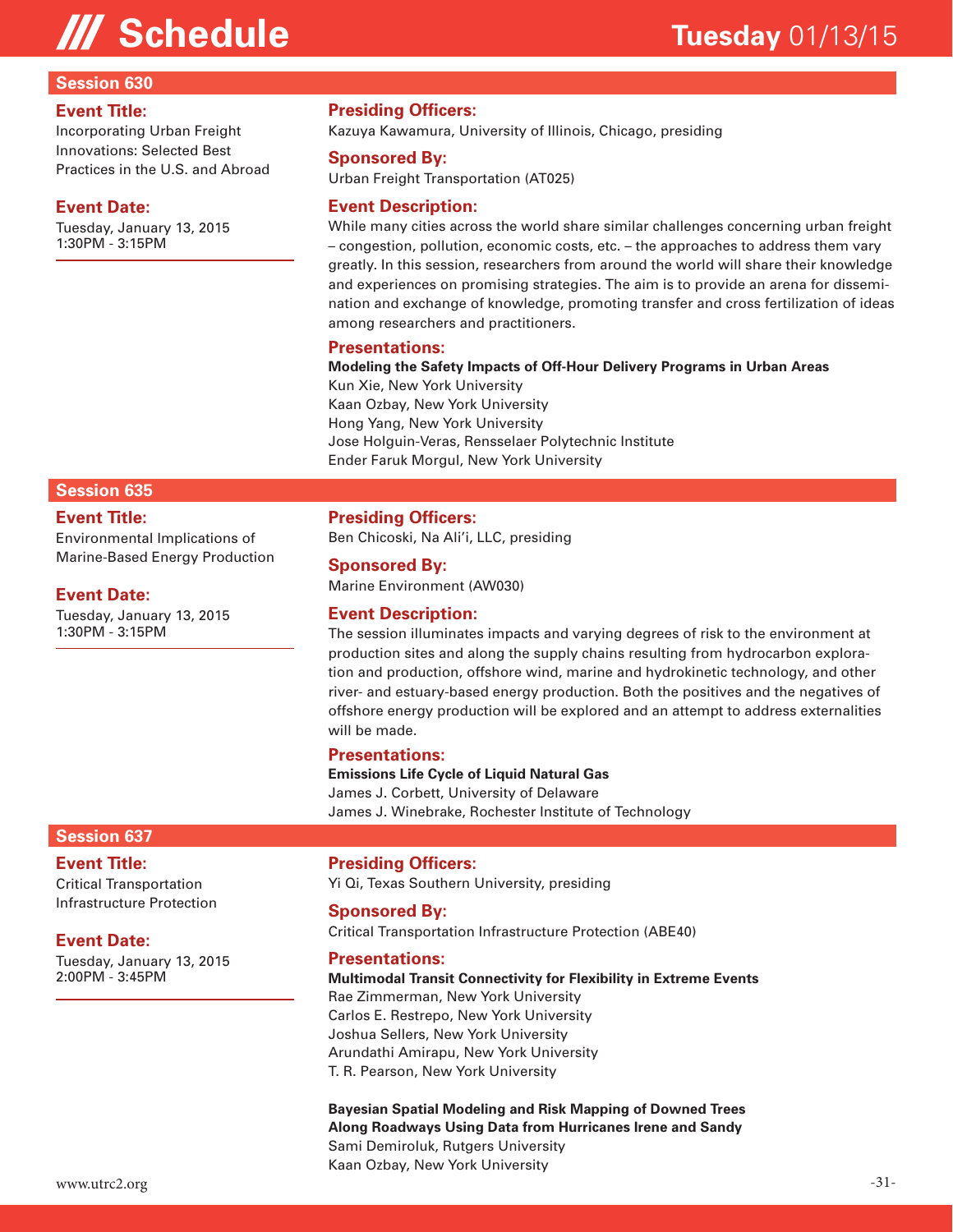#### **Session 630**

#### **Event Title:**

Incorporating Urban Freight Innovations: Selected Best Practices in the U.S. and Abroad

#### **Event Date:**

Tuesday, January 13, 2015 1:30PM - 3:15PM

#### **Presiding Officers:**

Kazuya Kawamura, University of Illinois, Chicago, presiding

#### **Sponsored By:**

Urban Freight Transportation (AT025)

#### **Event Description:**

While many cities across the world share similar challenges concerning urban freight – congestion, pollution, economic costs, etc. – the approaches to address them vary greatly. In this session, researchers from around the world will share their knowledge and experiences on promising strategies. The aim is to provide an arena for dissemination and exchange of knowledge, promoting transfer and cross fertilization of ideas among researchers and practitioners.

#### **Presentations:**

**Modeling the Safety Impacts of Off-Hour Delivery Programs in Urban Areas** 

Kun Xie, New York University Kaan Ozbay, New York University Hong Yang, New York University Jose Holguin-Veras, Rensselaer Polytechnic Institute Ender Faruk Morgul, New York University

#### **Session 635**

#### **Event Title:**

Environmental Implications of Marine-Based Energy Production

#### **Event Date:**

Tuesday, January 13, 2015 1:30PM - 3:15PM

#### **Presiding Officers:**

Ben Chicoski, Na Ali'i, LLC, presiding

#### **Sponsored By:**

Marine Environment (AW030)

#### **Event Description:**

The session illuminates impacts and varying degrees of risk to the environment at production sites and along the supply chains resulting from hydrocarbon exploration and production, offshore wind, marine and hydrokinetic technology, and other river- and estuary-based energy production. Both the positives and the negatives of offshore energy production will be explored and an attempt to address externalities will be made.

#### **Presentations:**

**Emissions Life Cycle of Liquid Natural Gas** 

James J. Corbett, University of Delaware James J. Winebrake, Rochester Institute of Technology

#### **Session 637**

#### **Event Title:**

Critical Transportation Infrastructure Protection

#### **Event Date:**

Tuesday, January 13, 2015 2:00PM - 3:45PM

#### **Presiding Officers:**

Yi Qi, Texas Southern University, presiding

#### **Sponsored By:**

Critical Transportation Infrastructure Protection (ABE40)

#### **Presentations:**

**Multimodal Transit Connectivity for Flexibility in Extreme Events** 

Rae Zimmerman, New York University Carlos E. Restrepo, New York University Joshua Sellers, New York University Arundathi Amirapu, New York University T. R. Pearson, New York University

**Bayesian Spatial Modeling and Risk Mapping of Downed Trees Along Roadways Using Data from Hurricanes Irene and Sandy**  Sami Demiroluk, Rutgers University Kaan Ozbay, New York University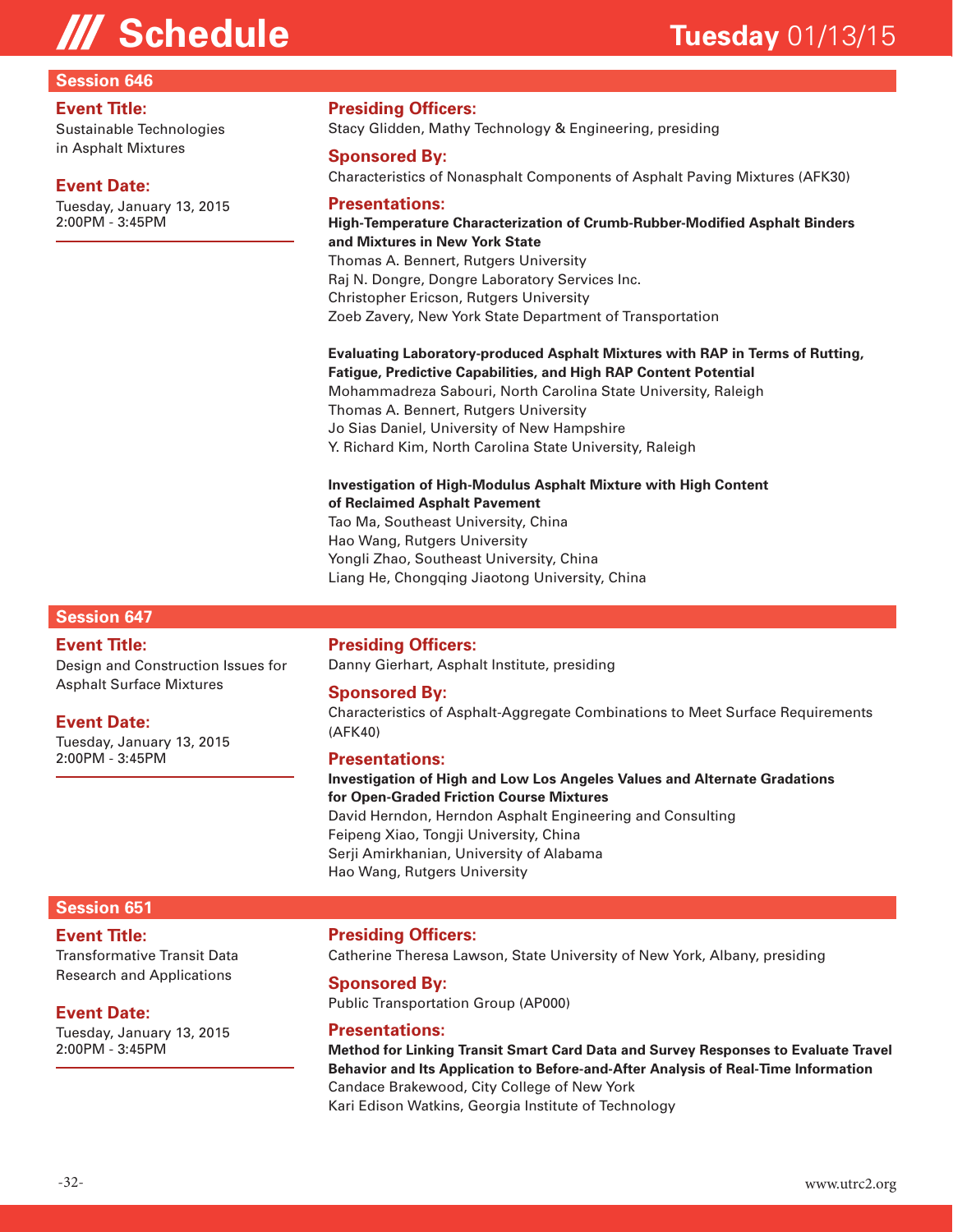#### **Session 646**

#### **Event Title:**

Sustainable Technologies in Asphalt Mixtures

#### **Event Date:**

Tuesday, January 13, 2015 2:00PM - 3:45PM

#### **Presiding Officers:**

Stacy Glidden, Mathy Technology & Engineering, presiding

#### **Sponsored By:**

Characteristics of Nonasphalt Components of Asphalt Paving Mixtures (AFK30)

#### **Presentations:**

### **High-Temperature Characterization of Crumb-Rubber-Modified Asphalt Binders and Mixtures in New York State**

Thomas A. Bennert, Rutgers University Raj N. Dongre, Dongre Laboratory Services Inc. Christopher Ericson, Rutgers University Zoeb Zavery, New York State Department of Transportation

#### **Evaluating Laboratory-produced Asphalt Mixtures with RAP in Terms of Rutting, Fatigue, Predictive Capabilities, and High RAP Content Potential**  Mohammadreza Sabouri, North Carolina State University, Raleigh Thomas A. Bennert, Rutgers University Jo Sias Daniel, University of New Hampshire Y. Richard Kim, North Carolina State University, Raleigh

#### **Investigation of High-Modulus Asphalt Mixture with High Content of Reclaimed Asphalt Pavement**

Tao Ma, Southeast University, China Hao Wang, Rutgers University Yongli Zhao, Southeast University, China Liang He, Chongqing Jiaotong University, China

#### **Session 647**

#### **Event Title:**

Design and Construction Issues for Asphalt Surface Mixtures

#### **Event Date:**

Tuesday, January 13, 2015 2:00PM - 3:45PM

#### **Presiding Officers:**

Danny Gierhart, Asphalt Institute, presiding

#### **Sponsored By:**

Characteristics of Asphalt-Aggregate Combinations to Meet Surface Requirements (AFK40)

#### **Presentations:**

**Investigation of High and Low Los Angeles Values and Alternate Gradations for Open-Graded Friction Course Mixtures**  David Herndon, Herndon Asphalt Engineering and Consulting Feipeng Xiao, Tongji University, China Serji Amirkhanian, University of Alabama Hao Wang, Rutgers University

#### **Session 651**

#### **Event Title:**

Transformative Transit Data Research and Applications

#### **Event Date:**

Tuesday, January 13, 2015 2:00PM - 3:45PM

#### **Presiding Officers:**

Catherine Theresa Lawson, State University of New York, Albany, presiding

#### **Sponsored By:**

Public Transportation Group (AP000)

#### **Presentations:**

**Method for Linking Transit Smart Card Data and Survey Responses to Evaluate Travel Behavior and Its Application to Before-and-After Analysis of Real-Time Information**  Candace Brakewood, City College of New York Kari Edison Watkins, Georgia Institute of Technology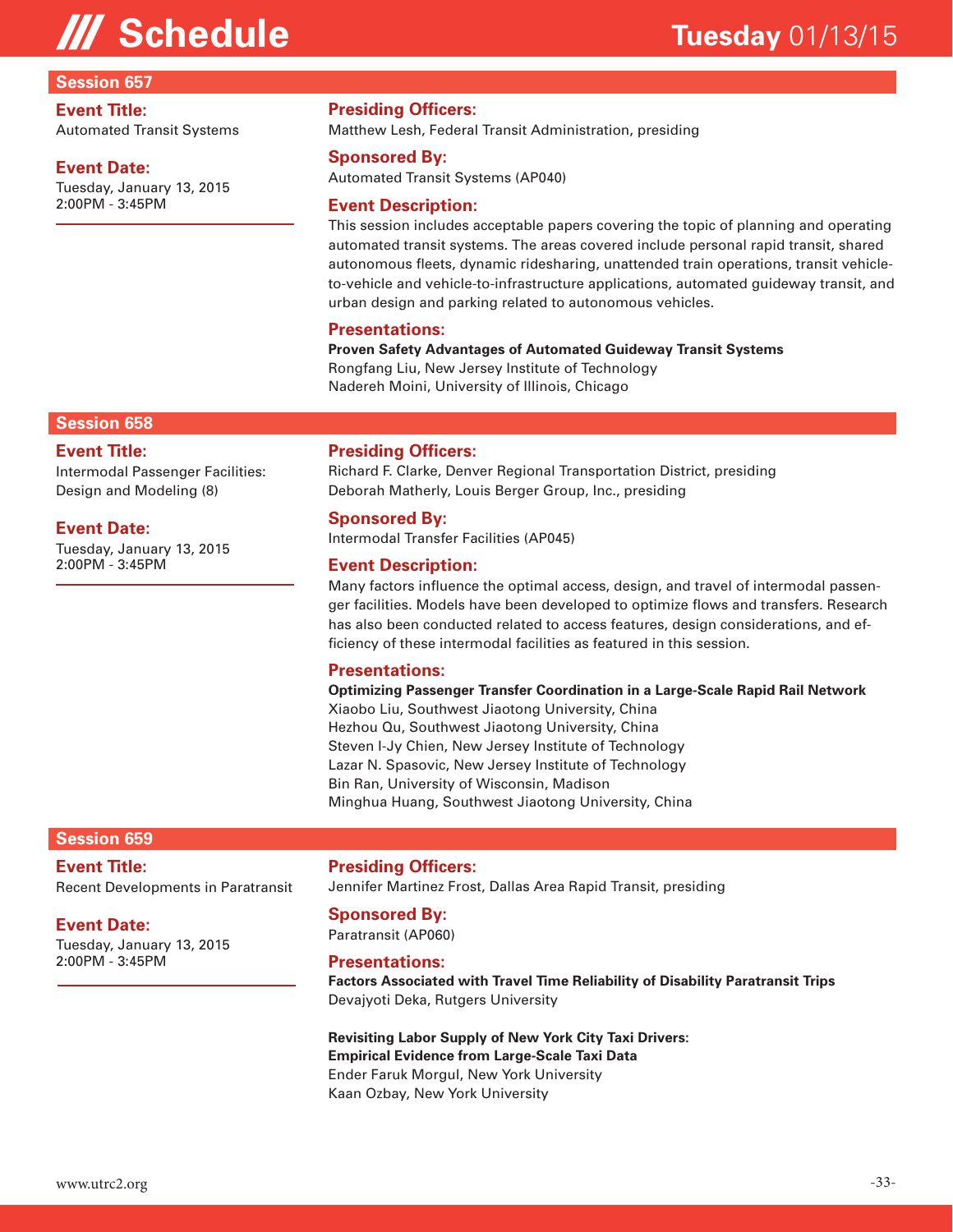#### **Session 657**

#### **Event Title:**

Automated Transit Systems

#### **Event Date:**

Tuesday, January 13, 2015 2:00PM - 3:45PM

#### **Presiding Officers:**

Matthew Lesh, Federal Transit Administration, presiding

#### **Sponsored By:**

Automated Transit Systems (AP040)

#### **Event Description:**

This session includes acceptable papers covering the topic of planning and operating automated transit systems. The areas covered include personal rapid transit, shared autonomous fleets, dynamic ridesharing, unattended train operations, transit vehicleto-vehicle and vehicle-to-infrastructure applications, automated guideway transit, and urban design and parking related to autonomous vehicles.

#### **Presentations:**

**Proven Safety Advantages of Automated Guideway Transit Systems**  Rongfang Liu, New Jersey Institute of Technology Nadereh Moini, University of Illinois, Chicago

#### **Session 658**

#### **Event Title:**

Intermodal Passenger Facilities: Design and Modeling (8)

#### **Event Date:**

Tuesday, January 13, 2015 2:00PM - 3:45PM

#### **Presiding Officers:**

Richard F. Clarke, Denver Regional Transportation District, presiding Deborah Matherly, Louis Berger Group, Inc., presiding

#### **Sponsored By:**

Intermodal Transfer Facilities (AP045)

#### **Event Description:**

Many factors influence the optimal access, design, and travel of intermodal passenger facilities. Models have been developed to optimize flows and transfers. Research has also been conducted related to access features, design considerations, and efficiency of these intermodal facilities as featured in this session.

#### **Presentations:**

**Optimizing Passenger Transfer Coordination in a Large-Scale Rapid Rail Network**  Xiaobo Liu, Southwest Jiaotong University, China Hezhou Qu, Southwest Jiaotong University, China Steven I-Jy Chien, New Jersey Institute of Technology Lazar N. Spasovic, New Jersey Institute of Technology Bin Ran, University of Wisconsin, Madison Minghua Huang, Southwest Jiaotong University, China

#### **Session 659**

### **Event Title:**

Recent Developments in Paratransit

#### **Event Date:**

Tuesday, January 13, 2015 2:00PM - 3:45PM

**Presiding Officers:**

Jennifer Martinez Frost, Dallas Area Rapid Transit, presiding

#### **Sponsored By:**

Paratransit (AP060)

#### **Presentations:**

**Factors Associated with Travel Time Reliability of Disability Paratransit Trips**  Devajyoti Deka, Rutgers University

#### **Revisiting Labor Supply of New York City Taxi Drivers: Empirical Evidence from Large-Scale Taxi Data**  Ender Faruk Morgul, New York University Kaan Ozbay, New York University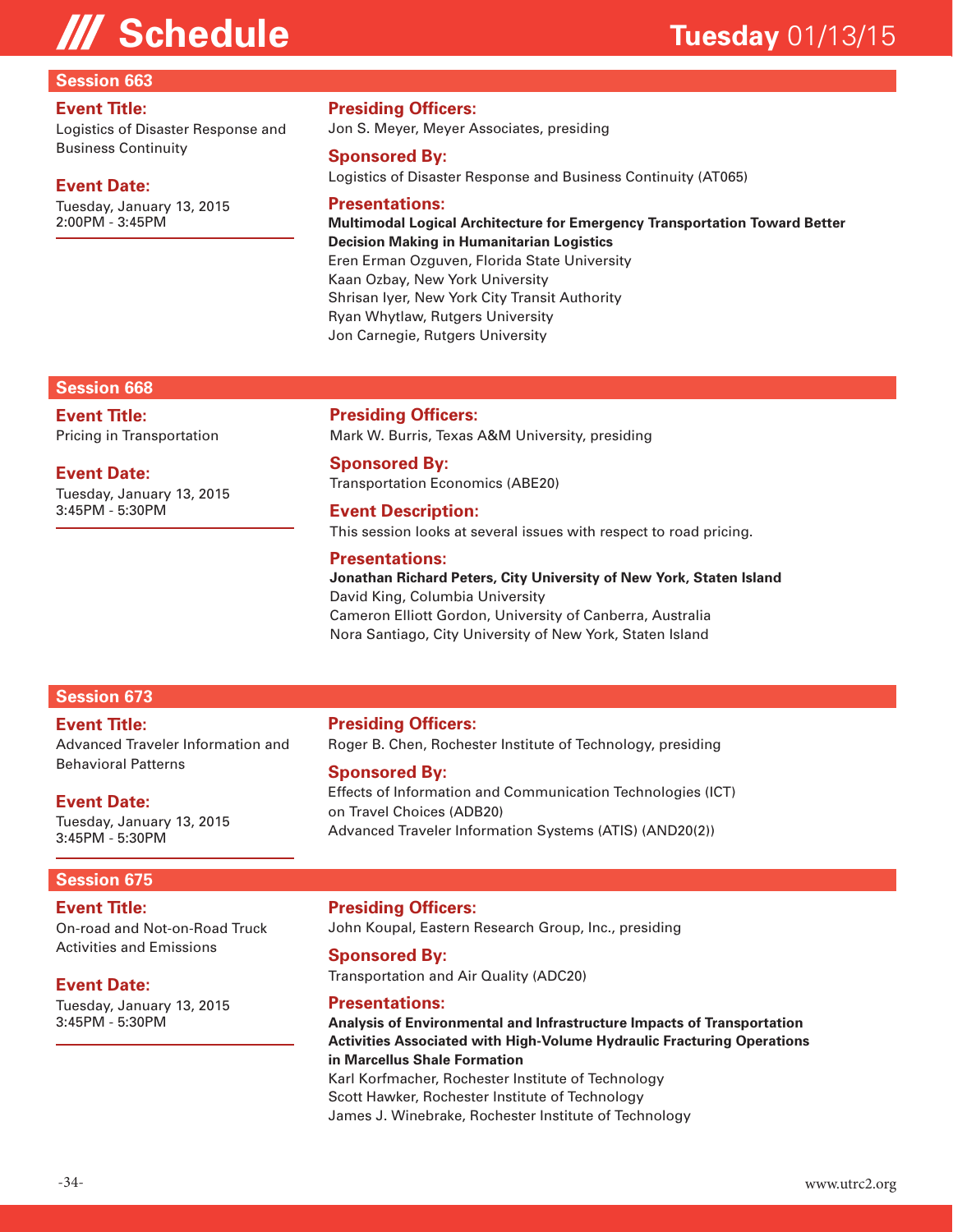#### **Session 663**

#### **Event Title:**

Logistics of Disaster Response and Business Continuity

#### **Event Date:**

Tuesday, January 13, 2015 2:00PM - 3:45PM

#### **Presiding Officers:**

Jon S. Meyer, Meyer Associates, presiding

#### **Sponsored By:**

Logistics of Disaster Response and Business Continuity (AT065)

#### **Presentations:**

**Multimodal Logical Architecture for Emergency Transportation Toward Better Decision Making in Humanitarian Logistics**  Eren Erman Ozguven, Florida State University Kaan Ozbay, New York University Shrisan Iyer, New York City Transit Authority Ryan Whytlaw, Rutgers University Jon Carnegie, Rutgers University

#### **Session 668**

**Event Title:** Pricing in Transportation

#### **Event Date:**

Tuesday, January 13, 2015 3:45PM - 5:30PM

**Presiding Officers:** Mark W. Burris, Texas A&M University, presiding

#### **Sponsored By:**

Transportation Economics (ABE20)

#### **Event Description:** This session looks at several issues with respect to road pricing.

#### **Presentations:**

#### **Jonathan Richard Peters, City University of New York, Staten Island** David King, Columbia University Cameron Elliott Gordon, University of Canberra, Australia Nora Santiago, City University of New York, Staten Island

### **Session 673**

#### **Event Title:**

Advanced Traveler Information and Behavioral Patterns

#### **Event Date:**

Tuesday, January 13, 2015 3:45PM - 5:30PM

### **Session 675**

#### **Event Title:**

On-road and Not-on-Road Truck Activities and Emissions

### **Event Date:**

Tuesday, January 13, 2015 3:45PM - 5:30PM

#### **Presiding Officers:**

Roger B. Chen, Rochester Institute of Technology, presiding

#### **Sponsored By:**

Effects of Information and Communication Technologies (ICT) on Travel Choices (ADB20) Advanced Traveler Information Systems (ATIS) (AND20(2))

#### **Presiding Officers:**

John Koupal, Eastern Research Group, Inc., presiding

#### **Sponsored By:**

Transportation and Air Quality (ADC20)

#### **Presentations:**

**Analysis of Environmental and Infrastructure Impacts of Transportation Activities Associated with High-Volume Hydraulic Fracturing Operations in Marcellus Shale Formation**  Karl Korfmacher, Rochester Institute of Technology

Scott Hawker, Rochester Institute of Technology James J. Winebrake, Rochester Institute of Technology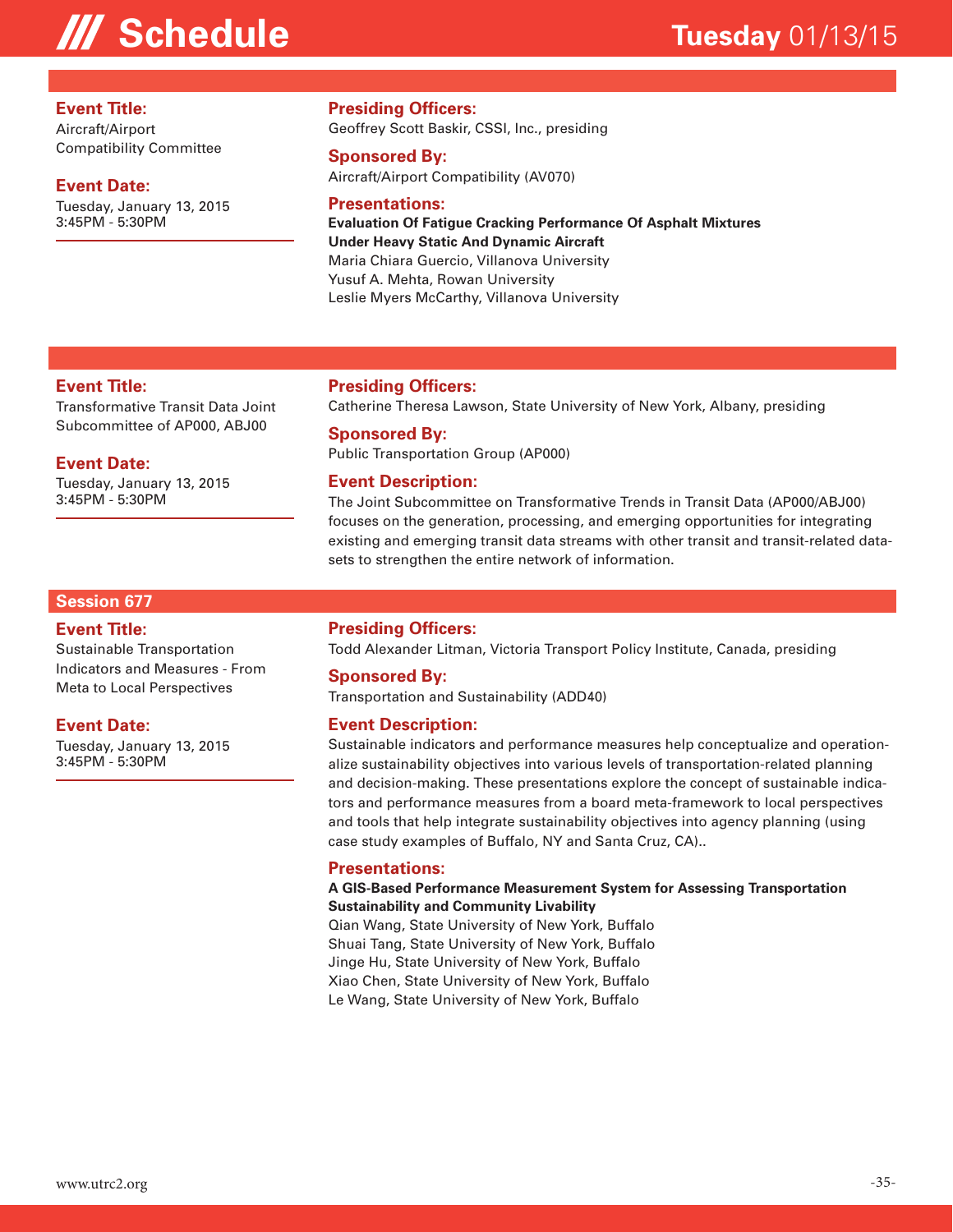#### **Event Title:**

Aircraft/Airport Compatibility Committee

#### **Event Date:**

Tuesday, January 13, 2015 3:45PM - 5:30PM

#### **Presiding Officers:**

Geoffrey Scott Baskir, CSSI, Inc., presiding

#### **Sponsored By:**

Aircraft/Airport Compatibility (AV070)

#### **Presentations:**

**Evaluation Of Fatigue Cracking Performance Of Asphalt Mixtures Under Heavy Static And Dynamic Aircraft**  Maria Chiara Guercio, Villanova University Yusuf A. Mehta, Rowan University Leslie Myers McCarthy, Villanova University

#### **Event Title:**

Transformative Transit Data Joint Subcommittee of AP000, ABJ00

#### **Event Date:**

Tuesday, January 13, 2015 3:45PM - 5:30PM

#### **Presiding Officers:**

Catherine Theresa Lawson, State University of New York, Albany, presiding

#### **Sponsored By:**

Public Transportation Group (AP000)

#### **Event Description:**

The Joint Subcommittee on Transformative Trends in Transit Data (AP000/ABJ00) focuses on the generation, processing, and emerging opportunities for integrating existing and emerging transit data streams with other transit and transit-related datasets to strengthen the entire network of information.

#### **Session 677**

#### **Event Title:**

Sustainable Transportation Indicators and Measures - From Meta to Local Perspectives

#### **Event Date:**

Tuesday, January 13, 2015 3:45PM - 5:30PM

#### **Presiding Officers:**

Todd Alexander Litman, Victoria Transport Policy Institute, Canada, presiding

#### **Sponsored By:**

Transportation and Sustainability (ADD40)

#### **Event Description:**

Sustainable indicators and performance measures help conceptualize and operationalize sustainability objectives into various levels of transportation-related planning and decision-making. These presentations explore the concept of sustainable indicators and performance measures from a board meta-framework to local perspectives and tools that help integrate sustainability objectives into agency planning (using case study examples of Buffalo, NY and Santa Cruz, CA)..

#### **Presentations:**

#### **A GIS-Based Performance Measurement System for Assessing Transportation Sustainability and Community Livability**

Qian Wang, State University of New York, Buffalo Shuai Tang, State University of New York, Buffalo Jinge Hu, State University of New York, Buffalo Xiao Chen, State University of New York, Buffalo Le Wang, State University of New York, Buffalo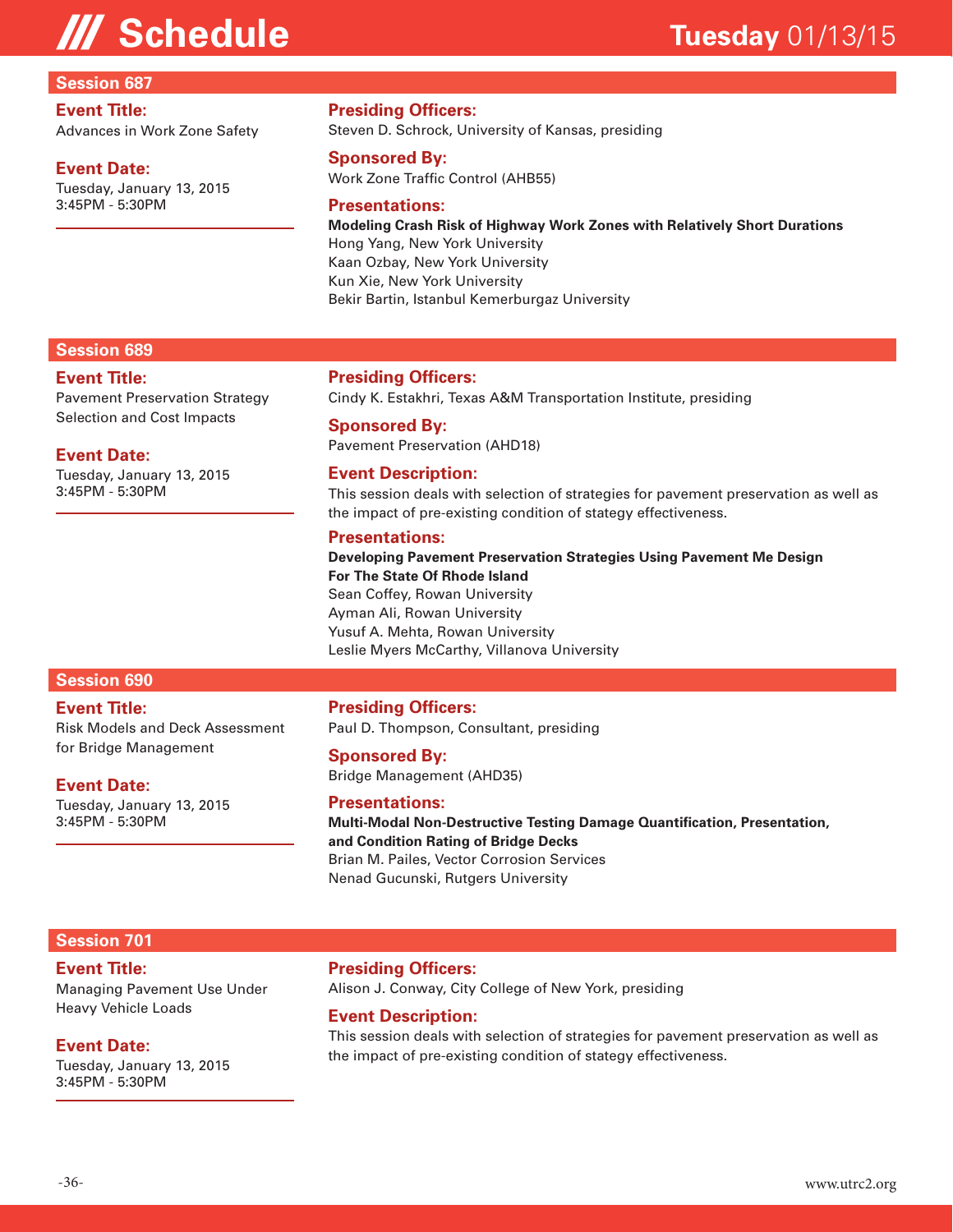#### **Session 687**

#### **Event Title:**

Advances in Work Zone Safety

#### **Event Date:**

Tuesday, January 13, 2015 3:45PM - 5:30PM

#### **Presiding Officers:**

Steven D. Schrock, University of Kansas, presiding

#### **Sponsored By:**

Work Zone Traffic Control (AHB55)

#### **Presentations:**

**Modeling Crash Risk of Highway Work Zones with Relatively Short Durations**  Hong Yang, New York University Kaan Ozbay, New York University Kun Xie, New York University Bekir Bartin, Istanbul Kemerburgaz University

#### **Session 689**

#### **Event Title:**

Pavement Preservation Strategy Selection and Cost Impacts

#### **Event Date:**

Tuesday, January 13, 2015 3:45PM - 5:30PM

#### **Presiding Officers:**

Cindy K. Estakhri, Texas A&M Transportation Institute, presiding

**Sponsored By:** Pavement Preservation (AHD18)

#### **Event Description:**

This session deals with selection of strategies for pavement preservation as well as the impact of pre-existing condition of stategy effectiveness.

#### **Presentations:**

**Developing Pavement Preservation Strategies Using Pavement Me Design For The State Of Rhode Island**  Sean Coffey, Rowan University Ayman Ali, Rowan University Yusuf A. Mehta, Rowan University Leslie Myers McCarthy, Villanova University

### **Session 690**

#### **Event Title:**

Risk Models and Deck Assessment for Bridge Management

#### **Event Date:**

Tuesday, January 13, 2015 3:45PM - 5:30PM

#### **Presiding Officers:**

Paul D. Thompson, Consultant, presiding

**Sponsored By:** Bridge Management (AHD35)

#### **Presentations:**

**Multi-Modal Non-Destructive Testing Damage Quantification, Presentation, and Condition Rating of Bridge Decks**  Brian M. Pailes, Vector Corrosion Services Nenad Gucunski, Rutgers University

#### **Session 701**

### **Event Title:**

Managing Pavement Use Under Heavy Vehicle Loads

#### **Event Date:**

Tuesday, January 13, 2015 3:45PM - 5:30PM

#### **Presiding Officers:**

Alison J. Conway, City College of New York, presiding

#### **Event Description:**

This session deals with selection of strategies for pavement preservation as well as the impact of pre-existing condition of stategy effectiveness.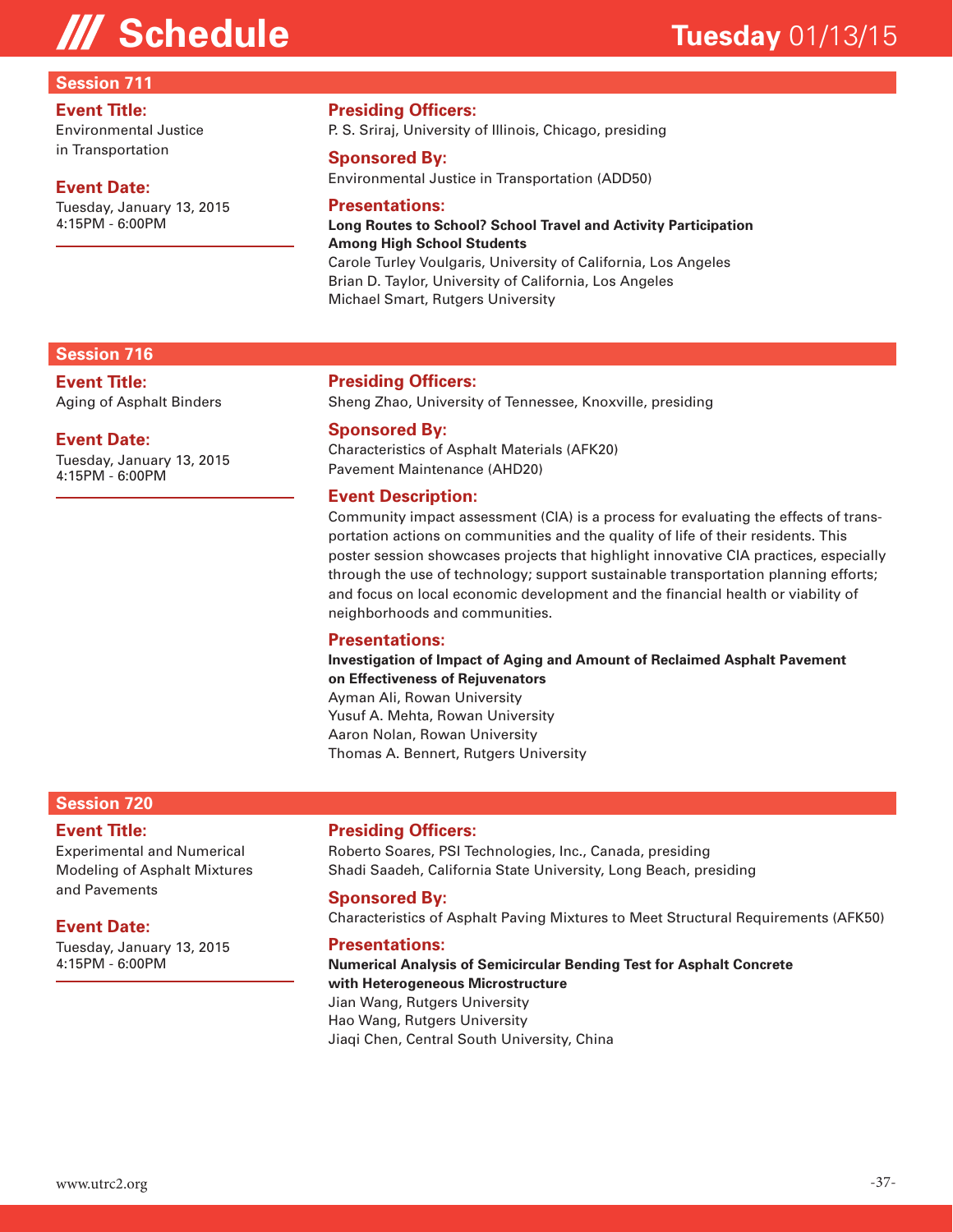#### **Session 711**

#### **Event Title:**

Environmental Justice in Transportation

#### **Event Date:**

Tuesday, January 13, 2015 4:15PM - 6:00PM

#### **Presiding Officers:**

P. S. Sriraj, University of Illinois, Chicago, presiding

#### **Sponsored By:**

Environmental Justice in Transportation (ADD50)

#### **Presentations:**

#### **Long Routes to School? School Travel and Activity Participation Among High School Students**  Carole Turley Voulgaris, University of California, Los Angeles

Brian D. Taylor, University of California, Los Angeles

Michael Smart, Rutgers University

#### **Session 716**

**Event Title:** Aging of Asphalt Binders

#### **Event Date:**

Tuesday, January 13, 2015 4:15PM - 6:00PM

#### **Presiding Officers:**

Sheng Zhao, University of Tennessee, Knoxville, presiding

#### **Sponsored By:**

Characteristics of Asphalt Materials (AFK20) Pavement Maintenance (AHD20)

#### **Event Description:**

Community impact assessment (CIA) is a process for evaluating the effects of transportation actions on communities and the quality of life of their residents. This poster session showcases projects that highlight innovative CIA practices, especially through the use of technology; support sustainable transportation planning efforts; and focus on local economic development and the financial health or viability of neighborhoods and communities.

#### **Presentations:**

**Investigation of Impact of Aging and Amount of Reclaimed Asphalt Pavement on Effectiveness of Rejuvenators** 

Ayman Ali, Rowan University Yusuf A. Mehta, Rowan University Aaron Nolan, Rowan University Thomas A. Bennert, Rutgers University

#### **Session 720**

#### **Event Title:**

Experimental and Numerical Modeling of Asphalt Mixtures and Pavements

#### **Event Date:**

Tuesday, January 13, 2015 4:15PM - 6:00PM

#### **Presiding Officers:**

Roberto Soares, PSI Technologies, Inc., Canada, presiding Shadi Saadeh, California State University, Long Beach, presiding

#### **Sponsored By:**

Characteristics of Asphalt Paving Mixtures to Meet Structural Requirements (AFK50)

#### **Presentations:**

**Numerical Analysis of Semicircular Bending Test for Asphalt Concrete with Heterogeneous Microstructure**  Jian Wang, Rutgers University Hao Wang, Rutgers University Jiaqi Chen, Central South University, China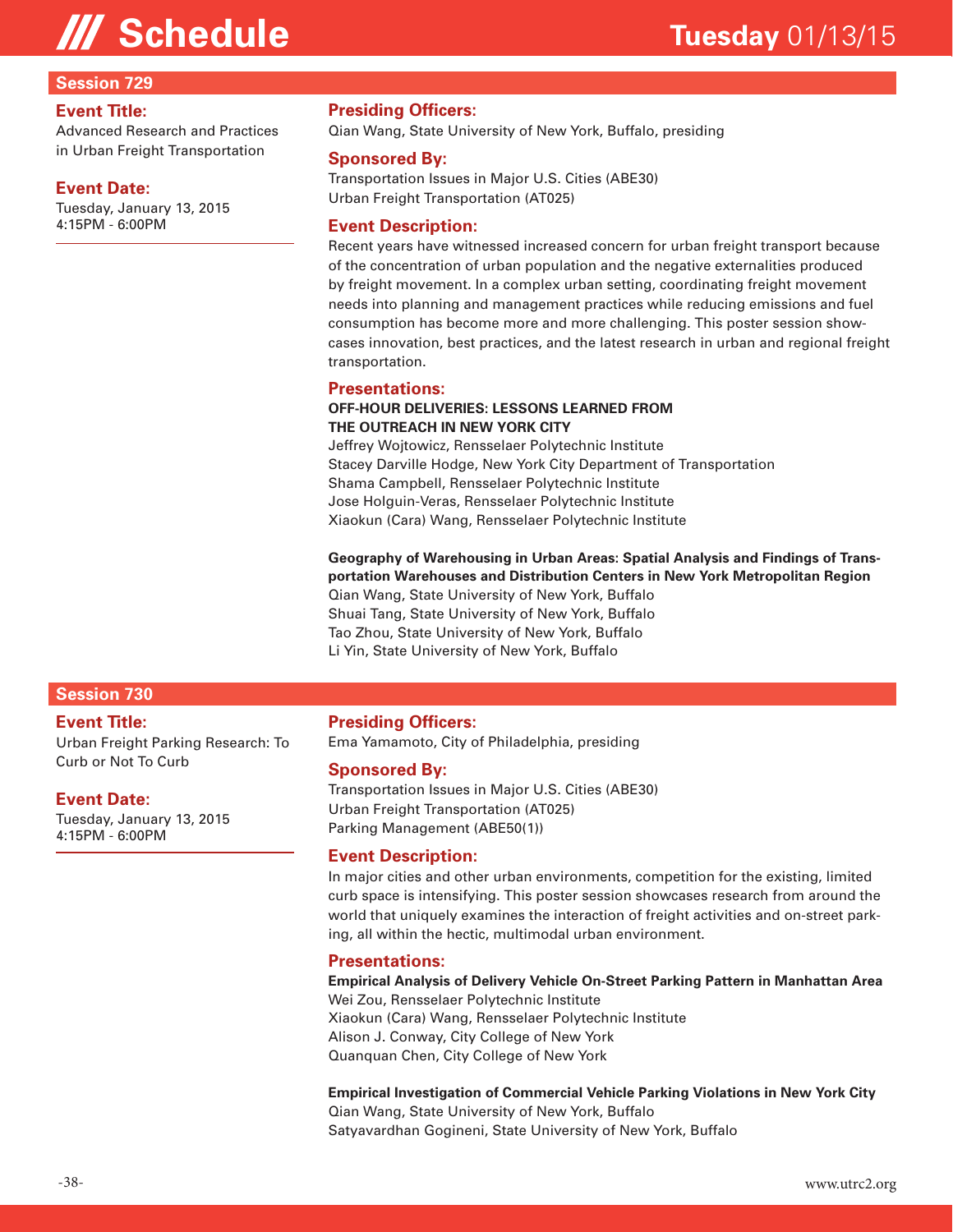#### **Session 729**

#### **Event Title:**

Advanced Research and Practices in Urban Freight Transportation

#### **Event Date:**

Tuesday, January 13, 2015 4:15PM - 6:00PM

#### **Presiding Officers:**

Qian Wang, State University of New York, Buffalo, presiding

#### **Sponsored By:**

Transportation Issues in Major U.S. Cities (ABE30) Urban Freight Transportation (AT025)

#### **Event Description:**

Recent years have witnessed increased concern for urban freight transport because of the concentration of urban population and the negative externalities produced by freight movement. In a complex urban setting, coordinating freight movement needs into planning and management practices while reducing emissions and fuel consumption has become more and more challenging. This poster session showcases innovation, best practices, and the latest research in urban and regional freight transportation.

#### **Presentations:**

#### **OFF-HOUR DELIVERIES: LESSONS LEARNED FROM THE OUTREACH IN NEW YORK CITY**

Jeffrey Wojtowicz, Rensselaer Polytechnic Institute Stacey Darville Hodge, New York City Department of Transportation Shama Campbell, Rensselaer Polytechnic Institute Jose Holguin-Veras, Rensselaer Polytechnic Institute Xiaokun (Cara) Wang, Rensselaer Polytechnic Institute

**Geography of Warehousing in Urban Areas: Spatial Analysis and Findings of Transportation Warehouses and Distribution Centers in New York Metropolitan Region**  Qian Wang, State University of New York, Buffalo Shuai Tang, State University of New York, Buffalo Tao Zhou, State University of New York, Buffalo Li Yin, State University of New York, Buffalo

#### **Session 730**

#### **Event Title:**

Urban Freight Parking Research: To Curb or Not To Curb

#### **Event Date:**

Tuesday, January 13, 2015 4:15PM - 6:00PM

#### **Presiding Officers:**

Ema Yamamoto, City of Philadelphia, presiding

#### **Sponsored By:**

Transportation Issues in Major U.S. Cities (ABE30) Urban Freight Transportation (AT025) Parking Management (ABE50(1))

#### **Event Description:**

In major cities and other urban environments, competition for the existing, limited curb space is intensifying. This poster session showcases research from around the world that uniquely examines the interaction of freight activities and on-street parking, all within the hectic, multimodal urban environment.

#### **Presentations:**

**Empirical Analysis of Delivery Vehicle On-Street Parking Pattern in Manhattan Area**  Wei Zou, Rensselaer Polytechnic Institute

Xiaokun (Cara) Wang, Rensselaer Polytechnic Institute Alison J. Conway, City College of New York Quanquan Chen, City College of New York

**Empirical Investigation of Commercial Vehicle Parking Violations in New York City**  Qian Wang, State University of New York, Buffalo

Satyavardhan Gogineni, State University of New York, Buffalo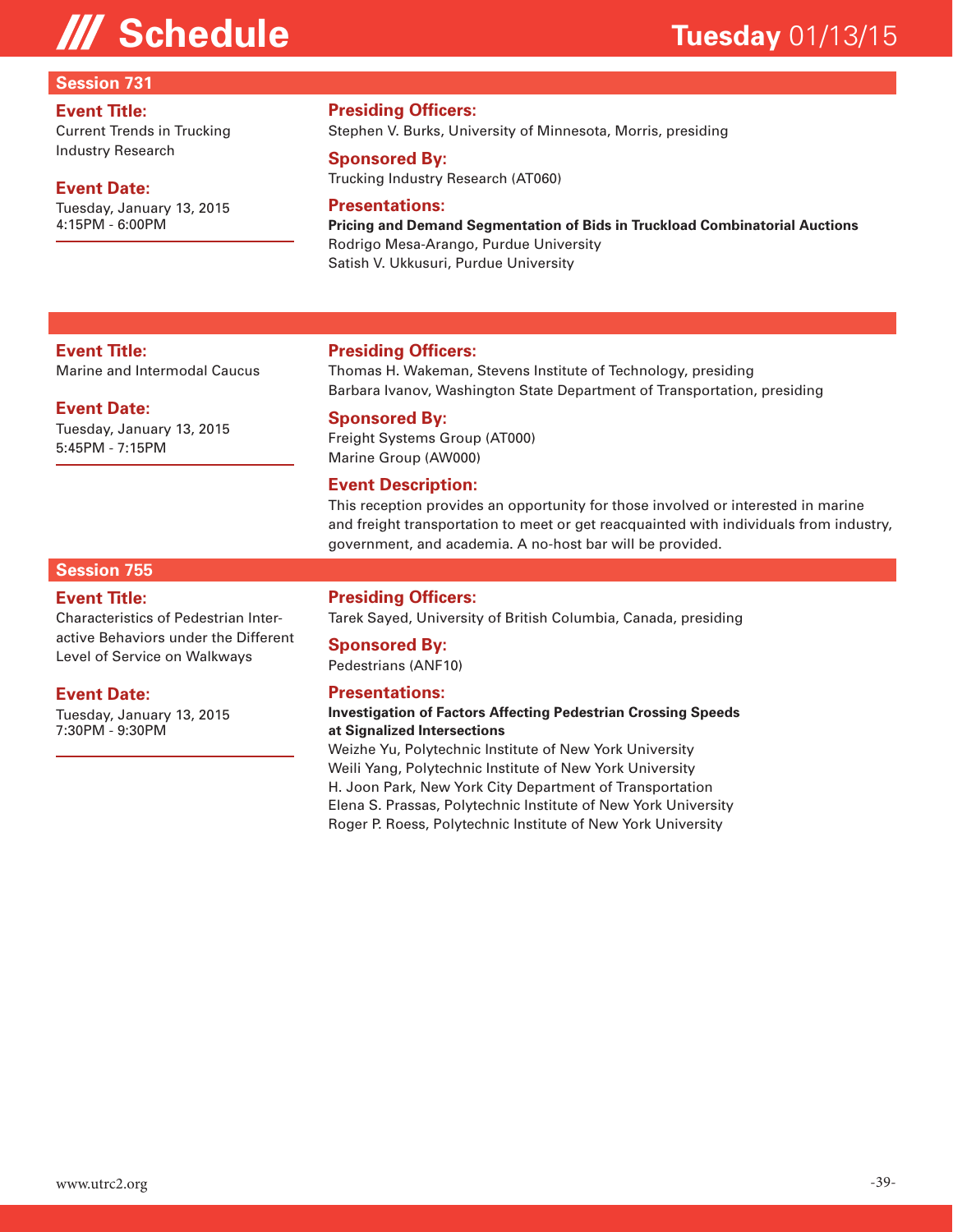#### **Session 731**

#### **Event Title:**

Current Trends in Trucking Industry Research

#### **Event Date:**

**Event Title:**

**Event Date:**

5:45PM - 7:15PM

Tuesday, January 13, 2015 4:15PM - 6:00PM

Marine and Intermodal Caucus

Tuesday, January 13, 2015

#### **Presiding Officers:**

Stephen V. Burks, University of Minnesota, Morris, presiding

#### **Sponsored By:**

Trucking Industry Research (AT060)

#### **Presentations:**

**Pricing and Demand Segmentation of Bids in Truckload Combinatorial Auctions**  Rodrigo Mesa-Arango, Purdue University Satish V. Ukkusuri, Purdue University

#### **Presiding Officers:**

Thomas H. Wakeman, Stevens Institute of Technology, presiding Barbara Ivanov, Washington State Department of Transportation, presiding

#### **Sponsored By:**

Freight Systems Group (AT000) Marine Group (AW000)

#### **Event Description:**

This reception provides an opportunity for those involved or interested in marine and freight transportation to meet or get reacquainted with individuals from industry, government, and academia. A no-host bar will be provided.

#### **Session 755**

#### **Event Title:**

Characteristics of Pedestrian Interactive Behaviors under the Different Level of Service on Walkways

#### **Event Date:**

Tuesday, January 13, 2015 7:30PM - 9:30PM

#### **Presiding Officers:**

Tarek Sayed, University of British Columbia, Canada, presiding

#### **Sponsored By:**

Pedestrians (ANF10)

#### **Presentations:**

#### **Investigation of Factors Affecting Pedestrian Crossing Speeds at Signalized Intersections**

Weizhe Yu, Polytechnic Institute of New York University Weili Yang, Polytechnic Institute of New York University H. Joon Park, New York City Department of Transportation Elena S. Prassas, Polytechnic Institute of New York University Roger P. Roess, Polytechnic Institute of New York University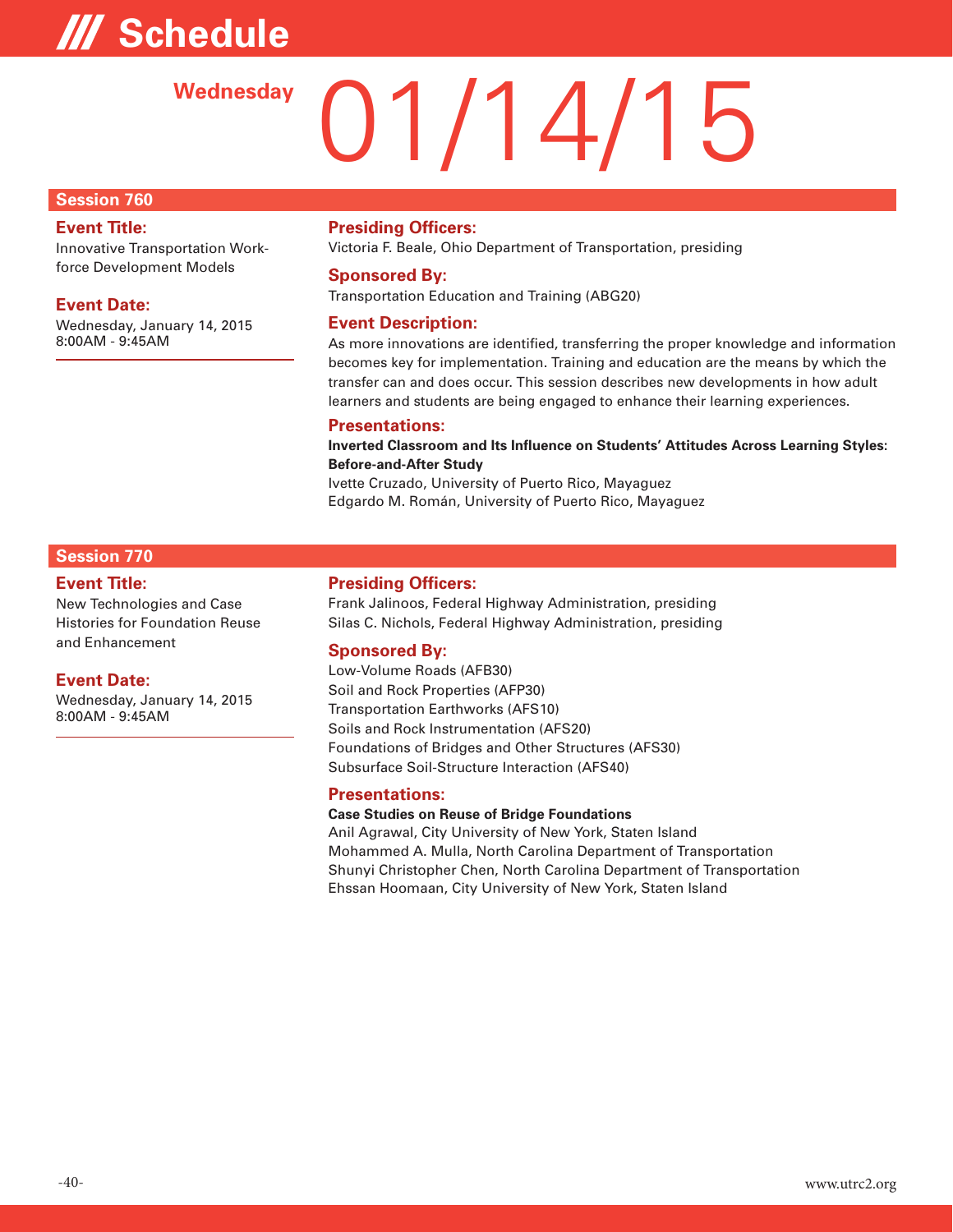# **/// Schedule**

# 01/14/15 **Wednesday**

#### **Session 760**

#### **Event Title:**

Innovative Transportation Workforce Development Models

#### **Event Date:**

Wednesday, January 14, 2015 8:00AM - 9:45AM

#### **Presiding Officers:**

Victoria F. Beale, Ohio Department of Transportation, presiding

#### **Sponsored By:**

Transportation Education and Training (ABG20)

#### **Event Description:**

As more innovations are identified, transferring the proper knowledge and information becomes key for implementation. Training and education are the means by which the transfer can and does occur. This session describes new developments in how adult learners and students are being engaged to enhance their learning experiences.

#### **Presentations:**

**Inverted Classroom and Its Influence on Students' Attitudes Across Learning Styles: Before-and-After Study** 

Ivette Cruzado, University of Puerto Rico, Mayaguez Edgardo M. Román, University of Puerto Rico, Mayaguez

#### **Session 770**

#### **Event Title:**

New Technologies and Case Histories for Foundation Reuse and Enhancement

#### **Event Date:**

Wednesday, January 14, 2015 8:00AM - 9:45AM

#### **Presiding Officers:**

Frank Jalinoos, Federal Highway Administration, presiding Silas C. Nichols, Federal Highway Administration, presiding

#### **Sponsored By:**

Low-Volume Roads (AFB30) Soil and Rock Properties (AFP30) Transportation Earthworks (AFS10) Soils and Rock Instrumentation (AFS20) Foundations of Bridges and Other Structures (AFS30) Subsurface Soil-Structure Interaction (AFS40)

#### **Presentations:**

#### **Case Studies on Reuse of Bridge Foundations**

Anil Agrawal, City University of New York, Staten Island Mohammed A. Mulla, North Carolina Department of Transportation Shunyi Christopher Chen, North Carolina Department of Transportation Ehssan Hoomaan, City University of New York, Staten Island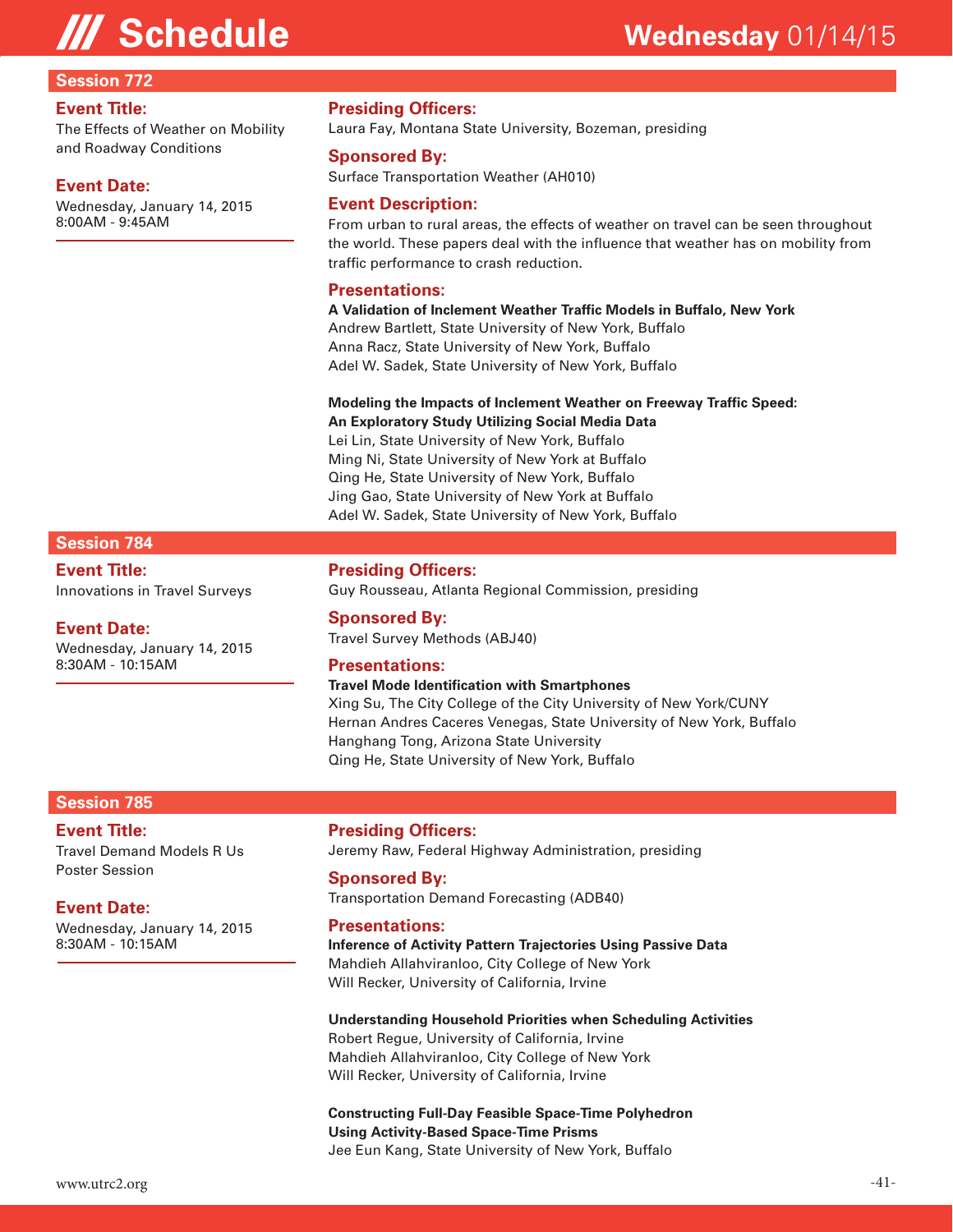#### **Session 772**

#### **Event Title:**

The Effects of Weather on Mobility and Roadway Conditions

#### **Event Date:**

Wednesday, January 14, 2015 8:00AM - 9:45AM

#### **Presiding Officers:**

Laura Fay, Montana State University, Bozeman, presiding

#### **Sponsored By:**

Surface Transportation Weather (AH010)

#### **Event Description:**

From urban to rural areas, the effects of weather on travel can be seen throughout the world. These papers deal with the influence that weather has on mobility from traffic performance to crash reduction.

#### **Presentations:**

**A Validation of Inclement Weather Traffic Models in Buffalo, New York**  Andrew Bartlett, State University of New York, Buffalo Anna Racz, State University of New York, Buffalo Adel W. Sadek, State University of New York, Buffalo

#### **Modeling the Impacts of Inclement Weather on Freeway Traffic Speed: An Exploratory Study Utilizing Social Media Data**

Lei Lin, State University of New York, Buffalo Ming Ni, State University of New York at Buffalo Qing He, State University of New York, Buffalo Jing Gao, State University of New York at Buffalo Adel W. Sadek, State University of New York, Buffalo

#### **Session 784**

**Event Title:** Innovations in Travel Surveys

#### **Event Date:**

Wednesday, January 14, 2015 8:30AM - 10:15AM

**Presiding Officers:**

Guy Rousseau, Atlanta Regional Commission, presiding

#### **Sponsored By:**

Travel Survey Methods (ABJ40)

#### **Presentations:**

#### **Travel Mode Identification with Smartphones**

Xing Su, The City College of the City University of New York/CUNY Hernan Andres Caceres Venegas, State University of New York, Buffalo Hanghang Tong, Arizona State University Qing He, State University of New York, Buffalo

#### **Session 785**

#### **Event Title:**

Travel Demand Models R Us Poster Session

#### **Event Date:**

Wednesday, January 14, 2015 8:30AM - 10:15AM

#### **Presiding Officers:**

Jeremy Raw, Federal Highway Administration, presiding

#### **Sponsored By:**

Transportation Demand Forecasting (ADB40)

#### **Presentations:**

**Inference of Activity Pattern Trajectories Using Passive Data**  Mahdieh Allahviranloo, City College of New York Will Recker, University of California, Irvine

#### **Understanding Household Priorities when Scheduling Activities**

Robert Regue, University of California, Irvine Mahdieh Allahviranloo, City College of New York Will Recker, University of California, Irvine

#### **Constructing Full-Day Feasible Space-Time Polyhedron Using Activity-Based Space-Time Prisms**  Jee Eun Kang, State University of New York, Buffalo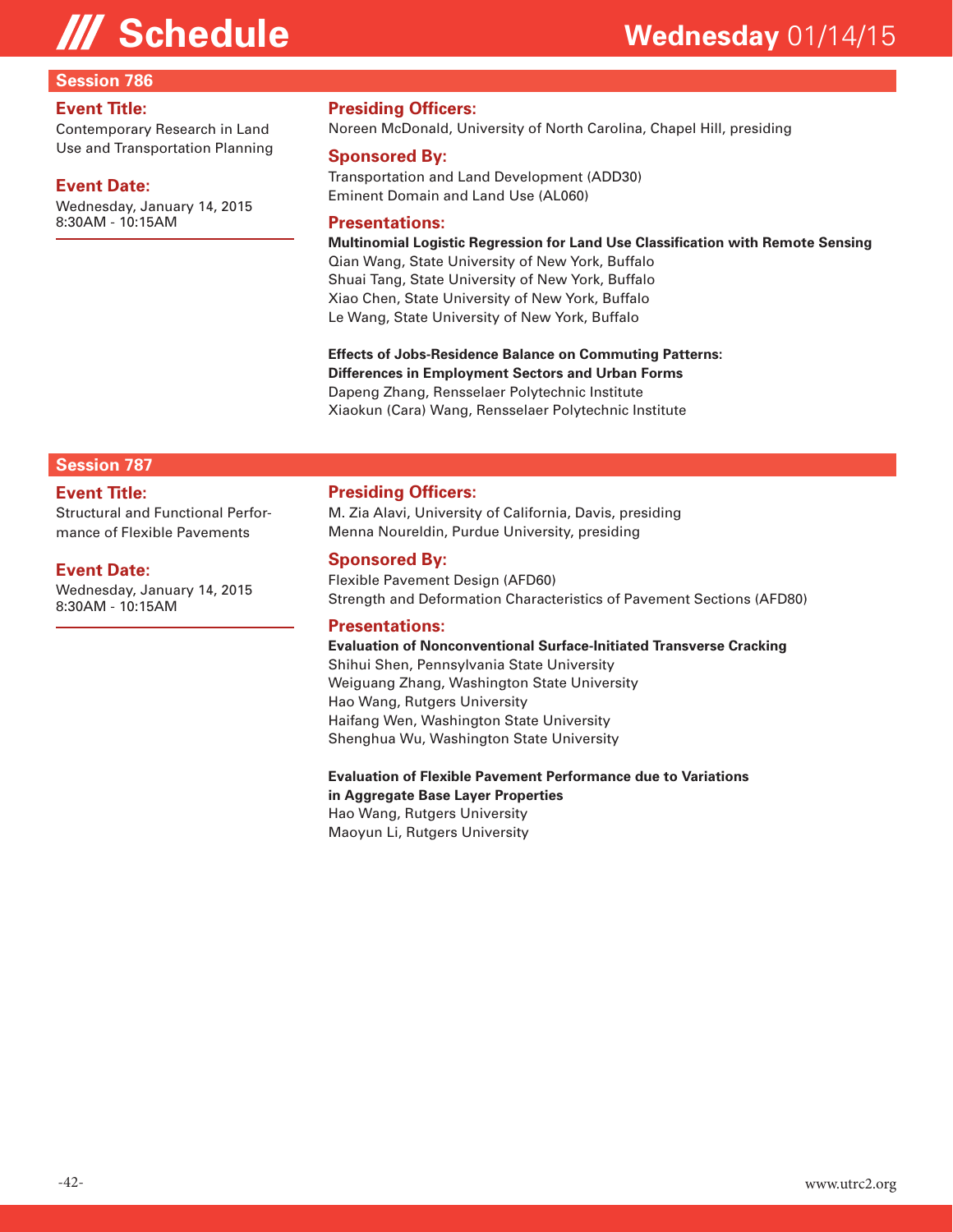#### **Session 786**

#### **Event Title:**

Contemporary Research in Land Use and Transportation Planning

#### **Event Date:**

Wednesday, January 14, 2015 8:30AM - 10:15AM

#### **Presiding Officers:**

Noreen McDonald, University of North Carolina, Chapel Hill, presiding

#### **Sponsored By:**

Transportation and Land Development (ADD30) Eminent Domain and Land Use (AL060)

#### **Presentations:**

**Multinomial Logistic Regression for Land Use Classification with Remote Sensing** 

Qian Wang, State University of New York, Buffalo Shuai Tang, State University of New York, Buffalo Xiao Chen, State University of New York, Buffalo Le Wang, State University of New York, Buffalo

**Effects of Jobs-Residence Balance on Commuting Patterns: Differences in Employment Sectors and Urban Forms**  Dapeng Zhang, Rensselaer Polytechnic Institute Xiaokun (Cara) Wang, Rensselaer Polytechnic Institute

#### **Session 787**

#### **Event Title:**

Structural and Functional Performance of Flexible Pavements

#### **Event Date:**

Wednesday, January 14, 2015 8:30AM - 10:15AM

#### **Presiding Officers:**

M. Zia Alavi, University of California, Davis, presiding Menna Noureldin, Purdue University, presiding

#### **Sponsored By:**

Flexible Pavement Design (AFD60) Strength and Deformation Characteristics of Pavement Sections (AFD80)

#### **Presentations:**

#### **Evaluation of Nonconventional Surface-Initiated Transverse Cracking**

Shihui Shen, Pennsylvania State University Weiguang Zhang, Washington State University Hao Wang, Rutgers University Haifang Wen, Washington State University Shenghua Wu, Washington State University

#### **Evaluation of Flexible Pavement Performance due to Variations in Aggregate Base Layer Properties**  Hao Wang, Rutgers University

Maoyun Li, Rutgers University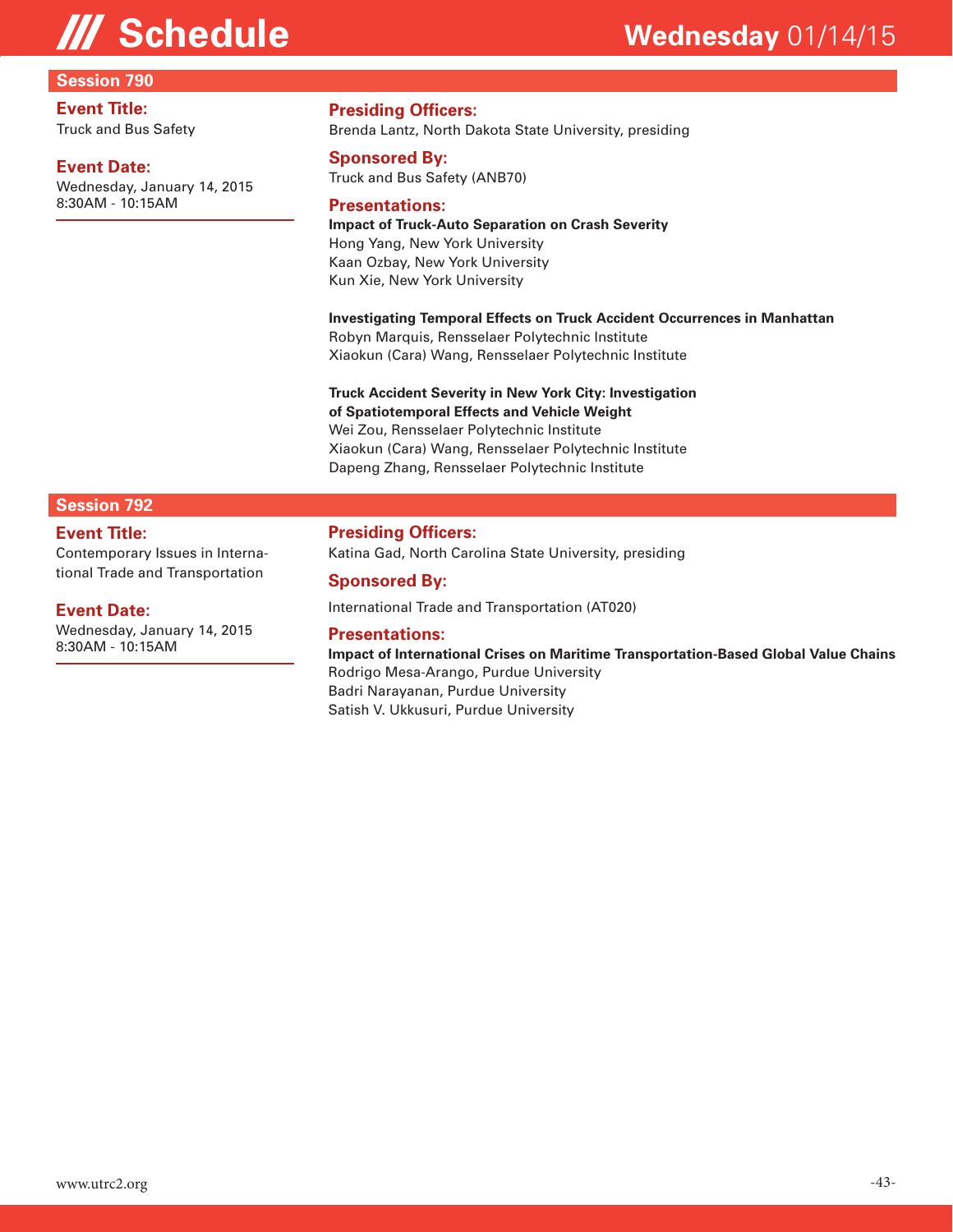#### **Session 790**

#### **Event Title:** Truck and Bus Safety

#### **Event Date:**

Wednesday, January 14, 2015 8:30AM - 10:15AM

#### **Presiding Officers:**

Brenda Lantz, North Dakota State University, presiding

#### **Sponsored By:**

Truck and Bus Safety (ANB70)

#### **Presentations:**

### **Impact of Truck-Auto Separation on Crash Severity**

Hong Yang, New York University Kaan Ozbay, New York University Kun Xie, New York University

**Investigating Temporal Effects on Truck Accident Occurrences in Manhattan**  Robyn Marquis, Rensselaer Polytechnic Institute

Xiaokun (Cara) Wang, Rensselaer Polytechnic Institute

#### **Truck Accident Severity in New York City: Investigation of Spatiotemporal Effects and Vehicle Weight**

Wei Zou, Rensselaer Polytechnic Institute Xiaokun (Cara) Wang, Rensselaer Polytechnic Institute

Dapeng Zhang, Rensselaer Polytechnic Institute

#### **Session 792**

#### **Event Title:**

Contemporary Issues in International Trade and Transportation

#### **Event Date:**

Wednesday, January 14, 2015 8:30AM - 10:15AM

**Presiding Officers:**

Katina Gad, North Carolina State University, presiding

#### **Sponsored By:**

International Trade and Transportation (AT020)

#### **Presentations:**

**Impact of International Crises on Maritime Transportation-Based Global Value Chains**  Rodrigo Mesa-Arango, Purdue University Badri Narayanan, Purdue University Satish V. Ukkusuri, Purdue University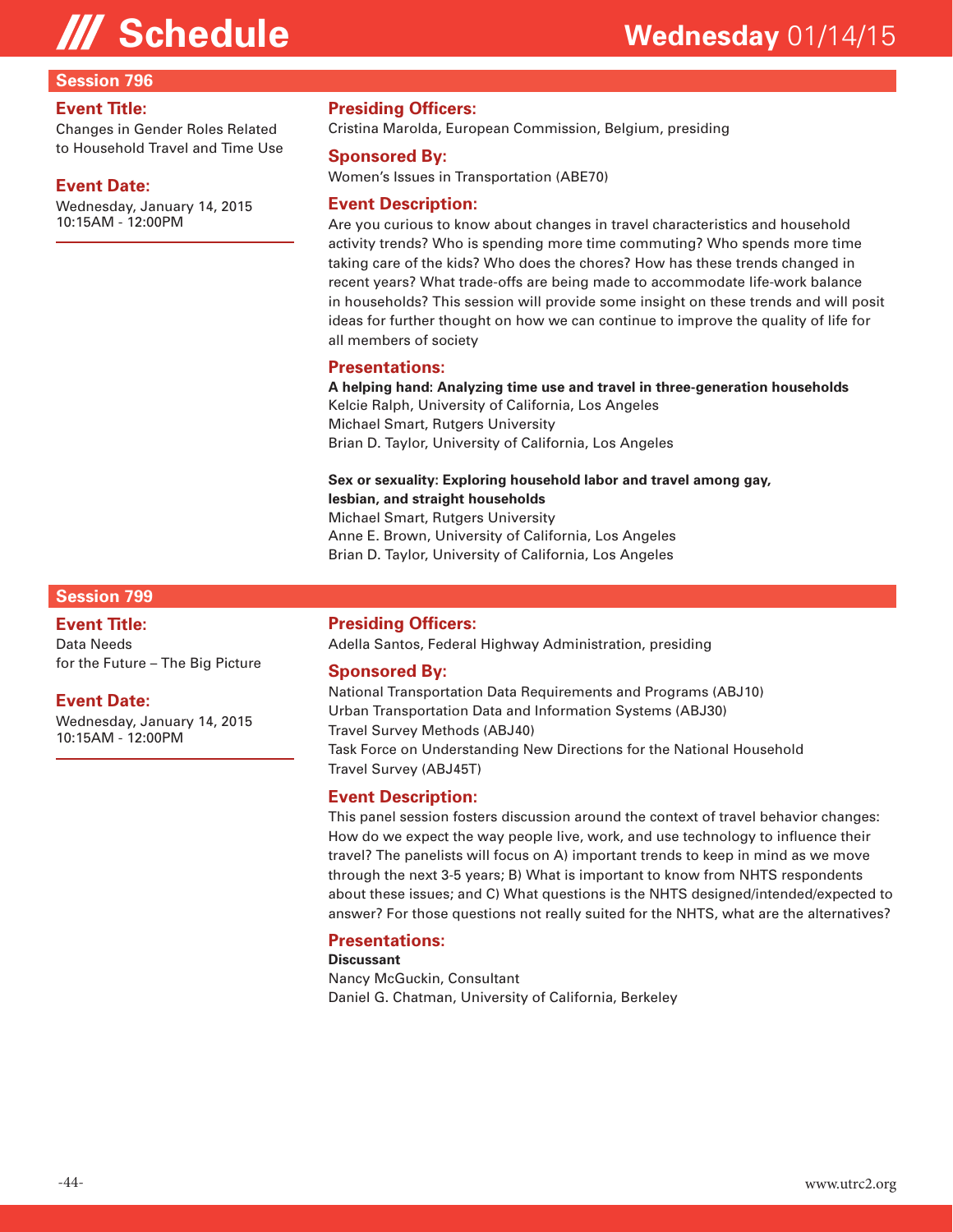#### **Session 796**

#### **Event Title:**

Changes in Gender Roles Related to Household Travel and Time Use

#### **Event Date:**

Wednesday, January 14, 2015 10:15AM - 12:00PM

#### **Presiding Officers:**

Cristina Marolda, European Commission, Belgium, presiding

#### **Sponsored By:**

Women's Issues in Transportation (ABE70)

#### **Event Description:**

Are you curious to know about changes in travel characteristics and household activity trends? Who is spending more time commuting? Who spends more time taking care of the kids? Who does the chores? How has these trends changed in recent years? What trade-offs are being made to accommodate life-work balance in households? This session will provide some insight on these trends and will posit ideas for further thought on how we can continue to improve the quality of life for all members of society

#### **Presentations:**

**A helping hand: Analyzing time use and travel in three-generation households**  Kelcie Ralph, University of California, Los Angeles Michael Smart, Rutgers University Brian D. Taylor, University of California, Los Angeles

#### **Sex or sexuality: Exploring household labor and travel among gay, lesbian, and straight households**

Michael Smart, Rutgers University Anne E. Brown, University of California, Los Angeles Brian D. Taylor, University of California, Los Angeles

#### **Session 799**

#### **Event Title:**

Data Needs for the Future – The Big Picture

#### **Event Date:**

Wednesday, January 14, 2015 10:15AM - 12:00PM

#### **Presiding Officers:**

Adella Santos, Federal Highway Administration, presiding

#### **Sponsored By:**

National Transportation Data Requirements and Programs (ABJ10) Urban Transportation Data and Information Systems (ABJ30) Travel Survey Methods (ABJ40) Task Force on Understanding New Directions for the National Household Travel Survey (ABJ45T)

#### **Event Description:**

This panel session fosters discussion around the context of travel behavior changes: How do we expect the way people live, work, and use technology to influence their travel? The panelists will focus on A) important trends to keep in mind as we move through the next 3-5 years; B) What is important to know from NHTS respondents about these issues; and C) What questions is the NHTS designed/intended/expected to answer? For those questions not really suited for the NHTS, what are the alternatives?

#### **Presentations:**

**Discussant** 

Nancy McGuckin, Consultant Daniel G. Chatman, University of California, Berkeley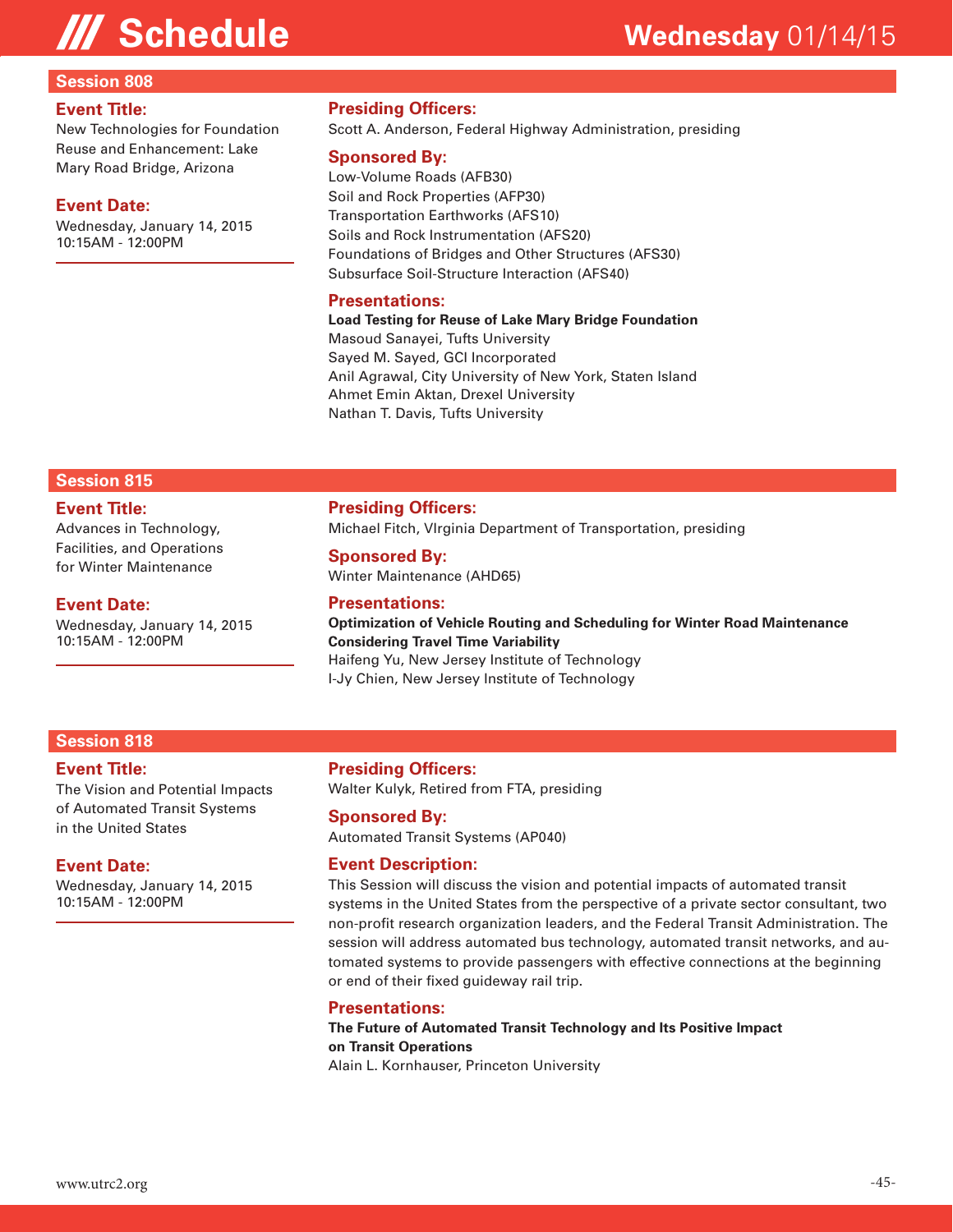#### **Session 808**

#### **Event Title:**

New Technologies for Foundation Reuse and Enhancement: Lake Mary Road Bridge, Arizona

#### **Event Date:**

Wednesday, January 14, 2015 10:15AM - 12:00PM

#### **Presiding Officers:**

Scott A. Anderson, Federal Highway Administration, presiding

#### **Sponsored By:**

Low-Volume Roads (AFB30) Soil and Rock Properties (AFP30) Transportation Earthworks (AFS10) Soils and Rock Instrumentation (AFS20) Foundations of Bridges and Other Structures (AFS30) Subsurface Soil-Structure Interaction (AFS40)

#### **Presentations:**

**Load Testing for Reuse of Lake Mary Bridge Foundation**  Masoud Sanayei, Tufts University Sayed M. Sayed, GCI Incorporated Anil Agrawal, City University of New York, Staten Island Ahmet Emin Aktan, Drexel University Nathan T. Davis, Tufts University

#### **Session 815**

#### **Event Title:**

Advances in Technology, Facilities, and Operations for Winter Maintenance

#### **Event Date:**

Wednesday, January 14, 2015 10:15AM - 12:00PM

### **Presiding Officers:**

Michael Fitch, VIrginia Department of Transportation, presiding

#### **Sponsored By:**

Winter Maintenance (AHD65)

#### **Presentations:**

**Optimization of Vehicle Routing and Scheduling for Winter Road Maintenance Considering Travel Time Variability**  Haifeng Yu, New Jersey Institute of Technology I-Jy Chien, New Jersey Institute of Technology

#### **Session 818**

#### **Event Title:**

The Vision and Potential Impacts of Automated Transit Systems in the United States

#### **Event Date:**

Wednesday, January 14, 2015 10:15AM - 12:00PM

#### **Presiding Officers:**

Walter Kulyk, Retired from FTA, presiding

#### **Sponsored By:**

Automated Transit Systems (AP040)

#### **Event Description:**

This Session will discuss the vision and potential impacts of automated transit systems in the United States from the perspective of a private sector consultant, two non-profit research organization leaders, and the Federal Transit Administration. The session will address automated bus technology, automated transit networks, and automated systems to provide passengers with effective connections at the beginning or end of their fixed guideway rail trip.

#### **Presentations:**

#### **The Future of Automated Transit Technology and Its Positive Impact on Transit Operations**

Alain L. Kornhauser, Princeton University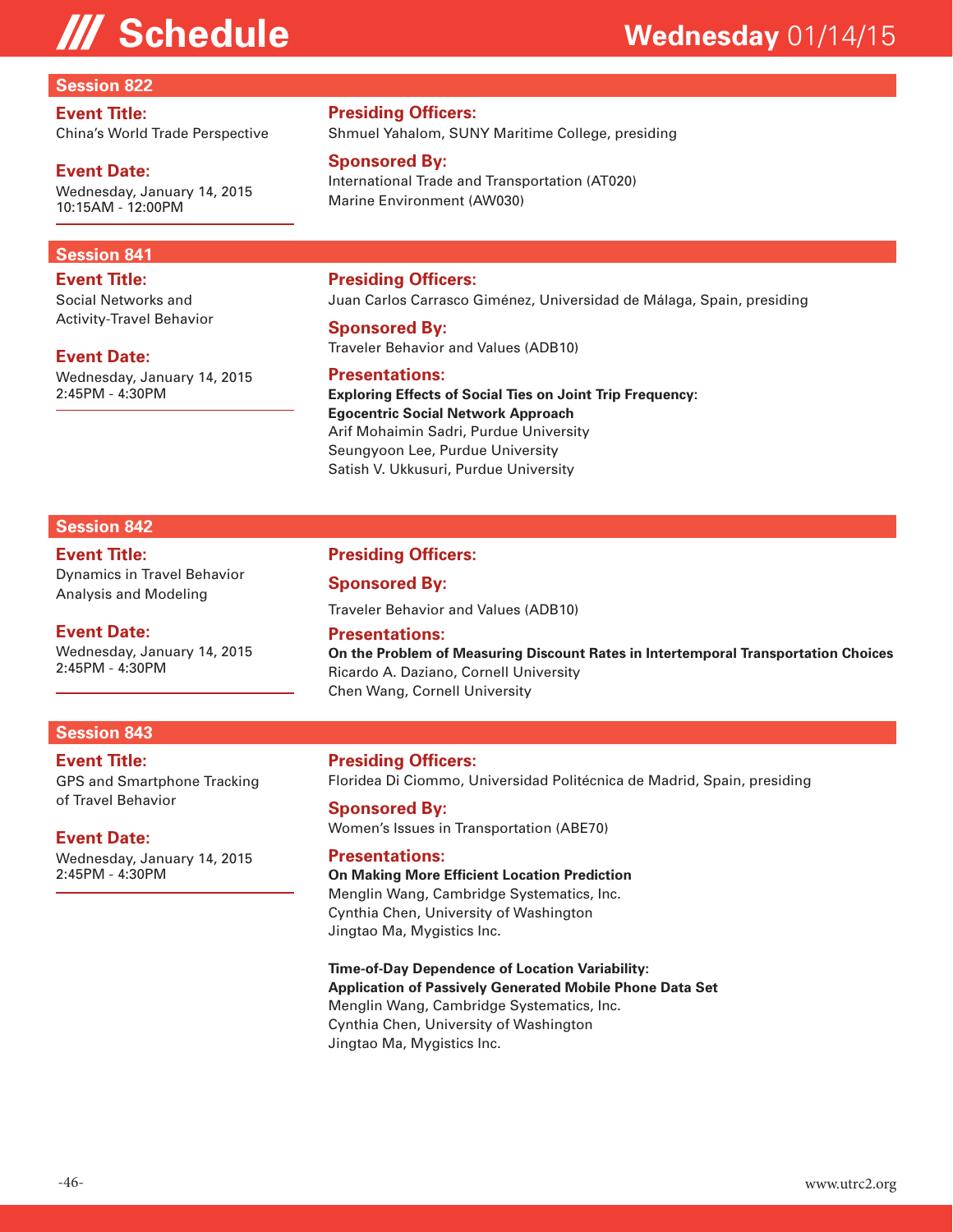#### **Session 822**

#### **Event Title:**

China's World Trade Perspective

#### **Event Date:**

Wednesday, January 14, 2015 10:15AM - 12:00PM

#### **Session 841**

**Event Title:** Social Networks and Activity-Travel Behavior

#### **Event Date:**

Wednesday, January 14, 2015 2:45PM - 4:30PM

#### **Presiding Officers:**

Shmuel Yahalom, SUNY Maritime College, presiding

#### **Sponsored By:**

International Trade and Transportation (AT020) Marine Environment (AW030)

#### **Presiding Officers:**

Juan Carlos Carrasco Giménez, Universidad de Málaga, Spain, presiding

#### **Sponsored By:**

Traveler Behavior and Values (ADB10)

#### **Presentations:**

**Exploring Effects of Social Ties on Joint Trip Frequency: Egocentric Social Network Approach**  Arif Mohaimin Sadri, Purdue University Seungyoon Lee, Purdue University Satish V. Ukkusuri, Purdue University

#### **Session 842**

#### **Event Title:** Dynamics in Travel Behavior Analysis and Modeling

#### **Event Date:**

Wednesday, January 14, 2015 2:45PM - 4:30PM

#### **Presiding Officers:**

#### **Sponsored By:**

Traveler Behavior and Values (ADB10)

#### **Presentations:**

**On the Problem of Measuring Discount Rates in Intertemporal Transportation Choices**  Ricardo A. Daziano, Cornell University Chen Wang, Cornell University

#### **Session 843**

### **Event Title:**

GPS and Smartphone Tracking of Travel Behavior

#### **Event Date:**

Wednesday, January 14, 2015 2:45PM - 4:30PM

#### **Presiding Officers:** Floridea Di Ciommo, Universidad Politécnica de Madrid, Spain, presiding

**Sponsored By:** Women's Issues in Transportation (ABE70)

#### **Presentations:**

#### **On Making More Efficient Location Prediction**  Menglin Wang, Cambridge Systematics, Inc. Cynthia Chen, University of Washington Jingtao Ma, Mygistics Inc.

**Time-of-Day Dependence of Location Variability: Application of Passively Generated Mobile Phone Data Set**  Menglin Wang, Cambridge Systematics, Inc. Cynthia Chen, University of Washington Jingtao Ma, Mygistics Inc.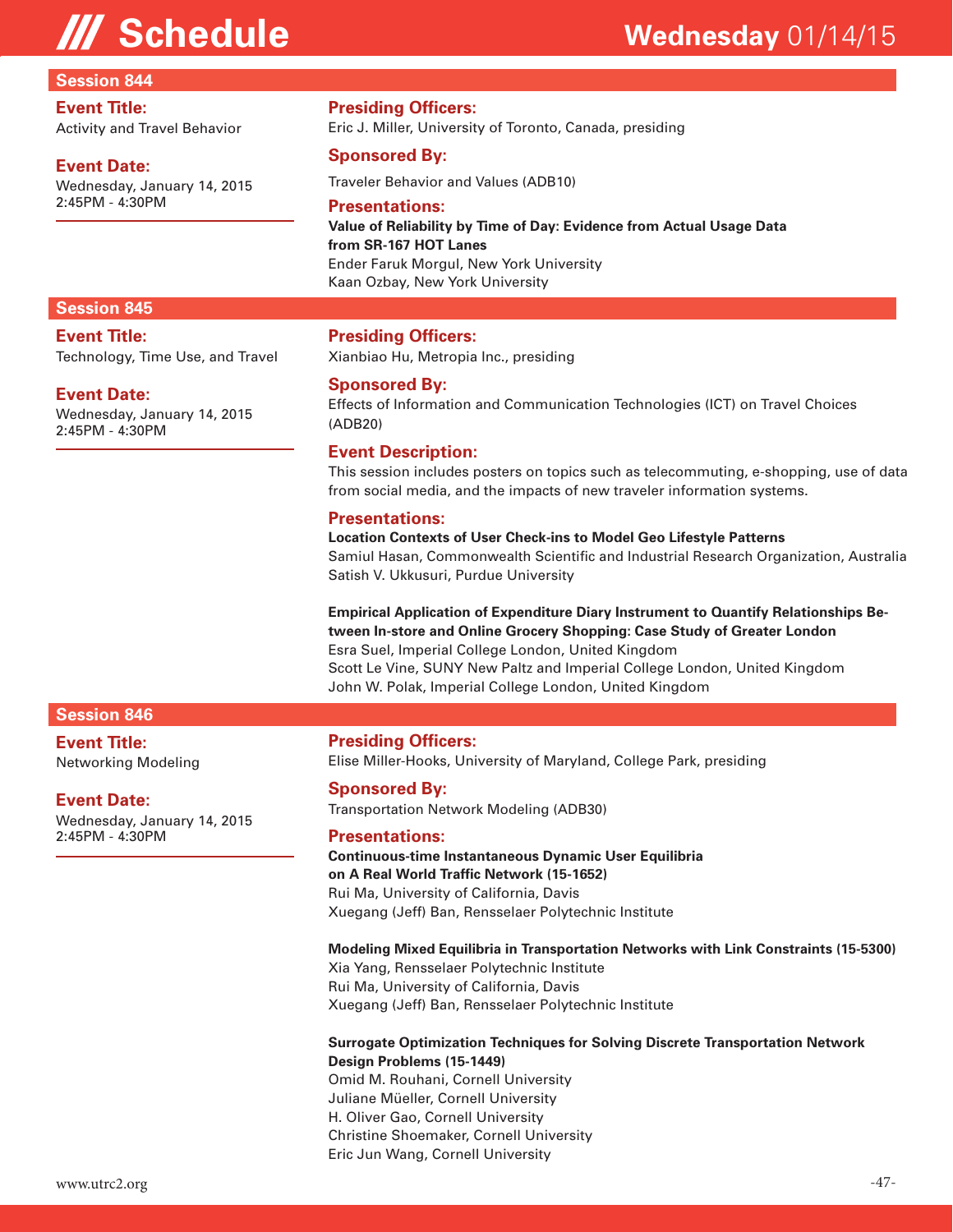#### **Session 844**

#### **Event Title:**

Activity and Travel Behavior

#### **Event Date:**

Wednesday, January 14, 2015 2:45PM - 4:30PM

#### **Presiding Officers:**

Eric J. Miller, University of Toronto, Canada, presiding

#### **Sponsored By:**

Traveler Behavior and Values (ADB10)

#### **Presentations:**

**Value of Reliability by Time of Day: Evidence from Actual Usage Data from SR-167 HOT Lanes**  Ender Faruk Morgul, New York University Kaan Ozbay, New York University

#### **Session 845**

**Event Title:** Technology, Time Use, and Travel

#### **Event Date:**

Wednesday, January 14, 2015 2:45PM - 4:30PM

#### **Presiding Officers:**

Xianbiao Hu, Metropia Inc., presiding

#### **Sponsored By:**

Effects of Information and Communication Technologies (ICT) on Travel Choices (ADB20)

#### **Event Description:**

This session includes posters on topics such as telecommuting, e-shopping, use of data from social media, and the impacts of new traveler information systems.

#### **Presentations:**

**Location Contexts of User Check-ins to Model Geo Lifestyle Patterns**  Samiul Hasan, Commonwealth Scientific and Industrial Research Organization, Australia Satish V. Ukkusuri, Purdue University

### **Empirical Application of Expenditure Diary Instrument to Quantify Relationships Between In-store and Online Grocery Shopping: Case Study of Greater London**

Esra Suel, Imperial College London, United Kingdom Scott Le Vine, SUNY New Paltz and Imperial College London, United Kingdom John W. Polak, Imperial College London, United Kingdom

#### **Session 846**

**Event Title:** Networking Modeling

#### **Event Date:**

Wednesday, January 14, 2015 2:45PM - 4:30PM

#### **Presiding Officers:**

Elise Miller-Hooks, University of Maryland, College Park, presiding

#### **Sponsored By:**

Transportation Network Modeling (ADB30)

#### **Presentations:**

**Continuous-time Instantaneous Dynamic User Equilibria on A Real World Traffic Network (15-1652)**  Rui Ma, University of California, Davis Xuegang (Jeff) Ban, Rensselaer Polytechnic Institute

#### **Modeling Mixed Equilibria in Transportation Networks with Link Constraints (15-5300)**

Xia Yang, Rensselaer Polytechnic Institute Rui Ma, University of California, Davis Xuegang (Jeff) Ban, Rensselaer Polytechnic Institute

#### **Surrogate Optimization Techniques for Solving Discrete Transportation Network Design Problems (15-1449)**

Omid M. Rouhani, Cornell University Juliane Müeller, Cornell University H. Oliver Gao, Cornell University Christine Shoemaker, Cornell University Eric Jun Wang, Cornell University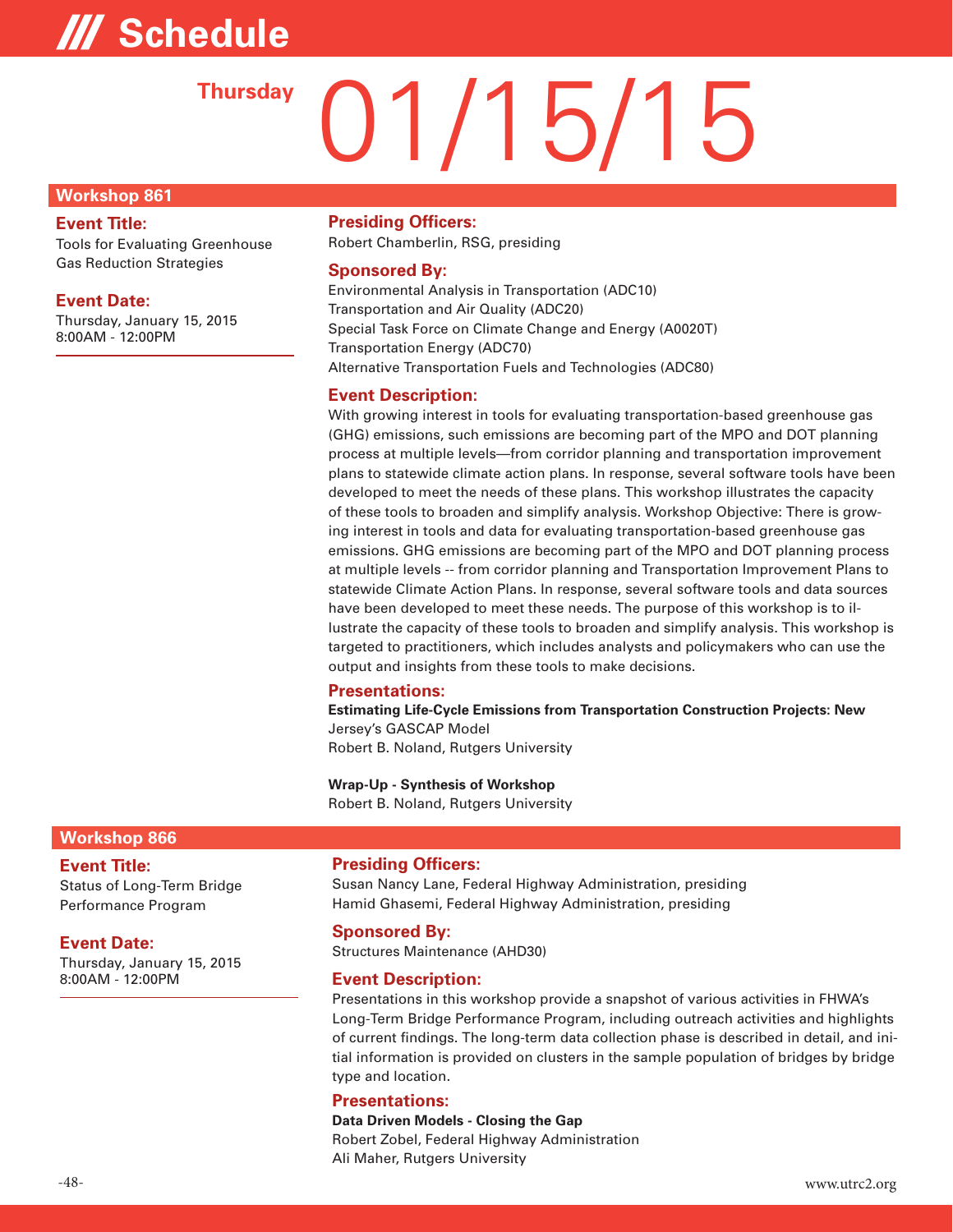# **/// Schedule**

# 01/15/15 **Thursday**

#### **Workshop 861**

#### **Event Title:**

Tools for Evaluating Greenhouse Gas Reduction Strategies

#### **Event Date:**

Thursday, January 15, 2015 8:00AM - 12:00PM

#### **Presiding Officers:**

Robert Chamberlin, RSG, presiding

### **Sponsored By:**

Environmental Analysis in Transportation (ADC10) Transportation and Air Quality (ADC20) Special Task Force on Climate Change and Energy (A0020T) Transportation Energy (ADC70) Alternative Transportation Fuels and Technologies (ADC80)

### **Event Description:**

With growing interest in tools for evaluating transportation-based greenhouse gas (GHG) emissions, such emissions are becoming part of the MPO and DOT planning process at multiple levels—from corridor planning and transportation improvement plans to statewide climate action plans. In response, several software tools have been developed to meet the needs of these plans. This workshop illustrates the capacity of these tools to broaden and simplify analysis. Workshop Objective: There is growing interest in tools and data for evaluating transportation-based greenhouse gas emissions. GHG emissions are becoming part of the MPO and DOT planning process at multiple levels -- from corridor planning and Transportation Improvement Plans to statewide Climate Action Plans. In response, several software tools and data sources have been developed to meet these needs. The purpose of this workshop is to illustrate the capacity of these tools to broaden and simplify analysis. This workshop is targeted to practitioners, which includes analysts and policymakers who can use the output and insights from these tools to make decisions.

#### **Presentations:**

**Estimating Life-Cycle Emissions from Transportation Construction Projects: New**  Jersey's GASCAP Model Robert B. Noland, Rutgers University

**Wrap-Up - Synthesis of Workshop**  Robert B. Noland, Rutgers University

#### **Workshop 866**

#### **Event Title:**

Status of Long-Term Bridge Performance Program

#### **Event Date:**

Thursday, January 15, 2015 8:00AM - 12:00PM

#### **Presiding Officers:**

Susan Nancy Lane, Federal Highway Administration, presiding Hamid Ghasemi, Federal Highway Administration, presiding

#### **Sponsored By:**

Structures Maintenance (AHD30)

#### **Event Description:**

Presentations in this workshop provide a snapshot of various activities in FHWA's Long-Term Bridge Performance Program, including outreach activities and highlights of current findings. The long-term data collection phase is described in detail, and initial information is provided on clusters in the sample population of bridges by bridge type and location.

#### **Presentations:**

**Data Driven Models - Closing the Gap**  Robert Zobel, Federal Highway Administration Ali Maher, Rutgers University